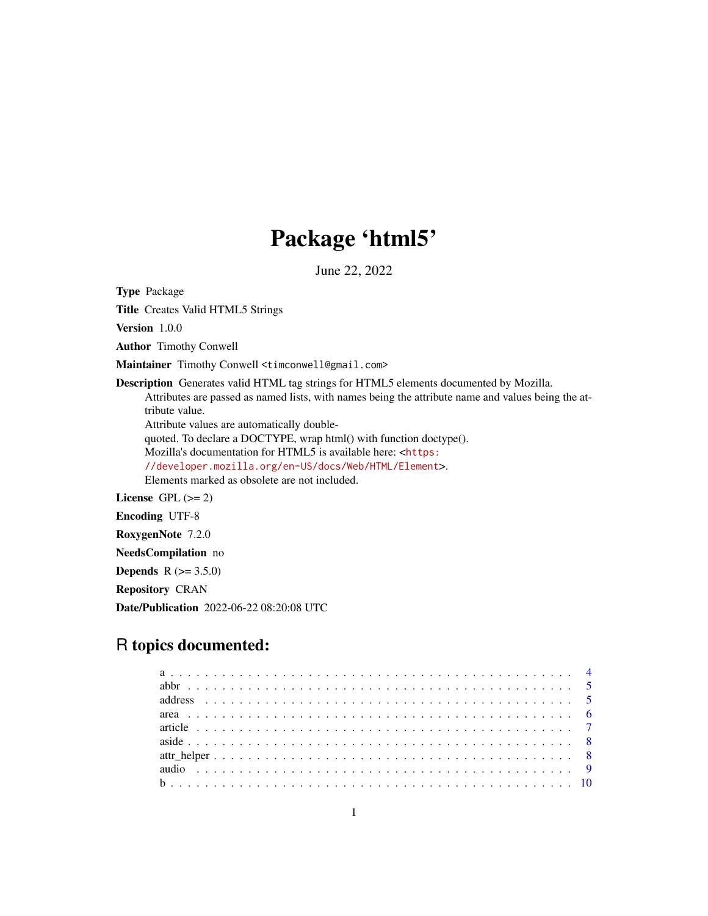# Package 'html5'

June 22, 2022

Type Package

Title Creates Valid HTML5 Strings

Version 1.0.0

Author Timothy Conwell

Maintainer Timothy Conwell <timconwell@gmail.com>

Description Generates valid HTML tag strings for HTML5 elements documented by Mozilla. Attributes are passed as named lists, with names being the attribute name and values being the attribute value.

Attribute values are automatically double-

quoted. To declare a DOCTYPE, wrap html() with function doctype().

Mozilla's documentation for HTML5 is available here: <[https:](https://developer.mozilla.org/en-US/docs/Web/HTML/Element)

[//developer.mozilla.org/en-US/docs/Web/HTML/Element](https://developer.mozilla.org/en-US/docs/Web/HTML/Element)>.

Elements marked as obsolete are not included.

License GPL  $(>= 2)$ 

Encoding UTF-8

RoxygenNote 7.2.0

NeedsCompilation no

**Depends** R  $(>= 3.5.0)$ 

Repository CRAN

Date/Publication 2022-06-22 08:20:08 UTC

## R topics documented: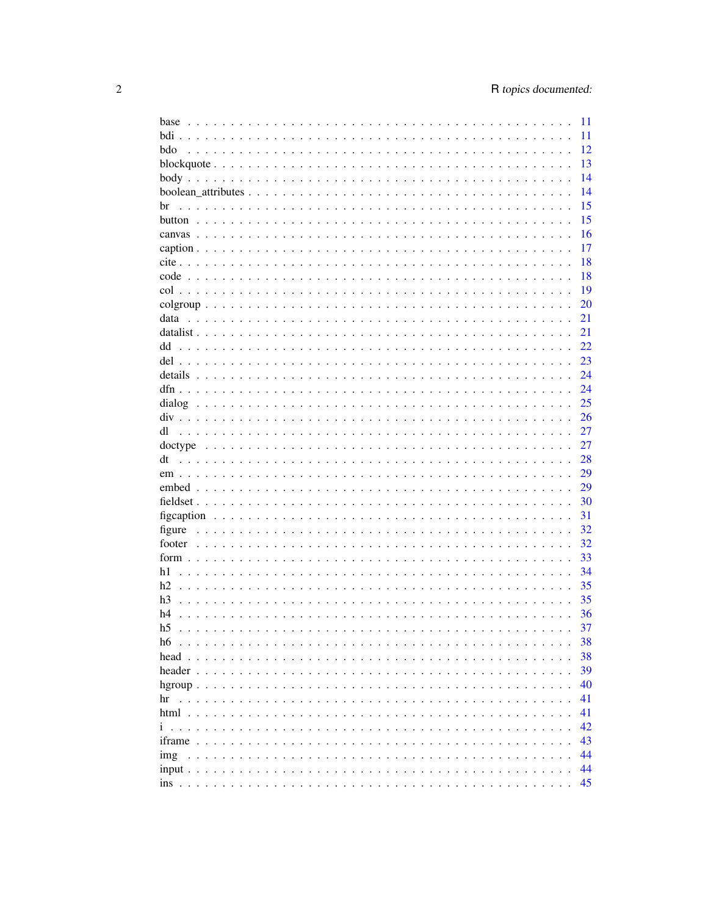| base                                | 11 |
|-------------------------------------|----|
|                                     | 11 |
| bdo                                 | 12 |
|                                     | 13 |
|                                     | 14 |
|                                     | 14 |
| br                                  | 15 |
|                                     | 15 |
|                                     |    |
|                                     | 16 |
|                                     | 17 |
|                                     | 18 |
|                                     | 18 |
|                                     | 19 |
|                                     | 20 |
| data                                | 21 |
|                                     | 21 |
| dd                                  | 22 |
|                                     | 23 |
|                                     | 24 |
|                                     | 24 |
|                                     |    |
|                                     | 25 |
|                                     | 26 |
| dl                                  | 27 |
|                                     | 27 |
| dt                                  | 28 |
|                                     | 29 |
|                                     | 29 |
|                                     | 30 |
|                                     | 31 |
| figure                              | 32 |
|                                     | 32 |
|                                     | 33 |
| h1                                  | 34 |
|                                     |    |
| h2                                  | 35 |
| h <sub>3</sub>                      | 35 |
| h4                                  | 36 |
| h <sub>5</sub>                      | 37 |
| h6                                  | 38 |
| head $\ldots$ , $\ldots$ , $\ldots$ | 38 |
|                                     | 39 |
|                                     | 40 |
| hr                                  | 41 |
|                                     | 41 |
|                                     | 42 |
|                                     | 43 |
|                                     |    |
| img                                 | 44 |
|                                     | 44 |
|                                     | 45 |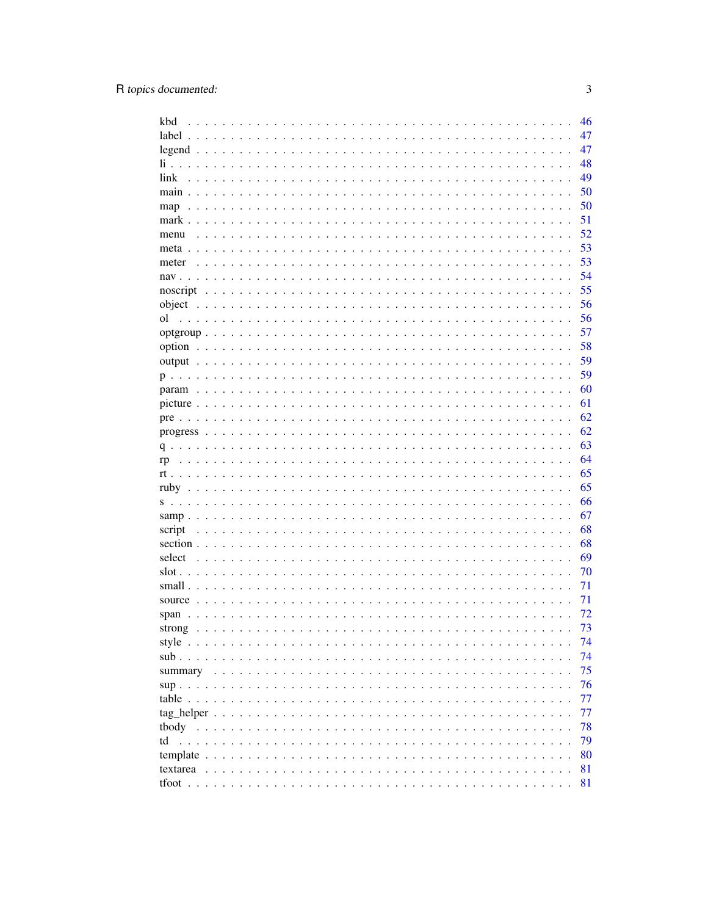| kbd                                                                                     | 46 |
|-----------------------------------------------------------------------------------------|----|
| $label \ldots$                                                                          | 47 |
|                                                                                         | 47 |
| li                                                                                      | 48 |
| link                                                                                    | 49 |
| $main \dots$                                                                            | 50 |
| $map \dots \dots$                                                                       | 50 |
| $mark \dots$                                                                            | 51 |
| menu                                                                                    | 52 |
|                                                                                         | 53 |
|                                                                                         | 53 |
| meter                                                                                   |    |
|                                                                                         | 54 |
|                                                                                         | 55 |
|                                                                                         | 56 |
| οl                                                                                      | 56 |
|                                                                                         | 57 |
|                                                                                         | 58 |
|                                                                                         | 59 |
|                                                                                         | 59 |
|                                                                                         | 60 |
|                                                                                         | 61 |
|                                                                                         | 62 |
|                                                                                         | 62 |
| q.                                                                                      | 63 |
| rp                                                                                      | 64 |
|                                                                                         | 65 |
|                                                                                         | 65 |
|                                                                                         | 66 |
|                                                                                         |    |
|                                                                                         | 67 |
| script                                                                                  | 68 |
|                                                                                         | 68 |
| select                                                                                  | 69 |
|                                                                                         | 70 |
| small $\ldots$                                                                          | 71 |
| source                                                                                  | 71 |
|                                                                                         | 72 |
| strong                                                                                  | 73 |
|                                                                                         | 74 |
| sub.<br>.                                                                               | 74 |
| summary                                                                                 | 75 |
|                                                                                         | 76 |
|                                                                                         | 77 |
|                                                                                         | 77 |
|                                                                                         | 78 |
| td                                                                                      | 79 |
|                                                                                         | 80 |
| template $\ldots \ldots \ldots \ldots \ldots \ldots \ldots \ldots \ldots \ldots \ldots$ |    |
|                                                                                         | 81 |
|                                                                                         | 81 |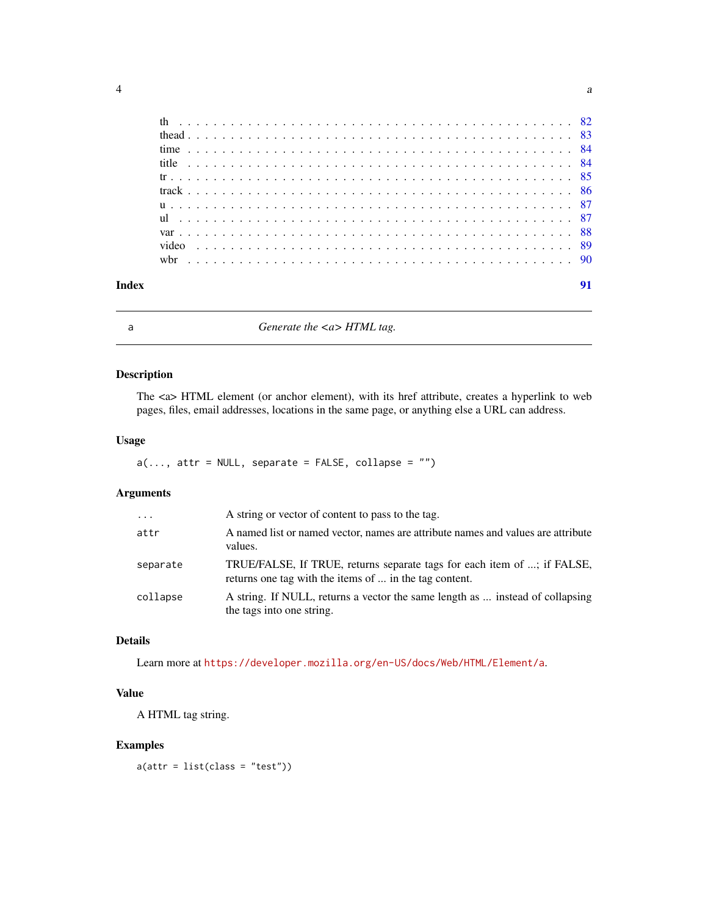<span id="page-3-0"></span>

|  |  |  |  |  |  |  |  |  |  |  |  |  |  |  |  |  |  |  |  |  |  |  | 91 |
|--|--|--|--|--|--|--|--|--|--|--|--|--|--|--|--|--|--|--|--|--|--|--|----|
|  |  |  |  |  |  |  |  |  |  |  |  |  |  |  |  |  |  |  |  |  |  |  |    |
|  |  |  |  |  |  |  |  |  |  |  |  |  |  |  |  |  |  |  |  |  |  |  |    |
|  |  |  |  |  |  |  |  |  |  |  |  |  |  |  |  |  |  |  |  |  |  |  |    |
|  |  |  |  |  |  |  |  |  |  |  |  |  |  |  |  |  |  |  |  |  |  |  |    |
|  |  |  |  |  |  |  |  |  |  |  |  |  |  |  |  |  |  |  |  |  |  |  |    |
|  |  |  |  |  |  |  |  |  |  |  |  |  |  |  |  |  |  |  |  |  |  |  |    |
|  |  |  |  |  |  |  |  |  |  |  |  |  |  |  |  |  |  |  |  |  |  |  |    |
|  |  |  |  |  |  |  |  |  |  |  |  |  |  |  |  |  |  |  |  |  |  |  |    |
|  |  |  |  |  |  |  |  |  |  |  |  |  |  |  |  |  |  |  |  |  |  |  |    |
|  |  |  |  |  |  |  |  |  |  |  |  |  |  |  |  |  |  |  |  |  |  |  |    |
|  |  |  |  |  |  |  |  |  |  |  |  |  |  |  |  |  |  |  |  |  |  |  |    |

a *Generate the <a> HTML tag.*

## Description

The <a> HTML element (or anchor element), with its href attribute, creates a hyperlink to web pages, files, email addresses, locations in the same page, or anything else a URL can address.

## Usage

```
a(\ldots, \text{attr} = \text{NULL}, \text{ separate} = \text{FALSE}, \text{ collapse} = \text{""\;})
```
## Arguments

| $\cdots$ | A string or vector of content to pass to the tag.                                                                                 |
|----------|-----------------------------------------------------------------------------------------------------------------------------------|
| attr     | A named list or named vector, names are attribute names and values are attribute<br>values.                                       |
| separate | TRUE/FALSE, If TRUE, returns separate tags for each item of ; if FALSE,<br>returns one tag with the items of  in the tag content. |
| collapse | A string. If NULL, returns a vector the same length as  instead of collapsing<br>the tags into one string.                        |

## Details

Learn more at <https://developer.mozilla.org/en-US/docs/Web/HTML/Element/a>.

## Value

A HTML tag string.

## Examples

 $a(attr = list(class = "test"))$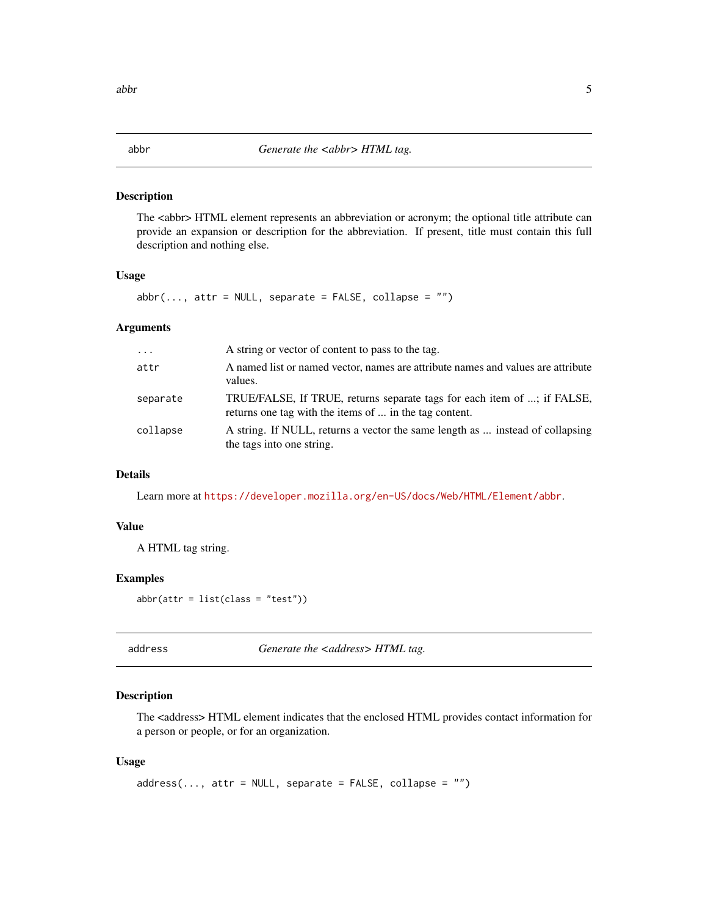#### <span id="page-4-0"></span>abbr *Generate the <abbr> HTML tag.*

#### Description

The <abbr> HTML element represents an abbreviation or acronym; the optional title attribute can provide an expansion or description for the abbreviation. If present, title must contain this full description and nothing else.

## Usage

 $abbr(..., attr = NULL, separate = FALSE, collapse = "")$ 

#### Arguments

| $\cdots$ | A string or vector of content to pass to the tag.                                                                                 |
|----------|-----------------------------------------------------------------------------------------------------------------------------------|
| attr     | A named list or named vector, names are attribute names and values are attribute<br>values.                                       |
| separate | TRUE/FALSE, If TRUE, returns separate tags for each item of ; if FALSE,<br>returns one tag with the items of  in the tag content. |
| collapse | A string. If NULL, returns a vector the same length as  instead of collapsing<br>the tags into one string.                        |

## Details

Learn more at <https://developer.mozilla.org/en-US/docs/Web/HTML/Element/abbr>.

## Value

A HTML tag string.

## Examples

 $abbr(attr = list(class = "test"))$ 

address *Generate the <address> HTML tag.* 

## Description

The <address> HTML element indicates that the enclosed HTML provides contact information for a person or people, or for an organization.

#### Usage

```
address(..., attr = NULL, separate = FALSE, collapse = "")
```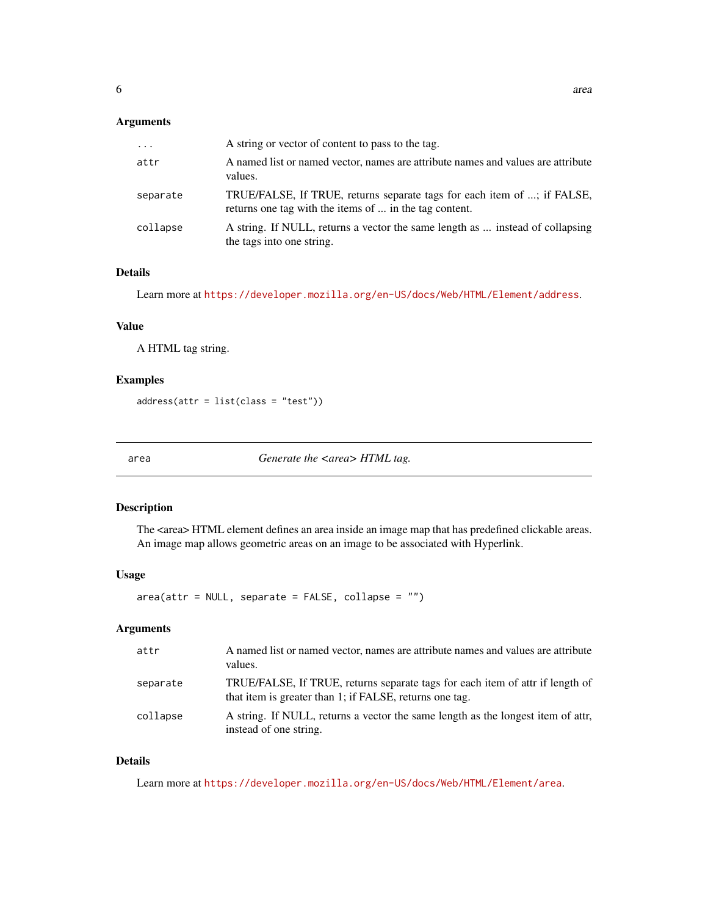<span id="page-5-0"></span>

| $\cdots$ | A string or vector of content to pass to the tag.                                                                                 |
|----------|-----------------------------------------------------------------------------------------------------------------------------------|
| attr     | A named list or named vector, names are attribute names and values are attribute<br>values.                                       |
| separate | TRUE/FALSE, If TRUE, returns separate tags for each item of ; if FALSE,<br>returns one tag with the items of  in the tag content. |
| collapse | A string. If NULL, returns a vector the same length as  instead of collapsing<br>the tags into one string.                        |

## Details

Learn more at <https://developer.mozilla.org/en-US/docs/Web/HTML/Element/address>.

#### Value

A HTML tag string.

## Examples

address(attr = list(class = "test"))

area *Generate the <area> HTML tag.*

## Description

The <area> HTML element defines an area inside an image map that has predefined clickable areas. An image map allows geometric areas on an image to be associated with Hyperlink.

#### Usage

area(attr = NULL, separate = FALSE, collapse = "")

## Arguments

| attr     | A named list or named vector, names are attribute names and values are attribute<br>values.                                              |
|----------|------------------------------------------------------------------------------------------------------------------------------------------|
| separate | TRUE/FALSE, If TRUE, returns separate tags for each item of attr if length of<br>that item is greater than 1; if FALSE, returns one tag. |
| collapse | A string. If NULL, returns a vector the same length as the longest item of attr.<br>instead of one string.                               |

## Details

Learn more at <https://developer.mozilla.org/en-US/docs/Web/HTML/Element/area>.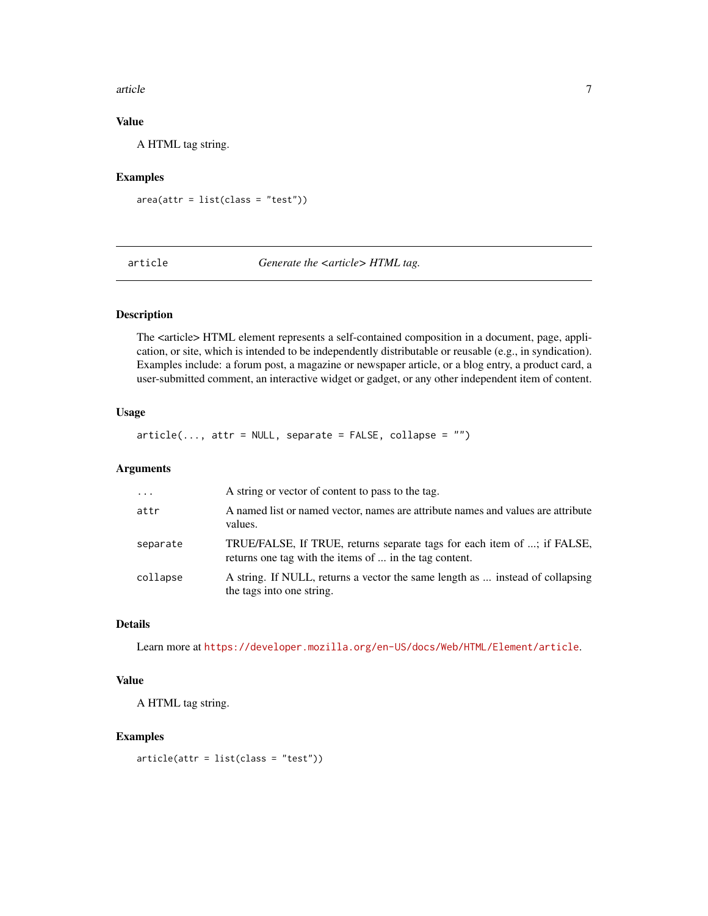#### <span id="page-6-0"></span>article 7 and 7 and 7 and 7 and 7 and 7 and 7 and 7 and 7 and 7 and 7 and 7 and 7 and 7 and 7 and 7 and 7 and 7

## Value

A HTML tag string.

## Examples

 $area(attr = list(class = "test"))$ 

article *Generate the <article> HTML tag.*

## Description

The <article> HTML element represents a self-contained composition in a document, page, application, or site, which is intended to be independently distributable or reusable (e.g., in syndication). Examples include: a forum post, a magazine or newspaper article, or a blog entry, a product card, a user-submitted comment, an interactive widget or gadget, or any other independent item of content.

## Usage

 $article(..., attr = NULL, separate = FALSE, collapse = "")$ 

## Arguments

| $\cdot$  | A string or vector of content to pass to the tag.                                                                                 |
|----------|-----------------------------------------------------------------------------------------------------------------------------------|
| attr     | A named list or named vector, names are attribute names and values are attribute<br>values.                                       |
| separate | TRUE/FALSE, If TRUE, returns separate tags for each item of ; if FALSE,<br>returns one tag with the items of  in the tag content. |
| collapse | A string. If NULL, returns a vector the same length as  instead of collapsing<br>the tags into one string.                        |

## Details

Learn more at <https://developer.mozilla.org/en-US/docs/Web/HTML/Element/article>.

## Value

A HTML tag string.

#### Examples

 $article (attr = list (class = "test"))$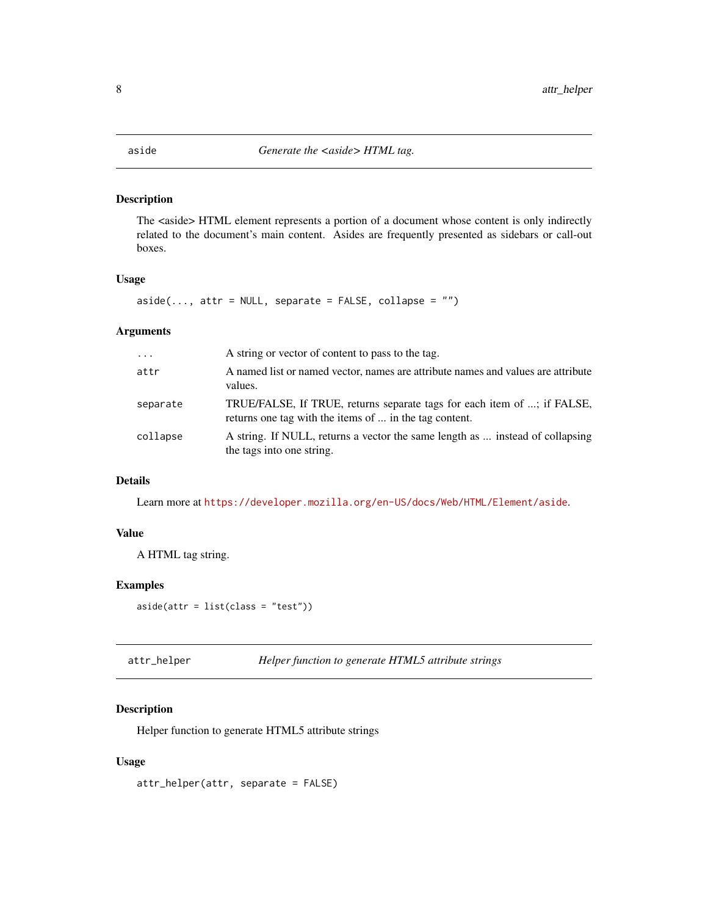<span id="page-7-0"></span>The <aside> HTML element represents a portion of a document whose content is only indirectly related to the document's main content. Asides are frequently presented as sidebars or call-out boxes.

## Usage

 $aside(..., attr = NULL, separate = FALSE, collapse = "")$ 

## Arguments

| $\cdot$ $\cdot$ $\cdot$ | A string or vector of content to pass to the tag.                                                                                 |
|-------------------------|-----------------------------------------------------------------------------------------------------------------------------------|
| attr                    | A named list or named vector, names are attribute names and values are attribute<br>values.                                       |
| separate                | TRUE/FALSE, If TRUE, returns separate tags for each item of ; if FALSE,<br>returns one tag with the items of  in the tag content. |
| collapse                | A string. If NULL, returns a vector the same length as  instead of collapsing<br>the tags into one string.                        |

## Details

Learn more at <https://developer.mozilla.org/en-US/docs/Web/HTML/Element/aside>.

#### Value

A HTML tag string.

## Examples

 $aside(attr = list(class = "test"))$ 

attr\_helper *Helper function to generate HTML5 attribute strings*

## Description

Helper function to generate HTML5 attribute strings

## Usage

attr\_helper(attr, separate = FALSE)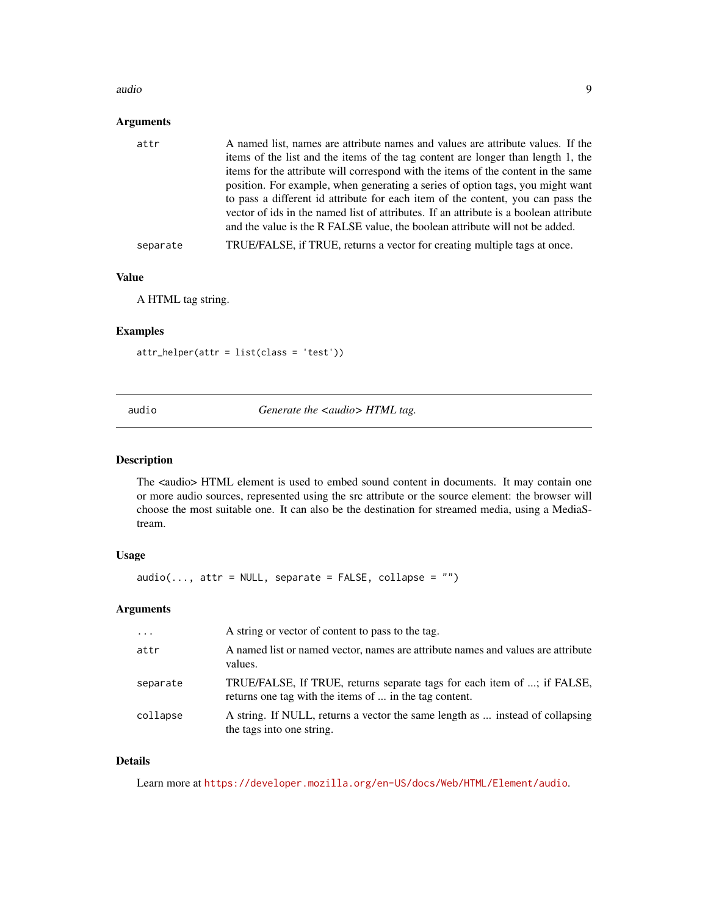#### <span id="page-8-0"></span>audio 9

## Arguments

| attr     | A named list, names are attribute names and values are attribute values. If the<br>items of the list and the items of the tag content are longer than length 1, the<br>items for the attribute will correspond with the items of the content in the same<br>position. For example, when generating a series of option tags, you might want<br>to pass a different id attribute for each item of the content, you can pass the<br>vector of ids in the named list of attributes. If an attribute is a boolean attribute |
|----------|------------------------------------------------------------------------------------------------------------------------------------------------------------------------------------------------------------------------------------------------------------------------------------------------------------------------------------------------------------------------------------------------------------------------------------------------------------------------------------------------------------------------|
|          | and the value is the R FALSE value, the boolean attribute will not be added.                                                                                                                                                                                                                                                                                                                                                                                                                                           |
| separate | TRUE/FALSE, if TRUE, returns a vector for creating multiple tags at once.                                                                                                                                                                                                                                                                                                                                                                                                                                              |
|          |                                                                                                                                                                                                                                                                                                                                                                                                                                                                                                                        |

### Value

A HTML tag string.

## Examples

attr\_helper(attr = list(class = 'test'))

audio **Generate the <audio> HTML** tag.

#### Description

The <audio> HTML element is used to embed sound content in documents. It may contain one or more audio sources, represented using the src attribute or the source element: the browser will choose the most suitable one. It can also be the destination for streamed media, using a MediaStream.

#### Usage

 $audio(\ldots, attr = NULL, separate = FALSE, collapse = "")$ 

## Arguments

| $\cdot$  | A string or vector of content to pass to the tag.                                                                                 |
|----------|-----------------------------------------------------------------------------------------------------------------------------------|
| attr     | A named list or named vector, names are attribute names and values are attribute<br>values.                                       |
| separate | TRUE/FALSE, If TRUE, returns separate tags for each item of ; if FALSE,<br>returns one tag with the items of  in the tag content. |
| collapse | A string. If NULL, returns a vector the same length as  instead of collapsing<br>the tags into one string.                        |

## Details

Learn more at <https://developer.mozilla.org/en-US/docs/Web/HTML/Element/audio>.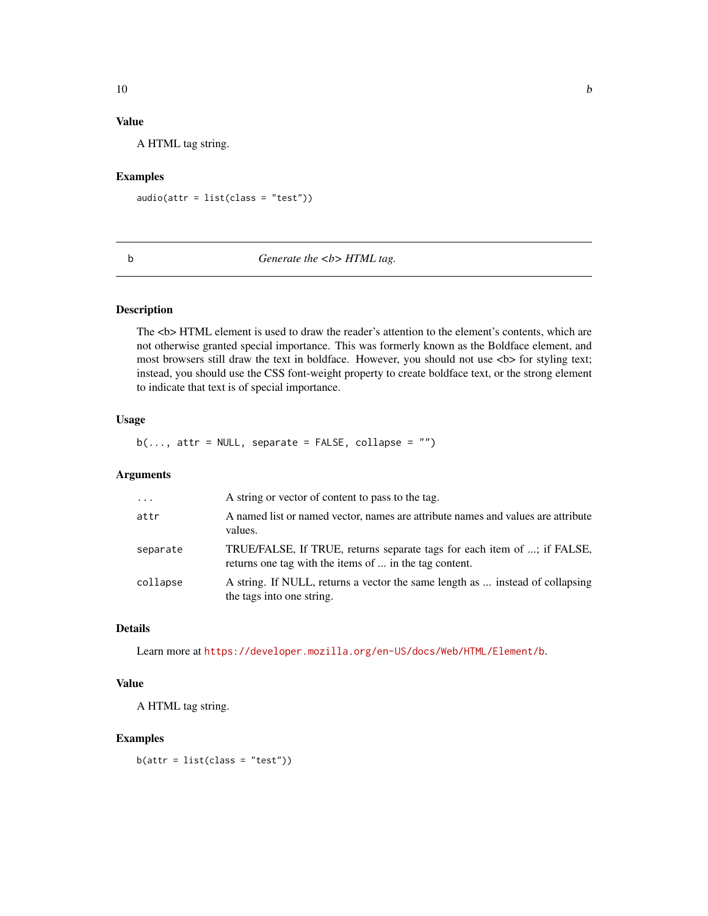## Value

A HTML tag string.

#### Examples

 $audio(attr = list(class = "test"))$ 

#### b *Generate the <b> HTML tag.*

#### Description

The  **element is used to draw the reader's attention to the element's contents, which are** not otherwise granted special importance. This was formerly known as the Boldface element, and most browsers still draw the text in boldface. However, you should not use  **for styling text;** instead, you should use the CSS font-weight property to create boldface text, or the strong element to indicate that text is of special importance.

## Usage

 $b(\ldots, \text{attr} = \text{NULL}, \text{ separate} = \text{FALSE}, \text{ collapse} = \text{""\,})$ 

#### Arguments

| $\ddots$ | A string or vector of content to pass to the tag.                                                                                 |
|----------|-----------------------------------------------------------------------------------------------------------------------------------|
| attr     | A named list or named vector, names are attribute names and values are attribute<br>values.                                       |
| separate | TRUE/FALSE, If TRUE, returns separate tags for each item of ; if FALSE,<br>returns one tag with the items of  in the tag content. |
| collapse | A string. If NULL, returns a vector the same length as  instead of collapsing<br>the tags into one string.                        |

## Details

Learn more at <https://developer.mozilla.org/en-US/docs/Web/HTML/Element/b>.

#### Value

A HTML tag string.

#### Examples

 $b(attr = list(class = "test"))$ 

<span id="page-9-0"></span> $10$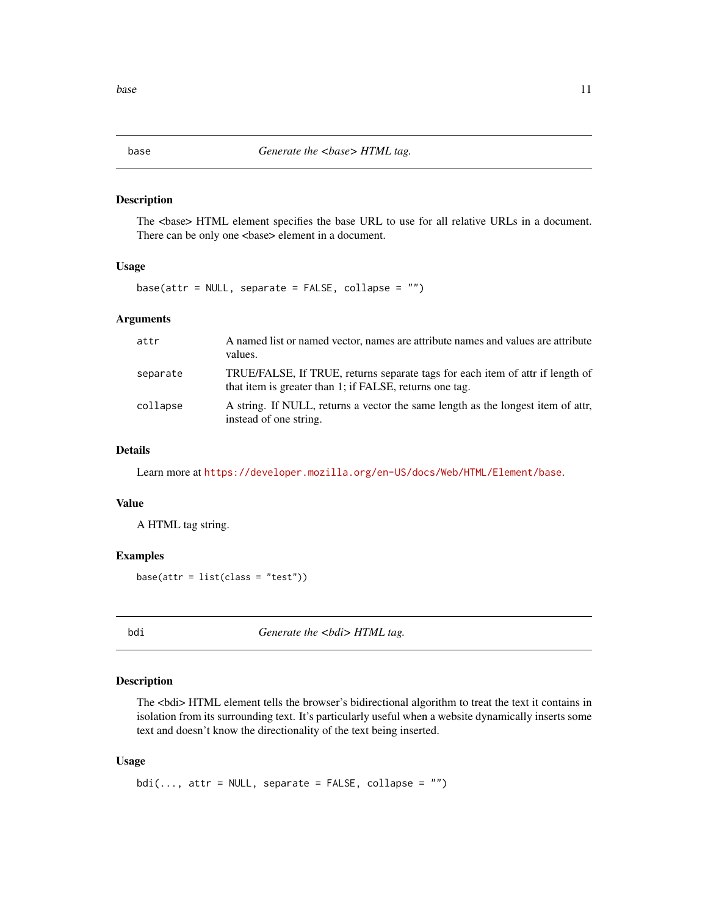The <br/>base> HTML element specifies the base URL to use for all relative URLs in a document. There can be only one <br/>base> element in a document.

## Usage

 $base(attr = NULL, separate = FALSE, collapse = "")$ 

#### Arguments

| attr     | A named list or named vector, names are attribute names and values are attribute<br>values.                                              |
|----------|------------------------------------------------------------------------------------------------------------------------------------------|
| separate | TRUE/FALSE, If TRUE, returns separate tags for each item of attr if length of<br>that item is greater than 1; if FALSE, returns one tag. |
| collapse | A string. If NULL, returns a vector the same length as the longest item of attr.<br>instead of one string.                               |

#### Details

Learn more at <https://developer.mozilla.org/en-US/docs/Web/HTML/Element/base>.

#### Value

A HTML tag string.

#### Examples

 $base(attr = list(class = "test"))$ 

bdi *Generate the <bdi> HTML tag.*

## Description

The <bdi> HTML element tells the browser's bidirectional algorithm to treat the text it contains in isolation from its surrounding text. It's particularly useful when a website dynamically inserts some text and doesn't know the directionality of the text being inserted.

#### Usage

 $bdi(..., attr = NULL, separate = FALSE, collapse = "")$ 

<span id="page-10-0"></span>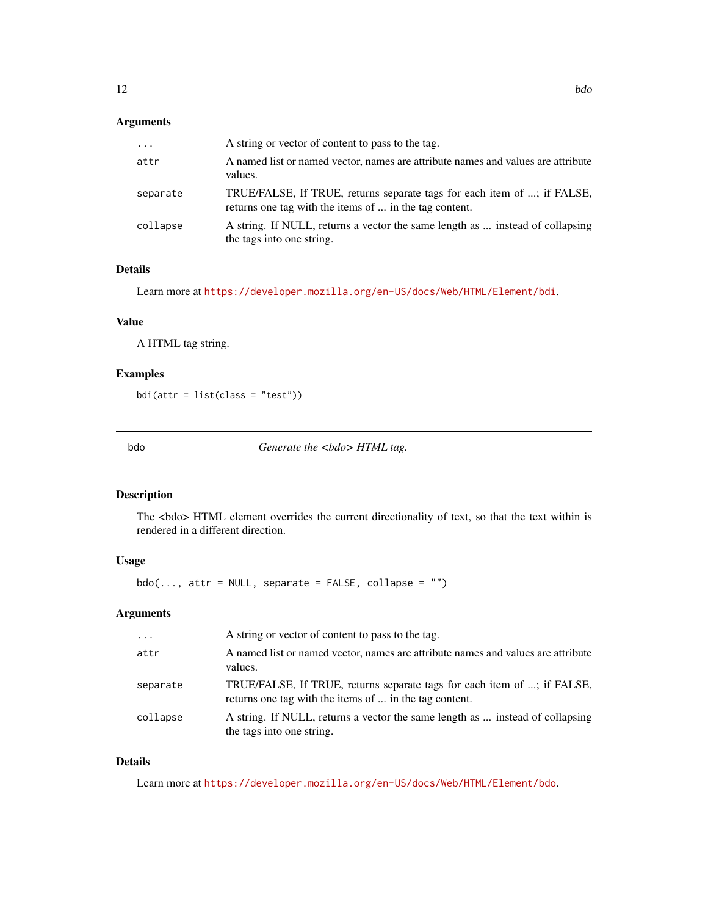<span id="page-11-0"></span>

| $\cdots$ | A string or vector of content to pass to the tag.                                                                                 |
|----------|-----------------------------------------------------------------------------------------------------------------------------------|
| attr     | A named list or named vector, names are attribute names and values are attribute<br>values.                                       |
| separate | TRUE/FALSE, If TRUE, returns separate tags for each item of ; if FALSE,<br>returns one tag with the items of  in the tag content. |
| collapse | A string. If NULL, returns a vector the same length as  instead of collapsing<br>the tags into one string.                        |

## Details

Learn more at <https://developer.mozilla.org/en-US/docs/Web/HTML/Element/bdi>.

## Value

A HTML tag string.

## Examples

bdi(attr = list(class = "test"))

bdo *Generate the <bdo> HTML tag.*

## Description

The <br/>bdo> HTML element overrides the current directionality of text, so that the text within is rendered in a different direction.

## Usage

 $bdo(..., attr = NULL, separate = FALSE, collapse = "")$ 

#### Arguments

| $\cdot$  | A string or vector of content to pass to the tag.                                                                                 |
|----------|-----------------------------------------------------------------------------------------------------------------------------------|
| attr     | A named list or named vector, names are attribute names and values are attribute<br>values.                                       |
| separate | TRUE/FALSE, If TRUE, returns separate tags for each item of ; if FALSE,<br>returns one tag with the items of  in the tag content. |
| collapse | A string. If NULL, returns a vector the same length as  instead of collapsing<br>the tags into one string.                        |

## Details

Learn more at <https://developer.mozilla.org/en-US/docs/Web/HTML/Element/bdo>.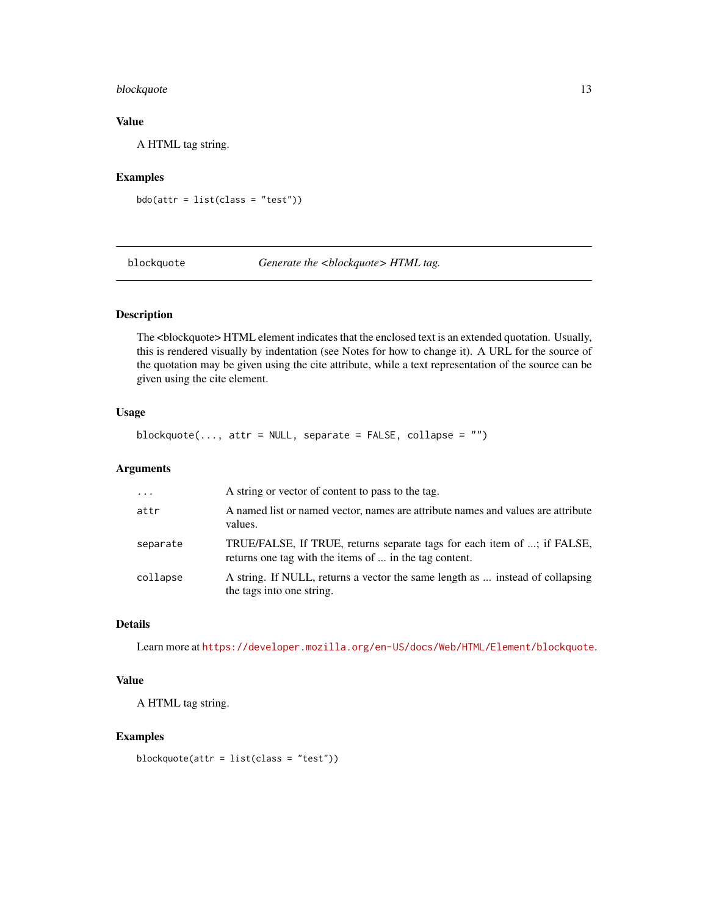## <span id="page-12-0"></span>blockquote 13

## Value

A HTML tag string.

## Examples

bdo(attr = list(class = "test"))

blockquote *Generate the <blockquote> HTML tag.*

## Description

The <br/>blockquote> HTML element indicates that the enclosed text is an extended quotation. Usually, this is rendered visually by indentation (see Notes for how to change it). A URL for the source of the quotation may be given using the cite attribute, while a text representation of the source can be given using the cite element.

## Usage

 $blockquote(..., attr = NULL, separate = FALSE, collapse = "")$ 

## Arguments

| $\cdot \cdot \cdot$ | A string or vector of content to pass to the tag.                                                                                 |
|---------------------|-----------------------------------------------------------------------------------------------------------------------------------|
| attr                | A named list or named vector, names are attribute names and values are attribute<br>values.                                       |
| separate            | TRUE/FALSE, If TRUE, returns separate tags for each item of ; if FALSE,<br>returns one tag with the items of  in the tag content. |
| collapse            | A string. If NULL, returns a vector the same length as  instead of collapsing<br>the tags into one string.                        |

## Details

Learn more at <https://developer.mozilla.org/en-US/docs/Web/HTML/Element/blockquote>.

## Value

A HTML tag string.

#### Examples

blockquote(attr = list(class = "test"))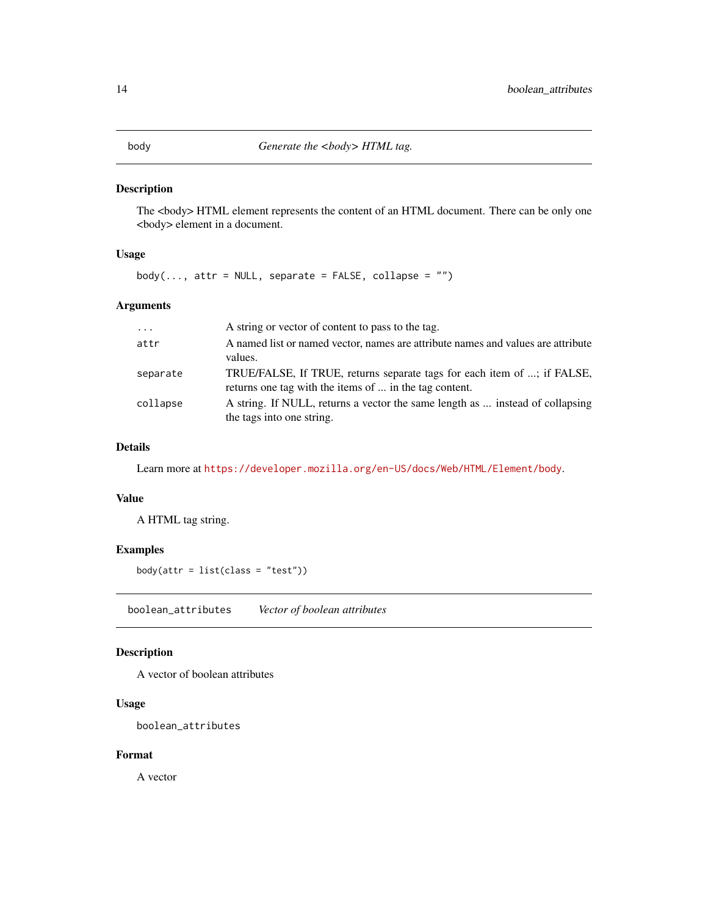<span id="page-13-0"></span>

The <br/>body> HTML element represents the content of an HTML document. There can be only one <body> element in a document.

## Usage

 $body(\ldots, attr = NULL, separate = FALSE, collapse = "")$ 

## Arguments

| $\cdot$  | A string or vector of content to pass to the tag.                                |
|----------|----------------------------------------------------------------------------------|
| attr     | A named list or named vector, names are attribute names and values are attribute |
|          | values.                                                                          |
| separate | TRUE/FALSE, If TRUE, returns separate tags for each item of ; if FALSE,          |
|          | returns one tag with the items of  in the tag content.                           |
| collapse | A string. If NULL, returns a vector the same length as  instead of collapsing    |
|          | the tags into one string.                                                        |

## Details

Learn more at <https://developer.mozilla.org/en-US/docs/Web/HTML/Element/body>.

#### Value

A HTML tag string.

### Examples

```
body(attr = list(class = "test"))
```
boolean\_attributes *Vector of boolean attributes*

## Description

A vector of boolean attributes

## Usage

boolean\_attributes

## Format

A vector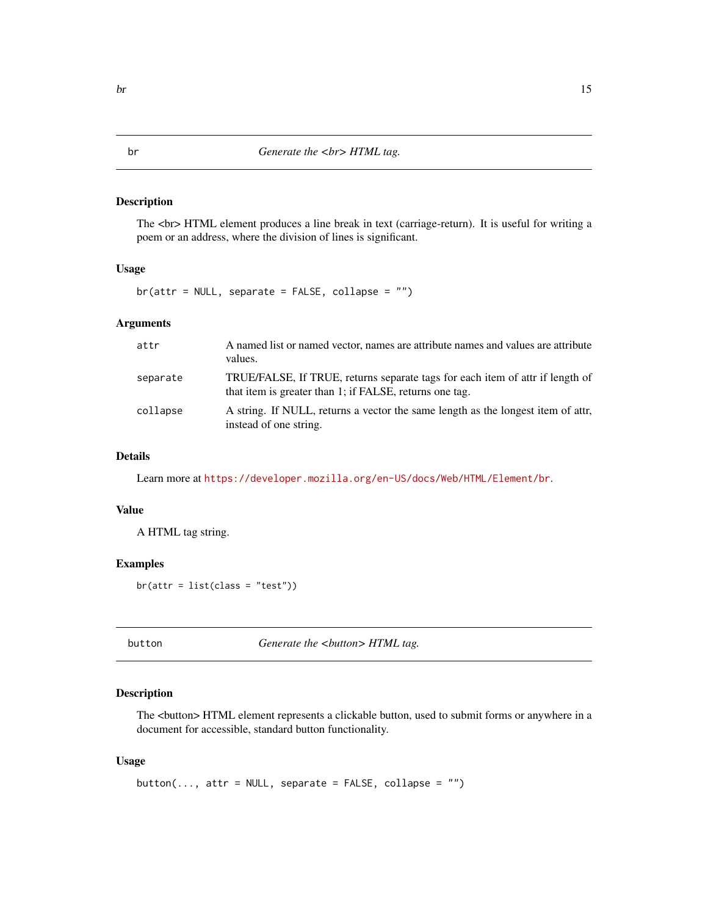<span id="page-14-0"></span>The <br> HTML element produces a line break in text (carriage-return). It is useful for writing a poem or an address, where the division of lines is significant.

## Usage

br(attr = NULL, separate = FALSE, collapse = "")

## Arguments

| attr     | A named list or named vector, names are attribute names and values are attribute<br>values.                                              |
|----------|------------------------------------------------------------------------------------------------------------------------------------------|
| separate | TRUE/FALSE, If TRUE, returns separate tags for each item of attr if length of<br>that item is greater than 1; if FALSE, returns one tag. |
| collapse | A string. If NULL, returns a vector the same length as the longest item of attr.<br>instead of one string.                               |

## Details

Learn more at <https://developer.mozilla.org/en-US/docs/Web/HTML/Element/br>.

## Value

A HTML tag string.

#### Examples

br(attr = list(class = "test"))

button **Generate the <br/>Sultion> HTML tag.** 

## Description

The <br/> <br/>  $\text{HTML element represents a clickable button, used to submit forms or anywhere in a}$ document for accessible, standard button functionality.

#### Usage

button(..., attr = NULL, separate = FALSE, collapse =  $"$ ")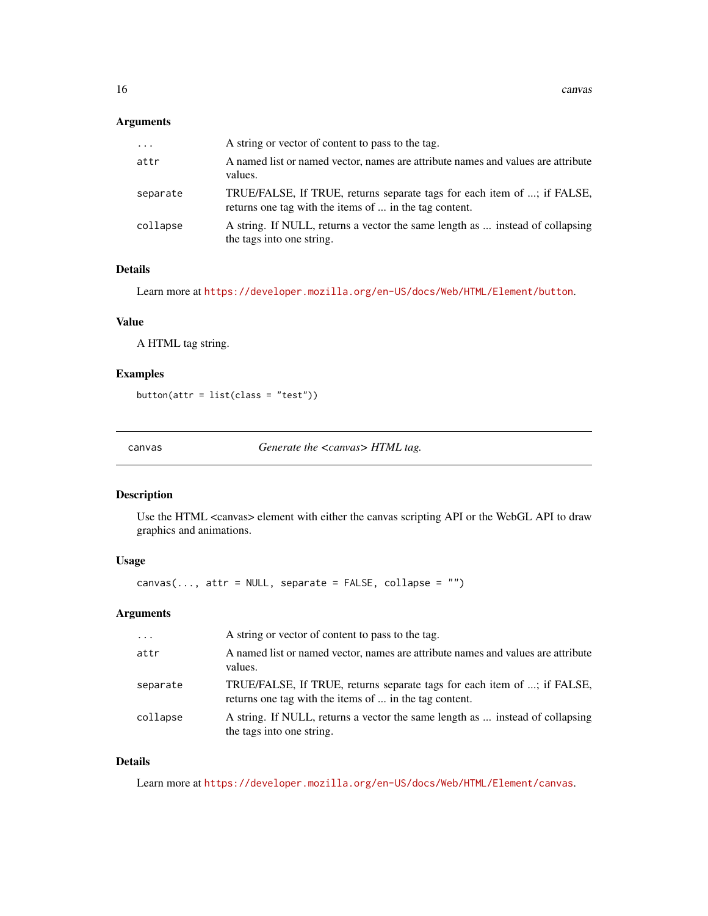<span id="page-15-0"></span>

| $\cdots$ | A string or vector of content to pass to the tag.                                                                                 |
|----------|-----------------------------------------------------------------------------------------------------------------------------------|
| attr     | A named list or named vector, names are attribute names and values are attribute<br>values.                                       |
| separate | TRUE/FALSE, If TRUE, returns separate tags for each item of ; if FALSE,<br>returns one tag with the items of  in the tag content. |
| collapse | A string. If NULL, returns a vector the same length as  instead of collapsing<br>the tags into one string.                        |

### Details

Learn more at <https://developer.mozilla.org/en-US/docs/Web/HTML/Element/button>.

## Value

A HTML tag string.

## Examples

button(attr = list(class = "test"))

canvas *Generate the <canvas> HTML tag.*

## Description

Use the HTML <canvas> element with either the canvas scripting API or the WebGL API to draw graphics and animations.

## Usage

 $c$ anvas $(...,$  attr = NULL, separate = FALSE, collapse = "")

#### Arguments

| $\cdot$  | A string or vector of content to pass to the tag.                                                                                 |
|----------|-----------------------------------------------------------------------------------------------------------------------------------|
| attr     | A named list or named vector, names are attribute names and values are attribute<br>values.                                       |
| separate | TRUE/FALSE, If TRUE, returns separate tags for each item of ; if FALSE,<br>returns one tag with the items of  in the tag content. |
| collapse | A string. If NULL, returns a vector the same length as  instead of collapsing<br>the tags into one string.                        |

## Details

Learn more at <https://developer.mozilla.org/en-US/docs/Web/HTML/Element/canvas>.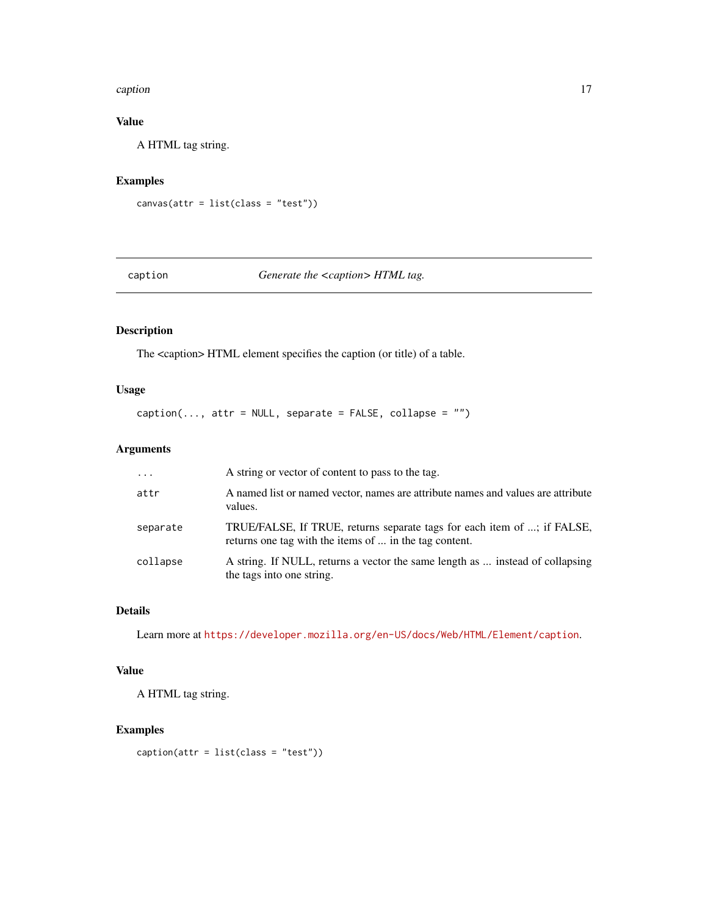#### <span id="page-16-0"></span>caption that the contract of the contract of the contract of the contract of the contract of the contract of the contract of the contract of the contract of the contract of the contract of the contract of the contract of t

## Value

A HTML tag string.

## Examples

```
canvas(attr = list(class = "test"))
```
#### caption *Generate the <caption> HTML tag.*

## Description

The <caption> HTML element specifies the caption (or title) of a table.

## Usage

 $caption(..., attr = NULL, separate = FALSE, collapse = "")$ 

## Arguments

| $\cdot \cdot \cdot$ | A string or vector of content to pass to the tag.                                                                                 |
|---------------------|-----------------------------------------------------------------------------------------------------------------------------------|
| attr                | A named list or named vector, names are attribute names and values are attribute<br>values.                                       |
| separate            | TRUE/FALSE, If TRUE, returns separate tags for each item of ; if FALSE,<br>returns one tag with the items of  in the tag content. |
| collapse            | A string. If NULL, returns a vector the same length as  instead of collapsing<br>the tags into one string.                        |

## Details

Learn more at <https://developer.mozilla.org/en-US/docs/Web/HTML/Element/caption>.

## Value

A HTML tag string.

## Examples

 $caption(attr = list(class = "test"))$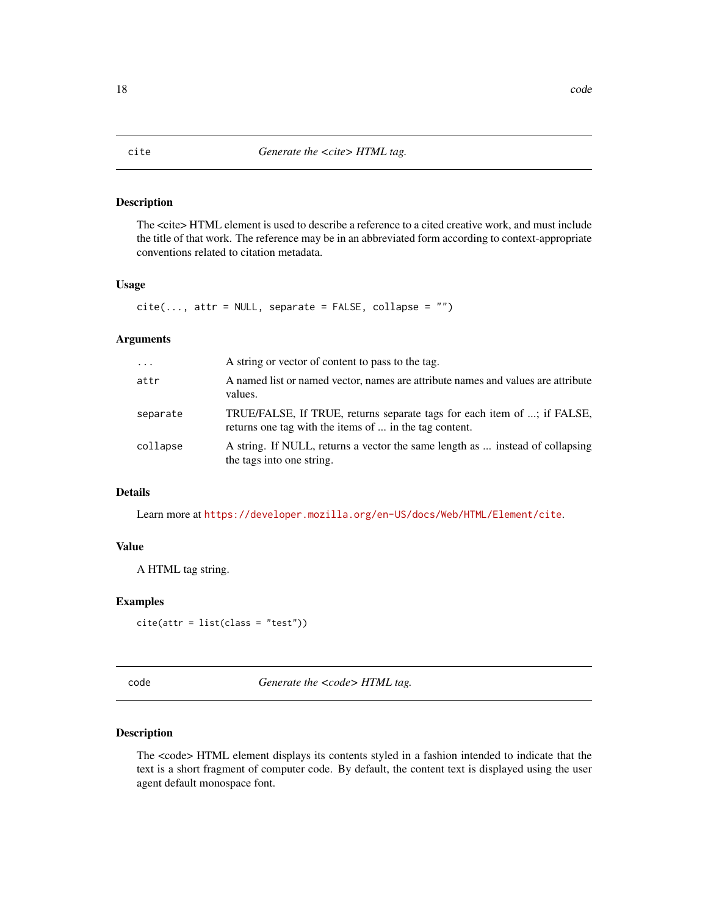<span id="page-17-0"></span>The <cite> HTML element is used to describe a reference to a cited creative work, and must include the title of that work. The reference may be in an abbreviated form according to context-appropriate conventions related to citation metadata.

#### Usage

```
cite(..., attr = NULL, separate = FALSE, collapse = "")
```
#### Arguments

| $\ddots$ . | A string or vector of content to pass to the tag.                                                                                 |
|------------|-----------------------------------------------------------------------------------------------------------------------------------|
| attr       | A named list or named vector, names are attribute names and values are attribute<br>values.                                       |
| separate   | TRUE/FALSE, If TRUE, returns separate tags for each item of ; if FALSE,<br>returns one tag with the items of  in the tag content. |
| collapse   | A string. If NULL, returns a vector the same length as  instead of collapsing<br>the tags into one string.                        |

## Details

Learn more at <https://developer.mozilla.org/en-US/docs/Web/HTML/Element/cite>.

## Value

A HTML tag string.

#### Examples

```
cite(attr = list(class = "test"))
```
code **Generate the <code>HTML** tag.

#### Description

The <code> HTML element displays its contents styled in a fashion intended to indicate that the text is a short fragment of computer code. By default, the content text is displayed using the user agent default monospace font.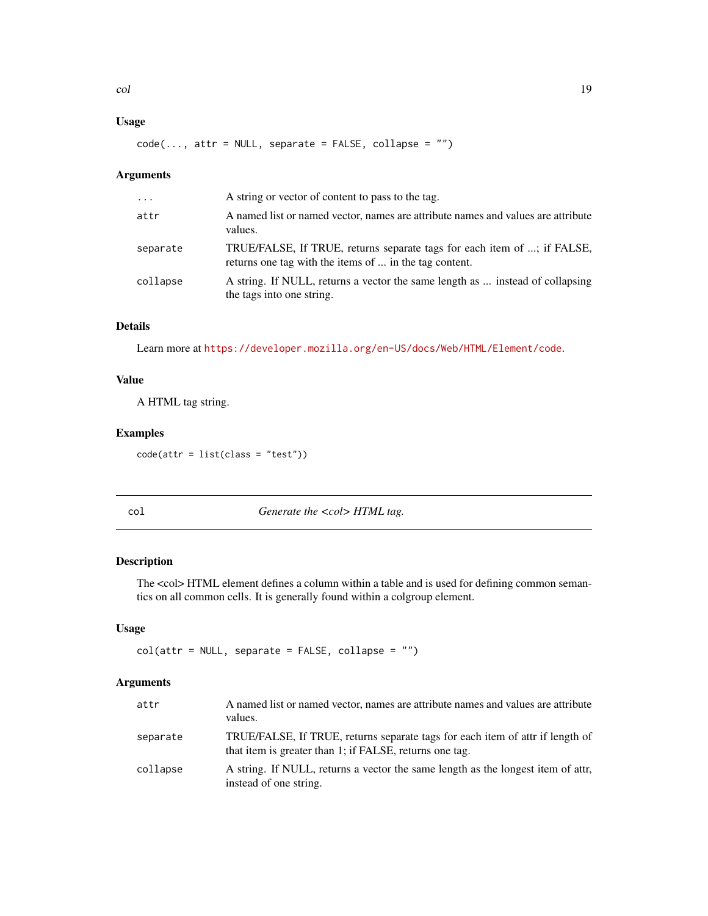## <span id="page-18-0"></span>Usage

 $code(..., attr = NULL, separate = FALSE, collapse = "")$ 

## Arguments

| $\cdot$  | A string or vector of content to pass to the tag.                                                                                 |
|----------|-----------------------------------------------------------------------------------------------------------------------------------|
| attr     | A named list or named vector, names are attribute names and values are attribute<br>values.                                       |
| separate | TRUE/FALSE, If TRUE, returns separate tags for each item of ; if FALSE,<br>returns one tag with the items of  in the tag content. |
| collapse | A string. If NULL, returns a vector the same length as  instead of collapsing<br>the tags into one string.                        |

## Details

Learn more at <https://developer.mozilla.org/en-US/docs/Web/HTML/Element/code>.

#### Value

A HTML tag string.

#### Examples

 $code(attr = list(class = "test"))$ 

col *Generate the <col> HTML tag.*

## Description

The <col> HTML element defines a column within a table and is used for defining common semantics on all common cells. It is generally found within a colgroup element.

#### Usage

 $col(attr = NULL, separate = FALSE, collapse = ''")$ 

#### Arguments

| attr     | A named list or named vector, names are attribute names and values are attribute<br>values.                                              |
|----------|------------------------------------------------------------------------------------------------------------------------------------------|
| separate | TRUE/FALSE, If TRUE, returns separate tags for each item of attr if length of<br>that item is greater than 1; if FALSE, returns one tag. |
| collapse | A string. If NULL, returns a vector the same length as the longest item of attr.<br>instead of one string.                               |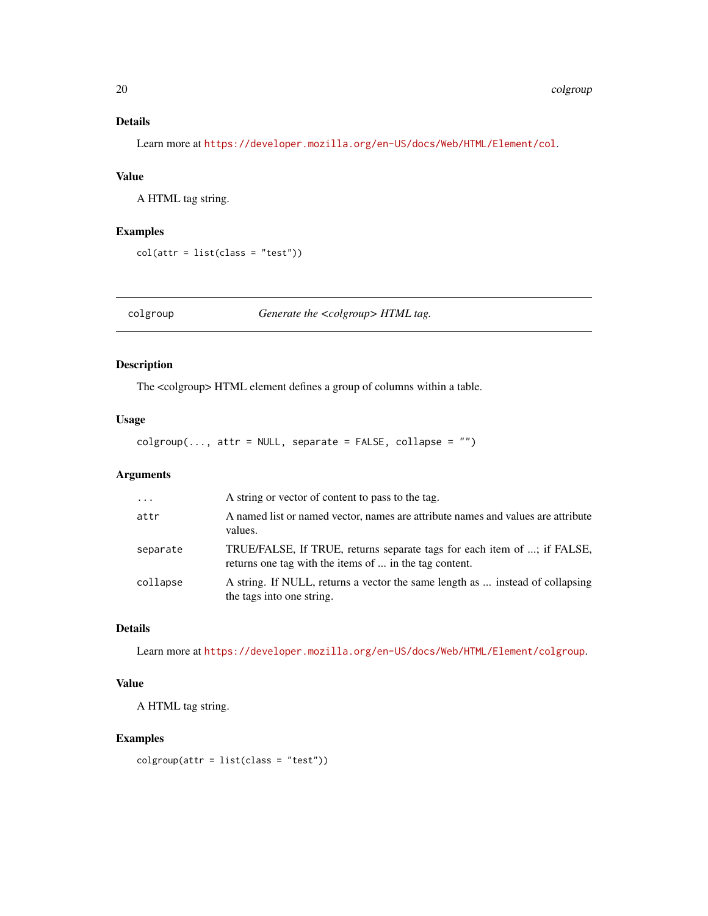## <span id="page-19-0"></span>Details

Learn more at <https://developer.mozilla.org/en-US/docs/Web/HTML/Element/col>.

## Value

A HTML tag string.

#### Examples

col(attr = list(class = "test"))

colgroup *Generate the <colgroup> HTML tag.*

## Description

The <colgroup> HTML element defines a group of columns within a table.

## Usage

 $colgroup(..., attr = NULL, separate = FALSE, collapse = "")$ 

## Arguments

| $\ddots$ | A string or vector of content to pass to the tag.                                                                                 |
|----------|-----------------------------------------------------------------------------------------------------------------------------------|
| attr     | A named list or named vector, names are attribute names and values are attribute<br>values.                                       |
| separate | TRUE/FALSE, If TRUE, returns separate tags for each item of ; if FALSE,<br>returns one tag with the items of  in the tag content. |
| collapse | A string. If NULL, returns a vector the same length as  instead of collapsing<br>the tags into one string.                        |

## Details

Learn more at <https://developer.mozilla.org/en-US/docs/Web/HTML/Element/colgroup>.

## Value

A HTML tag string.

## Examples

 $colgroup(attr = list(class = "test"))$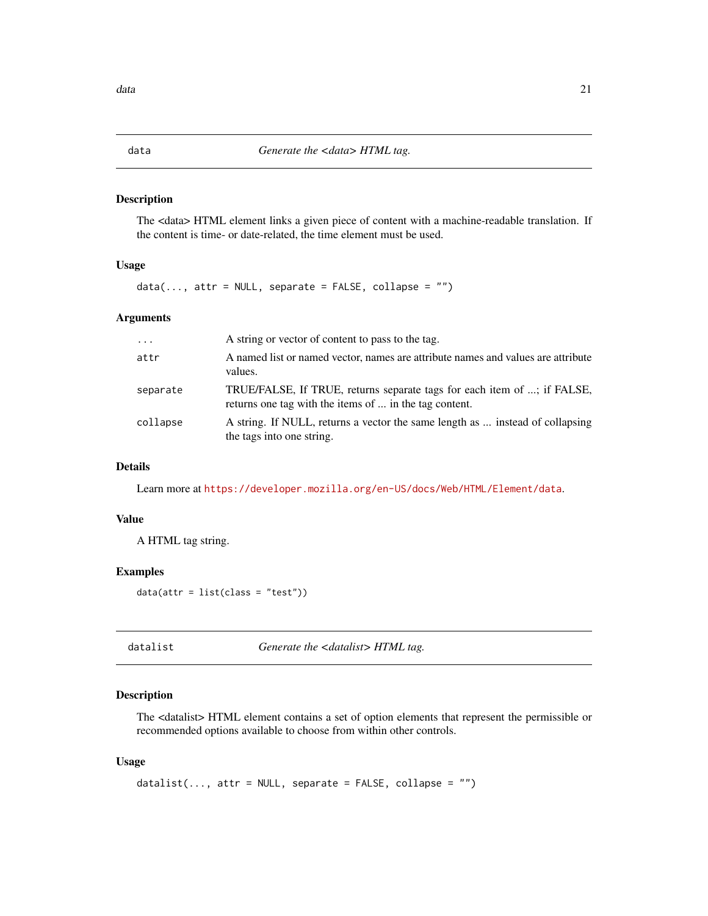The <data> HTML element links a given piece of content with a machine-readable translation. If the content is time- or date-related, the time element must be used.

#### Usage

 $data(..., attr = NULL, separate = FALSE, collapse = "")$ 

## Arguments

| $\cdot$  | A string or vector of content to pass to the tag.                                                                                 |
|----------|-----------------------------------------------------------------------------------------------------------------------------------|
| attr     | A named list or named vector, names are attribute names and values are attribute<br>values.                                       |
| separate | TRUE/FALSE, If TRUE, returns separate tags for each item of ; if FALSE,<br>returns one tag with the items of  in the tag content. |
| collapse | A string. If NULL, returns a vector the same length as  instead of collapsing<br>the tags into one string.                        |

#### Details

Learn more at <https://developer.mozilla.org/en-US/docs/Web/HTML/Element/data>.

#### Value

A HTML tag string.

#### Examples

 $data(attr = list(class = "test"))$ 

datalist *Generate the <datalist> HTML tag.*

#### Description

The <datalist> HTML element contains a set of option elements that represent the permissible or recommended options available to choose from within other controls.

#### Usage

```
datalist(..., attr = NULL, separate = FALSE, collapse = "")
```
<span id="page-20-0"></span>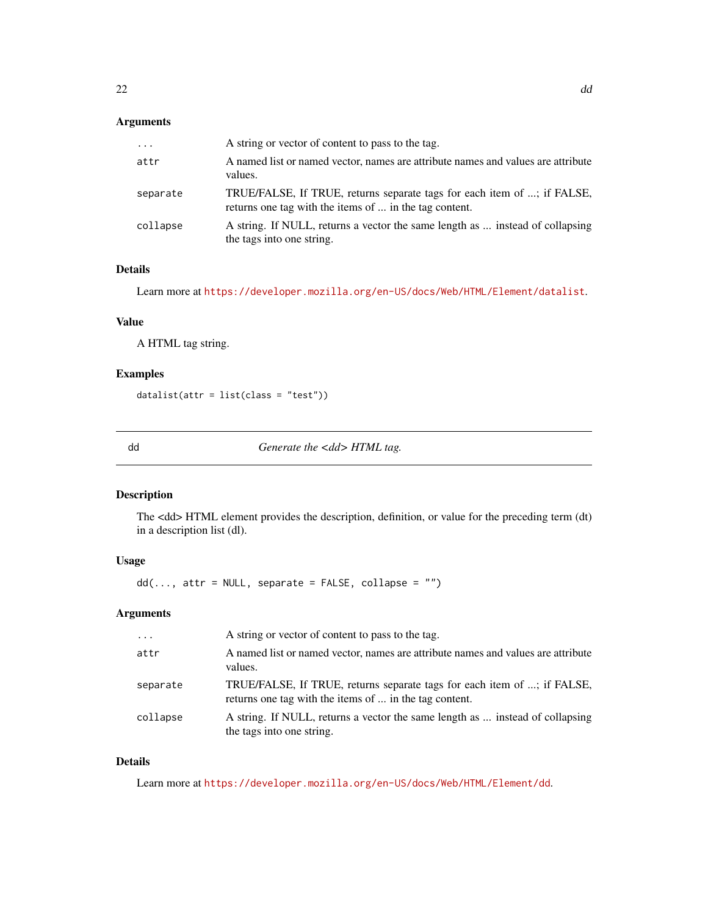<span id="page-21-0"></span>

| $\cdots$ | A string or vector of content to pass to the tag.                                                                                 |
|----------|-----------------------------------------------------------------------------------------------------------------------------------|
| attr     | A named list or named vector, names are attribute names and values are attribute<br>values.                                       |
| separate | TRUE/FALSE, If TRUE, returns separate tags for each item of ; if FALSE,<br>returns one tag with the items of  in the tag content. |
| collapse | A string. If NULL, returns a vector the same length as  instead of collapsing<br>the tags into one string.                        |

## Details

Learn more at <https://developer.mozilla.org/en-US/docs/Web/HTML/Element/datalist>.

## Value

A HTML tag string.

## Examples

datalist(attr = list(class = "test"))

dd *Generate the <dd> HTML tag.*

## Description

The <dd> HTML element provides the description, definition, or value for the preceding term (dt) in a description list (dl).

## Usage

 $dd(..., attr = NULL, separate = FALSE, collapse = "")$ 

#### Arguments

| $\cdot$  | A string or vector of content to pass to the tag.                                                                                 |
|----------|-----------------------------------------------------------------------------------------------------------------------------------|
| attr     | A named list or named vector, names are attribute names and values are attribute<br>values.                                       |
| separate | TRUE/FALSE, If TRUE, returns separate tags for each item of ; if FALSE,<br>returns one tag with the items of  in the tag content. |
| collapse | A string. If NULL, returns a vector the same length as  instead of collapsing<br>the tags into one string.                        |

## Details

Learn more at <https://developer.mozilla.org/en-US/docs/Web/HTML/Element/dd>.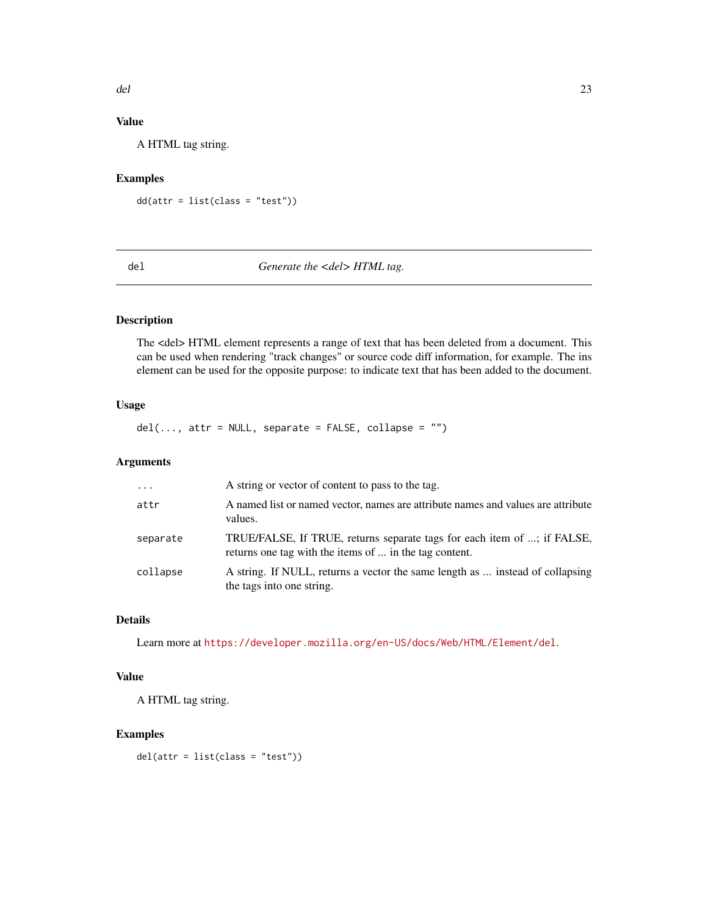## Value

A HTML tag string.

## Examples

 $dd(attr = list(class = "test"))$ 

## del **Generate** the <del>HTML tag.

## Description

The <del> HTML element represents a range of text that has been deleted from a document. This can be used when rendering "track changes" or source code diff information, for example. The ins element can be used for the opposite purpose: to indicate text that has been added to the document.

## Usage

 $del(..., attr = NULL, separate = FALSE, collapse = "")$ 

## Arguments

| $\cdot$ $\cdot$ $\cdot$ | A string or vector of content to pass to the tag.                                                                                 |
|-------------------------|-----------------------------------------------------------------------------------------------------------------------------------|
| attr                    | A named list or named vector, names are attribute names and values are attribute<br>values.                                       |
| separate                | TRUE/FALSE, If TRUE, returns separate tags for each item of ; if FALSE,<br>returns one tag with the items of  in the tag content. |
| collapse                | A string. If NULL, returns a vector the same length as  instead of collapsing<br>the tags into one string.                        |

## Details

Learn more at <https://developer.mozilla.org/en-US/docs/Web/HTML/Element/del>.

## Value

A HTML tag string.

### Examples

del(attr = list(class = "test"))

<span id="page-22-0"></span>del 23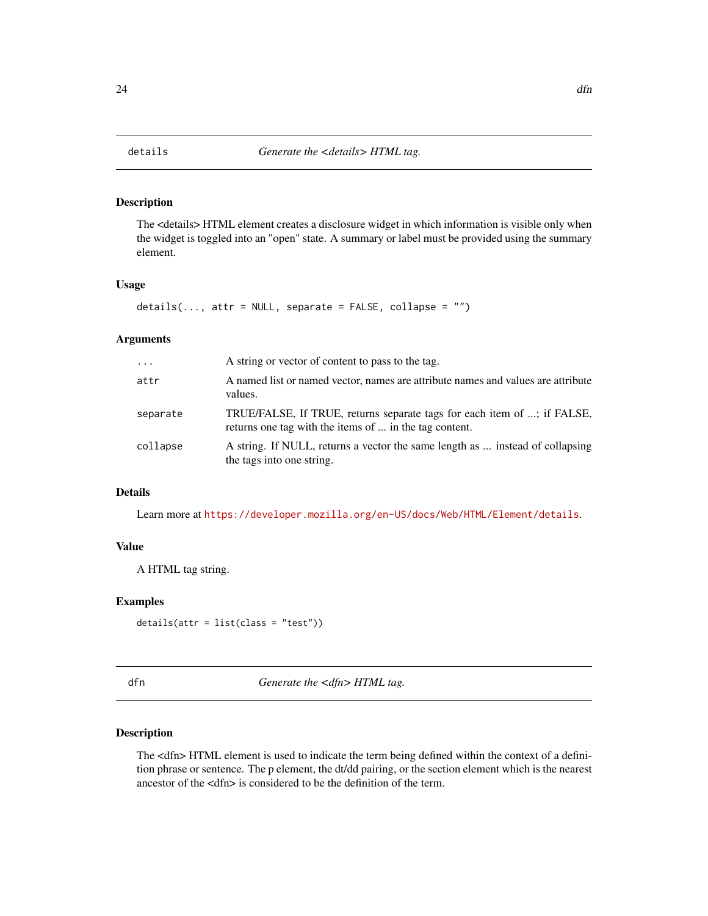<span id="page-23-0"></span>

The <details> HTML element creates a disclosure widget in which information is visible only when the widget is toggled into an "open" state. A summary or label must be provided using the summary element.

#### Usage

```
details(..., attr = NULL, separate = FALSE, collapse = "")
```
## Arguments

| $\cdots$ | A string or vector of content to pass to the tag.                                                                                 |
|----------|-----------------------------------------------------------------------------------------------------------------------------------|
| attr     | A named list or named vector, names are attribute names and values are attribute<br>values.                                       |
| separate | TRUE/FALSE, If TRUE, returns separate tags for each item of ; if FALSE,<br>returns one tag with the items of  in the tag content. |
| collapse | A string. If NULL, returns a vector the same length as  instead of collapsing<br>the tags into one string.                        |

### Details

Learn more at <https://developer.mozilla.org/en-US/docs/Web/HTML/Element/details>.

## Value

A HTML tag string.

#### Examples

```
details(attr = list(class = "test"))
```
dfn *Generate the <dfn> HTML tag.*

#### Description

The <dfn> HTML element is used to indicate the term being defined within the context of a definition phrase or sentence. The p element, the dt/dd pairing, or the section element which is the nearest ancestor of the <dfn> is considered to be the definition of the term.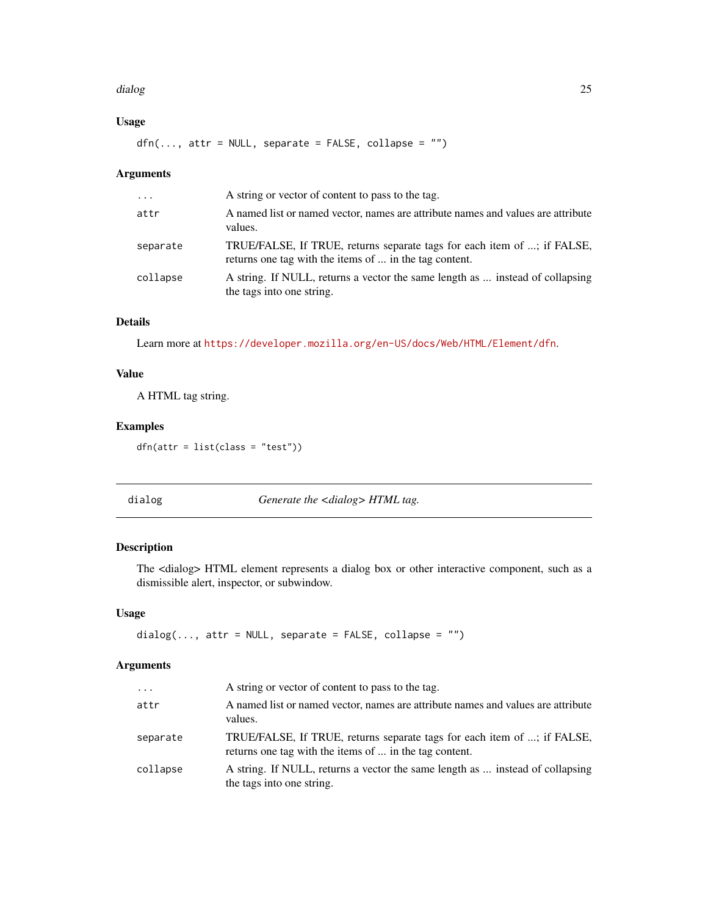#### <span id="page-24-0"></span>dialog **25** and 2012 to 25 and 2012 to 25 and 26 and 26 and 26 and 26 and 26 and 26 and 26 and 26 and 26 and 26

## Usage

 $dfn(..., attr = NULL, separate = FALSE, collapse = "")$ 

## Arguments

| $\cdots$ | A string or vector of content to pass to the tag.                                                                                 |
|----------|-----------------------------------------------------------------------------------------------------------------------------------|
| attr     | A named list or named vector, names are attribute names and values are attribute<br>values.                                       |
| separate | TRUE/FALSE, If TRUE, returns separate tags for each item of ; if FALSE,<br>returns one tag with the items of  in the tag content. |
| collapse | A string. If NULL, returns a vector the same length as  instead of collapsing<br>the tags into one string.                        |

## Details

Learn more at <https://developer.mozilla.org/en-US/docs/Web/HTML/Element/dfn>.

## Value

A HTML tag string.

## Examples

dfn(attr = list(class = "test"))

dialog *Generate the <dialog> HTML tag.*

## Description

The <dialog> HTML element represents a dialog box or other interactive component, such as a dismissible alert, inspector, or subwindow.

#### Usage

```
dialog(..., attr = NULL, separate = FALSE, collapse = "")
```
## Arguments

| $\cdots$ | A string or vector of content to pass to the tag.                                                                                 |
|----------|-----------------------------------------------------------------------------------------------------------------------------------|
| attr     | A named list or named vector, names are attribute names and values are attribute<br>values.                                       |
| separate | TRUE/FALSE, If TRUE, returns separate tags for each item of ; if FALSE,<br>returns one tag with the items of  in the tag content. |
| collapse | A string. If NULL, returns a vector the same length as  instead of collapsing<br>the tags into one string.                        |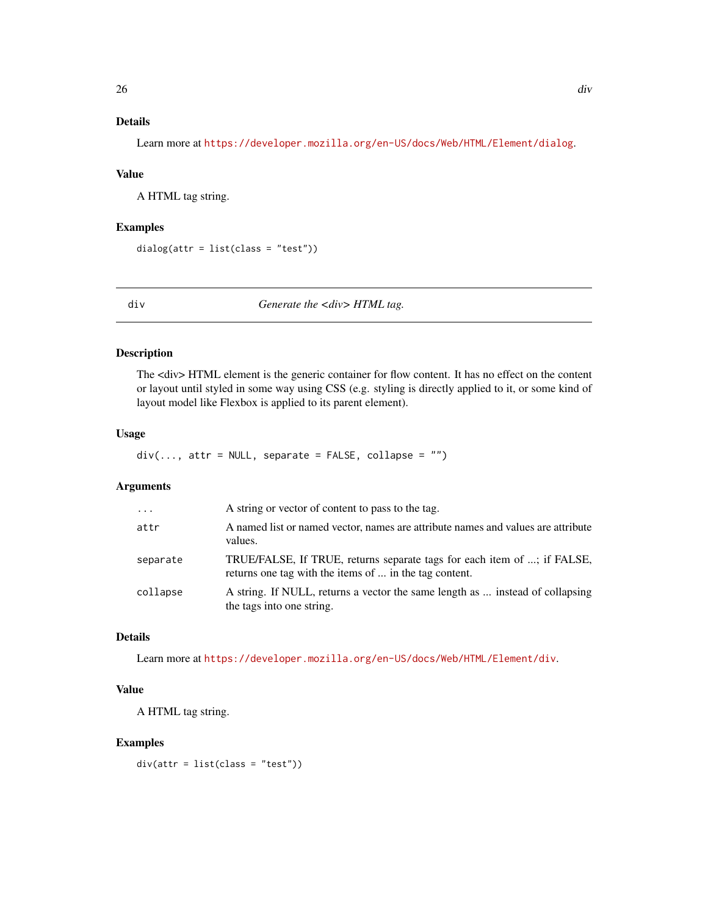## <span id="page-25-0"></span>Details

Learn more at <https://developer.mozilla.org/en-US/docs/Web/HTML/Element/dialog>.

#### Value

A HTML tag string.

## Examples

```
dialog(attr = list(class = "test"))
```
div *Generate the <div> HTML tag.*

## Description

The <div> HTML element is the generic container for flow content. It has no effect on the content or layout until styled in some way using CSS (e.g. styling is directly applied to it, or some kind of layout model like Flexbox is applied to its parent element).

#### Usage

 $div(..., attr = NULL, separate = FALSE, collapse = "")$ 

## Arguments

| $\cdots$ | A string or vector of content to pass to the tag.                                                                                 |
|----------|-----------------------------------------------------------------------------------------------------------------------------------|
| attr     | A named list or named vector, names are attribute names and values are attribute<br>values.                                       |
| separate | TRUE/FALSE, If TRUE, returns separate tags for each item of ; if FALSE,<br>returns one tag with the items of  in the tag content. |
| collapse | A string. If NULL, returns a vector the same length as  instead of collapsing<br>the tags into one string.                        |

## Details

Learn more at <https://developer.mozilla.org/en-US/docs/Web/HTML/Element/div>.

#### Value

A HTML tag string.

## Examples

div(attr = list(class = "test"))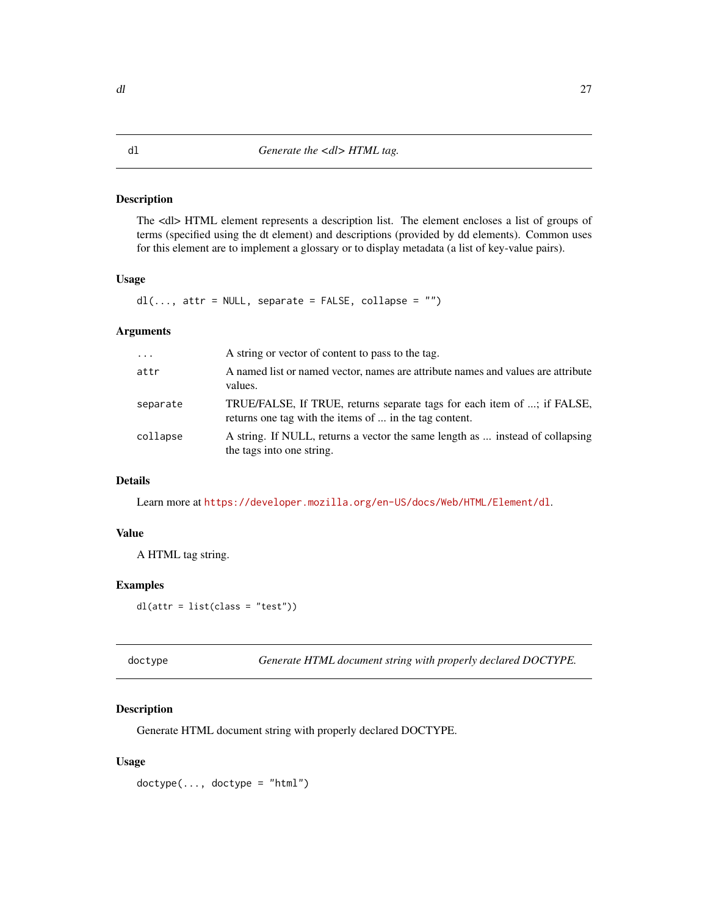<span id="page-26-0"></span>The <dl> HTML element represents a description list. The element encloses a list of groups of terms (specified using the dt element) and descriptions (provided by dd elements). Common uses for this element are to implement a glossary or to display metadata (a list of key-value pairs).

## Usage

 $dl(..., attr = NULL, separate = FALSE, collapse = "")$ 

## Arguments

| $\cdot$  | A string or vector of content to pass to the tag.                                                                                 |
|----------|-----------------------------------------------------------------------------------------------------------------------------------|
| attr     | A named list or named vector, names are attribute names and values are attribute<br>values.                                       |
| separate | TRUE/FALSE, If TRUE, returns separate tags for each item of ; if FALSE,<br>returns one tag with the items of  in the tag content. |
| collapse | A string. If NULL, returns a vector the same length as  instead of collapsing<br>the tags into one string.                        |

## Details

Learn more at <https://developer.mozilla.org/en-US/docs/Web/HTML/Element/dl>.

#### Value

A HTML tag string.

## Examples

 $dl(attr = list(class = "test"))$ 

doctype *Generate HTML document string with properly declared DOCTYPE.*

## Description

Generate HTML document string with properly declared DOCTYPE.

#### Usage

 $dottype(..., doctype = "html")$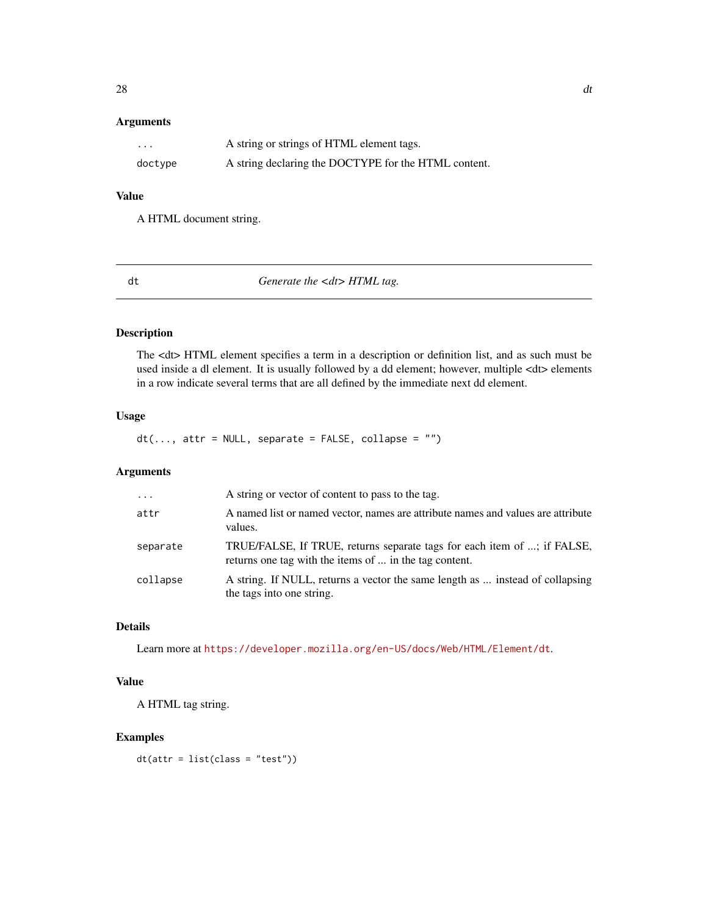<span id="page-27-0"></span>

| $\cdots$ | A string or strings of HTML element tags.            |
|----------|------------------------------------------------------|
| doctype  | A string declaring the DOCTYPE for the HTML content. |

## Value

A HTML document string.

dt *Generate the <dt> HTML tag.*

## Description

The <dt> HTML element specifies a term in a description or definition list, and as such must be used inside a dl element. It is usually followed by a dd element; however, multiple <dt> elements in a row indicate several terms that are all defined by the immediate next dd element.

## Usage

 $dt(..., attr = NULL, separate = FALSE, collapse = "")$ 

## Arguments

| $\ddots$ . | A string or vector of content to pass to the tag.                                                                                 |
|------------|-----------------------------------------------------------------------------------------------------------------------------------|
| attr       | A named list or named vector, names are attribute names and values are attribute<br>values.                                       |
| separate   | TRUE/FALSE, If TRUE, returns separate tags for each item of ; if FALSE,<br>returns one tag with the items of  in the tag content. |
| collapse   | A string. If NULL, returns a vector the same length as  instead of collapsing<br>the tags into one string.                        |

## Details

Learn more at <https://developer.mozilla.org/en-US/docs/Web/HTML/Element/dt>.

## Value

A HTML tag string.

## Examples

dt(attr = list(class = "test"))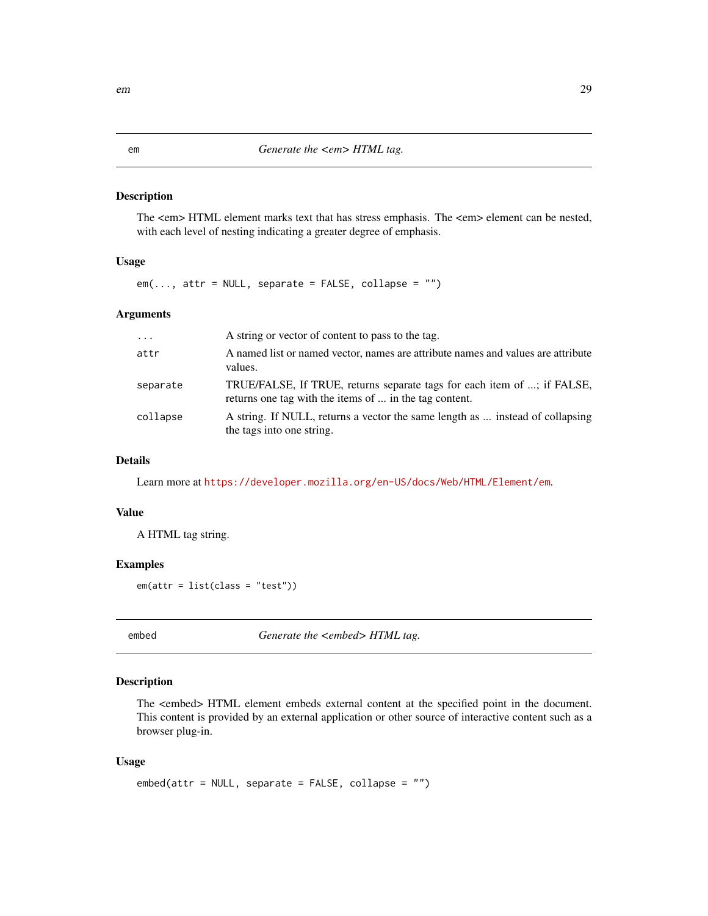<span id="page-28-0"></span>The <em> HTML element marks text that has stress emphasis. The <em> element can be nested, with each level of nesting indicating a greater degree of emphasis.

#### Usage

 $em(..., attr = NULL, separate = FALSE, collapse = "")$ 

#### Arguments

| $\cdot$  | A string or vector of content to pass to the tag.                                                                                 |
|----------|-----------------------------------------------------------------------------------------------------------------------------------|
| attr     | A named list or named vector, names are attribute names and values are attribute<br>values.                                       |
| separate | TRUE/FALSE, If TRUE, returns separate tags for each item of ; if FALSE,<br>returns one tag with the items of  in the tag content. |
| collapse | A string. If NULL, returns a vector the same length as  instead of collapsing<br>the tags into one string.                        |

#### Details

Learn more at <https://developer.mozilla.org/en-US/docs/Web/HTML/Element/em>.

#### Value

A HTML tag string.

#### Examples

em(attr = list(class = "test"))

embed *Generate the <embed> HTML tag.*

#### Description

The <embed> HTML element embeds external content at the specified point in the document. This content is provided by an external application or other source of interactive content such as a browser plug-in.

#### Usage

```
embed(attr = NULL, separate = FALSE, collapse = "")
```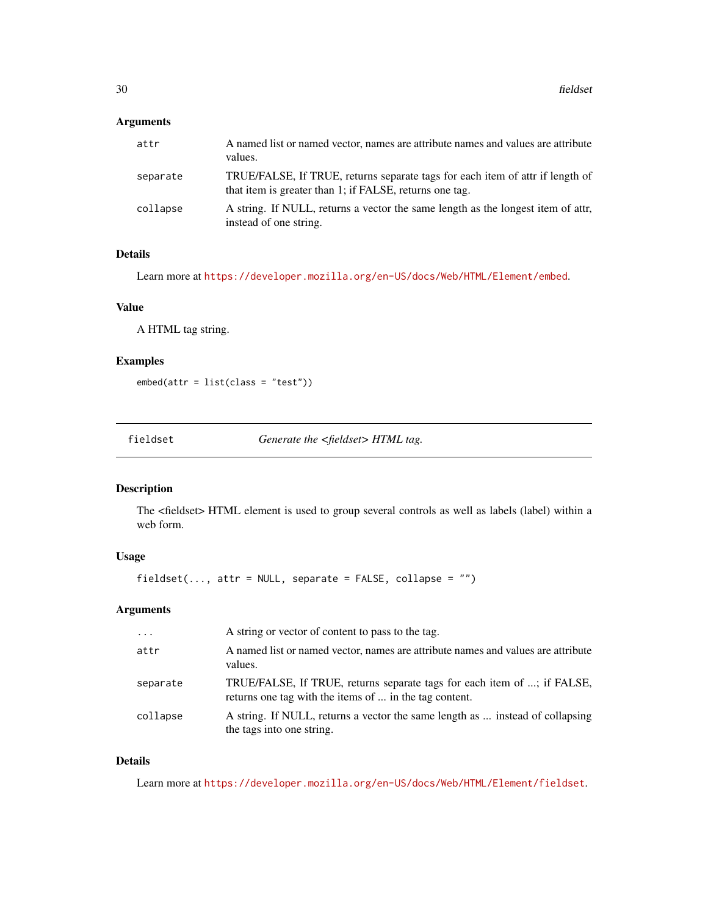<span id="page-29-0"></span>

| attr     | A named list or named vector, names are attribute names and values are attribute<br>values.                                              |
|----------|------------------------------------------------------------------------------------------------------------------------------------------|
| separate | TRUE/FALSE, If TRUE, returns separate tags for each item of attr if length of<br>that item is greater than 1; if FALSE, returns one tag. |
| collapse | A string. If NULL, returns a vector the same length as the longest item of attr.<br>instead of one string.                               |

## Details

Learn more at <https://developer.mozilla.org/en-US/docs/Web/HTML/Element/embed>.

#### Value

A HTML tag string.

## Examples

embed(attr = list(class = "test"))

fieldset *Generate the <fieldset> HTML tag.*

## Description

The <fieldset> HTML element is used to group several controls as well as labels (label) within a web form.

## Usage

```
fieldset(..., attr = NULL, separate = FALSE, collapse = "")
```
## Arguments

| $\cdot$  | A string or vector of content to pass to the tag.                                                                                 |
|----------|-----------------------------------------------------------------------------------------------------------------------------------|
| attr     | A named list or named vector, names are attribute names and values are attribute<br>values.                                       |
| separate | TRUE/FALSE, If TRUE, returns separate tags for each item of ; if FALSE,<br>returns one tag with the items of  in the tag content. |
| collapse | A string. If NULL, returns a vector the same length as  instead of collapsing<br>the tags into one string.                        |

## Details

Learn more at <https://developer.mozilla.org/en-US/docs/Web/HTML/Element/fieldset>.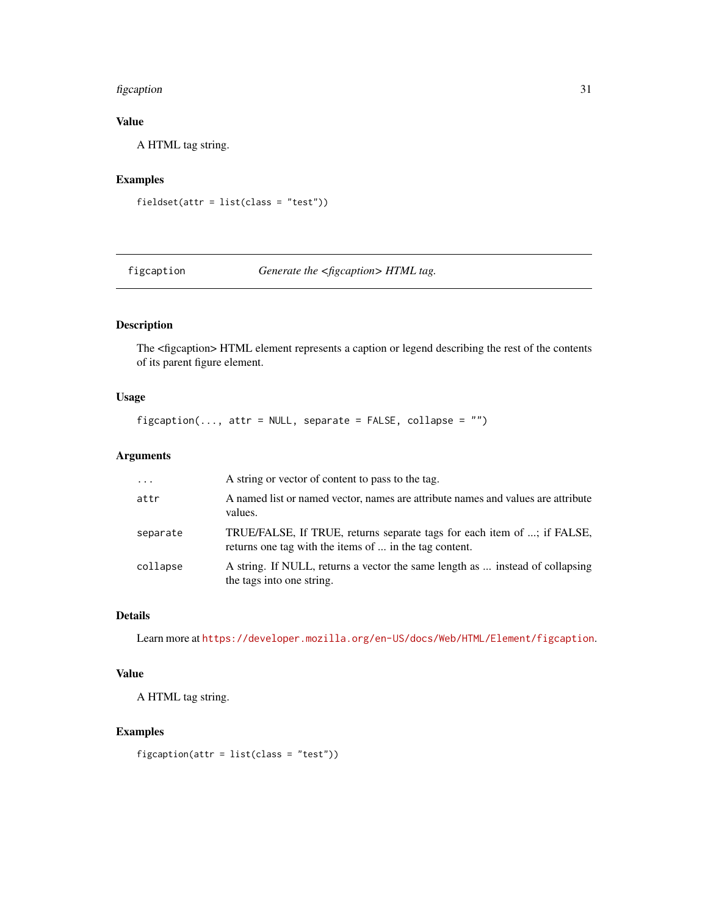#### <span id="page-30-0"></span>figcaption 31

## Value

A HTML tag string.

## Examples

```
fieldset(attr = list(class = "test"))
```
figcaption *Generate the <figcaption> HTML tag.*

## Description

The <figcaption> HTML element represents a caption or legend describing the rest of the contents of its parent figure element.

## Usage

 $figcaption(..., attr = NULL, separate = FALSE, collapse = "")$ 

## Arguments

| $\ddotsc$ | A string or vector of content to pass to the tag.                                                                                 |
|-----------|-----------------------------------------------------------------------------------------------------------------------------------|
| attr      | A named list or named vector, names are attribute names and values are attribute<br>values.                                       |
| separate  | TRUE/FALSE, If TRUE, returns separate tags for each item of ; if FALSE,<br>returns one tag with the items of  in the tag content. |
| collapse  | A string. If NULL, returns a vector the same length as  instead of collapsing<br>the tags into one string.                        |

## Details

Learn more at <https://developer.mozilla.org/en-US/docs/Web/HTML/Element/figcaption>.

## Value

A HTML tag string.

## Examples

figcaption(attr = list(class = "test"))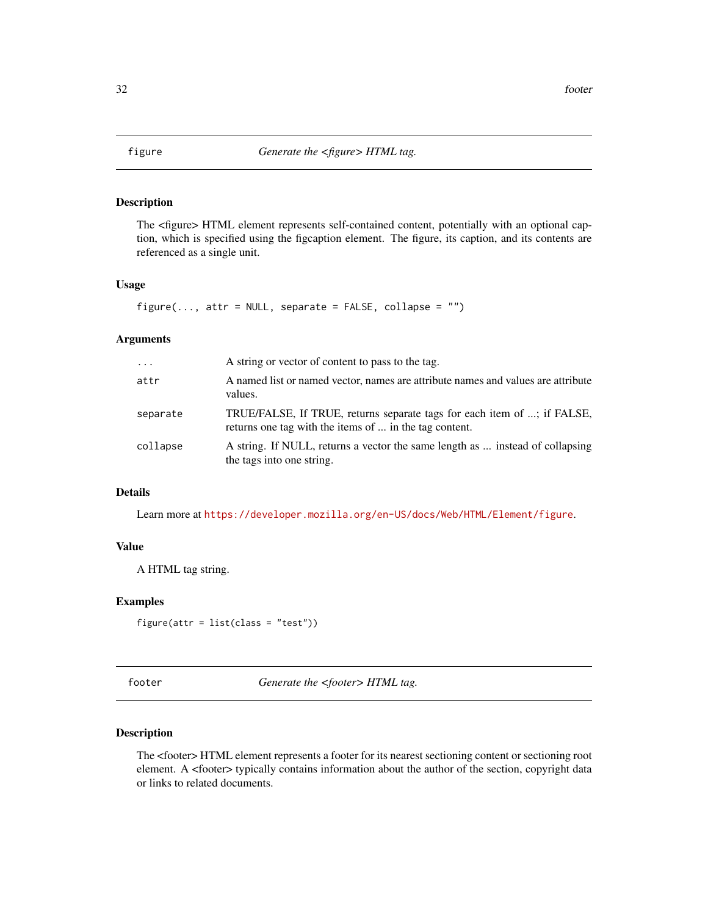<span id="page-31-0"></span>

The <figure> HTML element represents self-contained content, potentially with an optional caption, which is specified using the figcaption element. The figure, its caption, and its contents are referenced as a single unit.

### Usage

```
figure(..., attr = NULL, separate = FALSE, collapse = "")
```
## Arguments

| $\ddots$ . | A string or vector of content to pass to the tag.                                                                                 |
|------------|-----------------------------------------------------------------------------------------------------------------------------------|
| attr       | A named list or named vector, names are attribute names and values are attribute<br>values.                                       |
| separate   | TRUE/FALSE, If TRUE, returns separate tags for each item of ; if FALSE,<br>returns one tag with the items of  in the tag content. |
| collapse   | A string. If NULL, returns a vector the same length as  instead of collapsing<br>the tags into one string.                        |

### Details

Learn more at <https://developer.mozilla.org/en-US/docs/Web/HTML/Element/figure>.

## Value

A HTML tag string.

#### Examples

```
figure(attr = list(class = "test"))
```
footer *Generate the <footer> HTML tag.*

#### Description

The <footer> HTML element represents a footer for its nearest sectioning content or sectioning root element. A <footer> typically contains information about the author of the section, copyright data or links to related documents.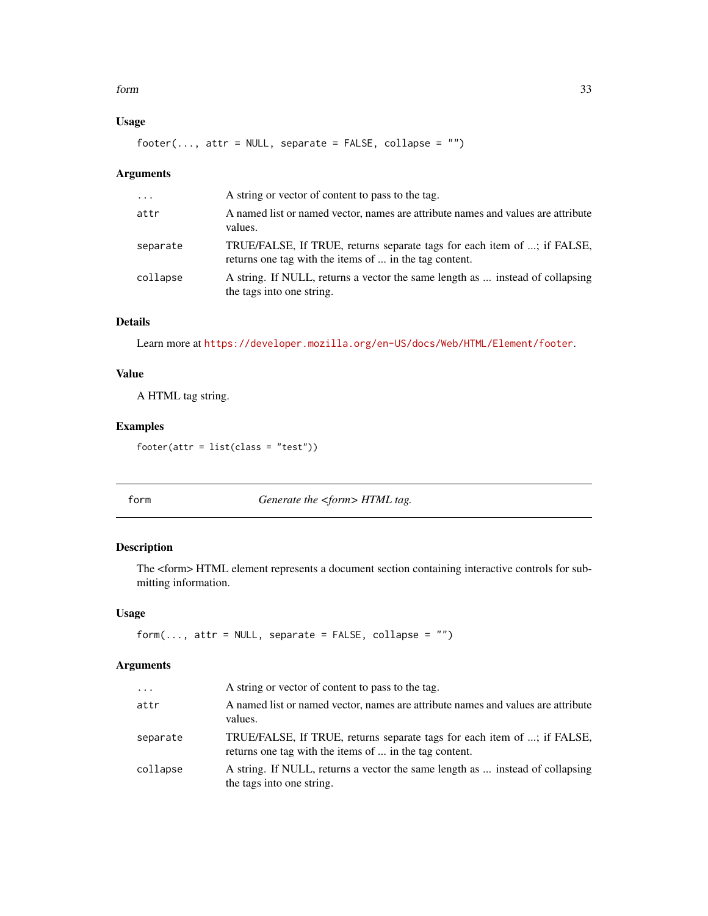#### <span id="page-32-0"></span>form 33

## Usage

 $footer(..., attr = NULL, separate = FALSE, collapse = "")$ 

## Arguments

| $\cdots$ | A string or vector of content to pass to the tag.                                                                                 |
|----------|-----------------------------------------------------------------------------------------------------------------------------------|
| attr     | A named list or named vector, names are attribute names and values are attribute<br>values.                                       |
| separate | TRUE/FALSE, If TRUE, returns separate tags for each item of ; if FALSE,<br>returns one tag with the items of  in the tag content. |
| collapse | A string. If NULL, returns a vector the same length as  instead of collapsing<br>the tags into one string.                        |

## Details

Learn more at <https://developer.mozilla.org/en-US/docs/Web/HTML/Element/footer>.

## Value

A HTML tag string.

## Examples

 $footer(attr = list(class = "test"))$ 

form *Generate the <form> HTML tag.*

## Description

The <form> HTML element represents a document section containing interactive controls for submitting information.

#### Usage

```
form(..., attr = NULL, separate = FALSE, collapse = "")
```
## Arguments

| $\cdots$ | A string or vector of content to pass to the tag.                                                                                 |
|----------|-----------------------------------------------------------------------------------------------------------------------------------|
| attr     | A named list or named vector, names are attribute names and values are attribute<br>values.                                       |
| separate | TRUE/FALSE, If TRUE, returns separate tags for each item of ; if FALSE,<br>returns one tag with the items of  in the tag content. |
| collapse | A string. If NULL, returns a vector the same length as  instead of collapsing<br>the tags into one string.                        |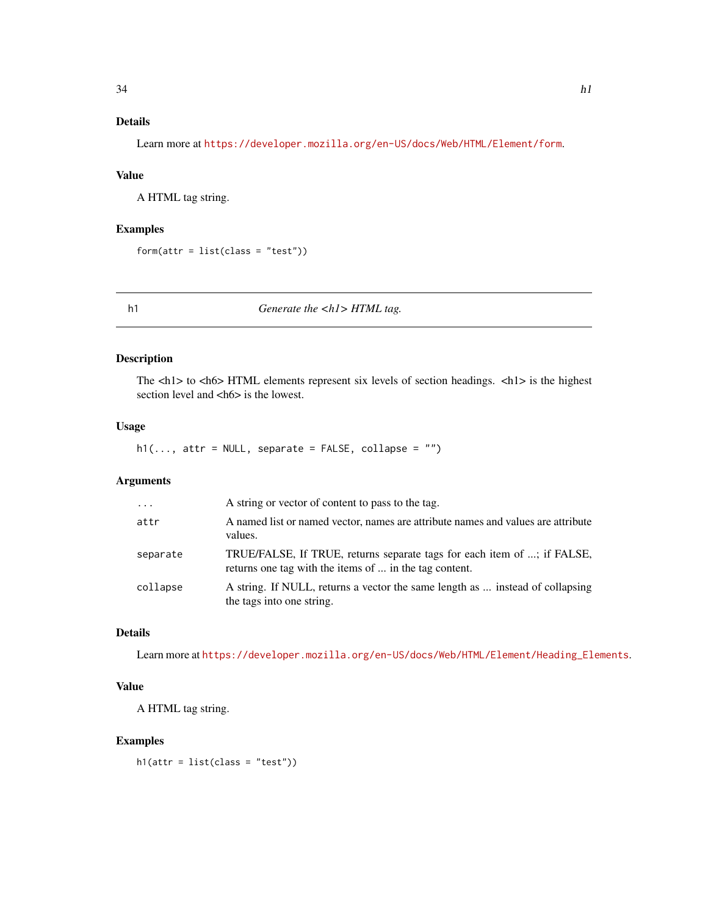## <span id="page-33-0"></span>Details

Learn more at <https://developer.mozilla.org/en-US/docs/Web/HTML/Element/form>.

## Value

A HTML tag string.

## Examples

 $form(attr = list(class = "test"))$ 

h1 *Generate the <h1> HTML tag.*

#### Description

The <h1> to <h6> HTML elements represent six levels of section headings. <h1> is the highest section level and <hm>
shows is the lowest.

## Usage

 $h1(..., attr = NULL, separate = FALSE, collapse = "")$ 

## Arguments

| $\ddotsc$ | A string or vector of content to pass to the tag.                                                                                 |
|-----------|-----------------------------------------------------------------------------------------------------------------------------------|
| attr      | A named list or named vector, names are attribute names and values are attribute<br>values.                                       |
| separate  | TRUE/FALSE, If TRUE, returns separate tags for each item of ; if FALSE,<br>returns one tag with the items of  in the tag content. |
| collapse  | A string. If NULL, returns a vector the same length as  instead of collapsing<br>the tags into one string.                        |

## Details

Learn more at [https://developer.mozilla.org/en-US/docs/Web/HTML/Element/Heading\\_Elements](https://developer.mozilla.org/en-US/docs/Web/HTML/Element/Heading_Elements).

## Value

A HTML tag string.

#### Examples

```
h1(attr = list(class = "test"))
```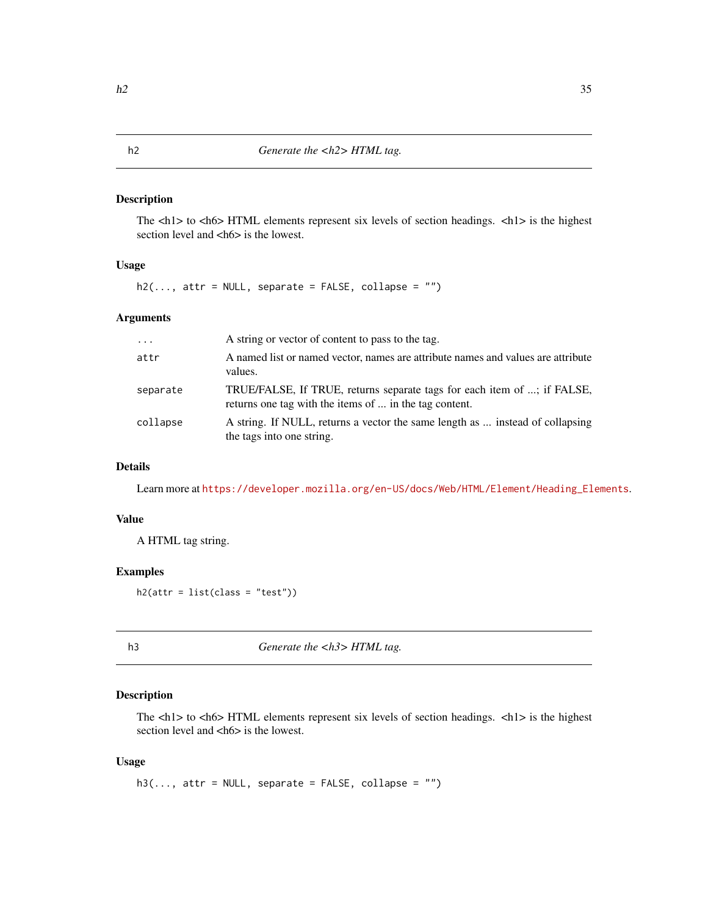<span id="page-34-0"></span>The <h1> to <h6> HTML elements represent six levels of section headings. <h1> is the highest section level and <h6> is the lowest.

#### Usage

 $h2(\ldots,$  attr = NULL, separate = FALSE, collapse = "")

## Arguments

| $\cdot$  | A string or vector of content to pass to the tag.                                                                                 |
|----------|-----------------------------------------------------------------------------------------------------------------------------------|
| attr     | A named list or named vector, names are attribute names and values are attribute<br>values.                                       |
| separate | TRUE/FALSE, If TRUE, returns separate tags for each item of ; if FALSE,<br>returns one tag with the items of  in the tag content. |
| collapse | A string. If NULL, returns a vector the same length as  instead of collapsing<br>the tags into one string.                        |

## Details

Learn more at [https://developer.mozilla.org/en-US/docs/Web/HTML/Element/Heading\\_Elements](https://developer.mozilla.org/en-US/docs/Web/HTML/Element/Heading_Elements).

#### Value

A HTML tag string.

## Examples

 $h2(attr = list(class = "test"))$ 

h3 *Generate the <h3> HTML tag.*

## Description

The  $\langle h1 \rangle$  to  $\langle h6 \rangle$  HTML elements represent six levels of section headings.  $\langle h1 \rangle$  is the highest section level and <h6> is the lowest.

#### Usage

 $h3(\ldots, \text{attr} = \text{NULL}, \text{ separate} = \text{FALSE}, \text{ collapse} = \text{""})$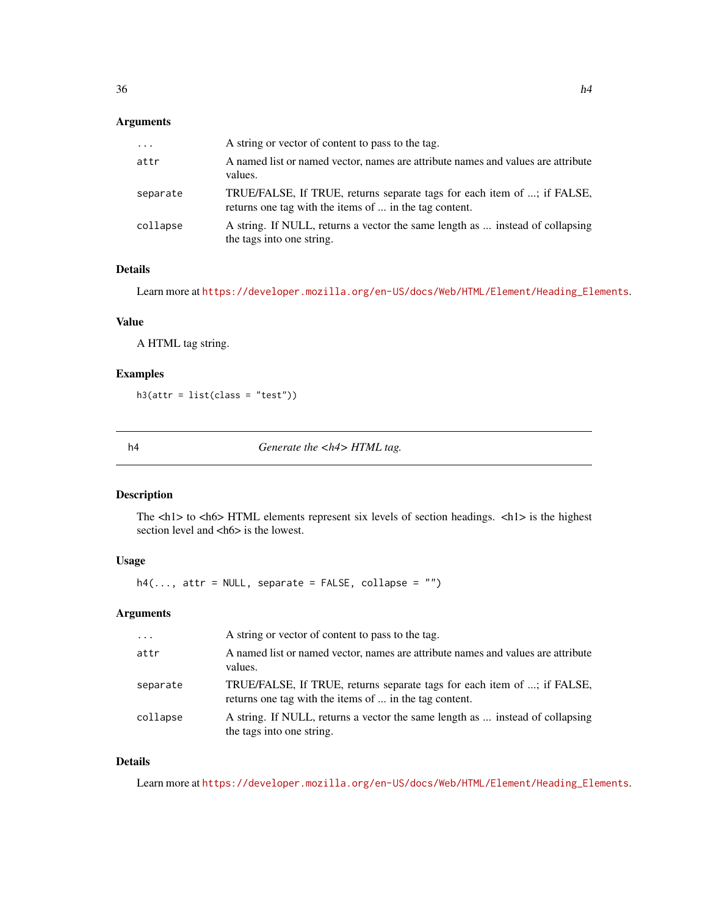<span id="page-35-0"></span>

| $\cdots$ | A string or vector of content to pass to the tag.                                                                                 |
|----------|-----------------------------------------------------------------------------------------------------------------------------------|
| attr     | A named list or named vector, names are attribute names and values are attribute<br>values.                                       |
| separate | TRUE/FALSE, If TRUE, returns separate tags for each item of ; if FALSE,<br>returns one tag with the items of  in the tag content. |
| collapse | A string. If NULL, returns a vector the same length as  instead of collapsing<br>the tags into one string.                        |

#### Details

Learn more at [https://developer.mozilla.org/en-US/docs/Web/HTML/Element/Heading\\_Elements](https://developer.mozilla.org/en-US/docs/Web/HTML/Element/Heading_Elements).

## Value

A HTML tag string.

## Examples

h3(attr = list(class = "test"))

h4 *Generate the <h4> HTML tag.*

## Description

The <h1> to <h6> HTML elements represent six levels of section headings. <h1> is the highest section level and <h6> is the lowest.

## Usage

 $h4(..., attr = NULL, separate = FALSE, collapse = "")$ 

#### Arguments

| $\cdot$  | A string or vector of content to pass to the tag.                                                                                 |
|----------|-----------------------------------------------------------------------------------------------------------------------------------|
| attr     | A named list or named vector, names are attribute names and values are attribute<br>values.                                       |
| separate | TRUE/FALSE, If TRUE, returns separate tags for each item of ; if FALSE,<br>returns one tag with the items of  in the tag content. |
| collapse | A string. If NULL, returns a vector the same length as  instead of collapsing<br>the tags into one string.                        |

## Details

Learn more at [https://developer.mozilla.org/en-US/docs/Web/HTML/Element/Heading\\_Elements](https://developer.mozilla.org/en-US/docs/Web/HTML/Element/Heading_Elements).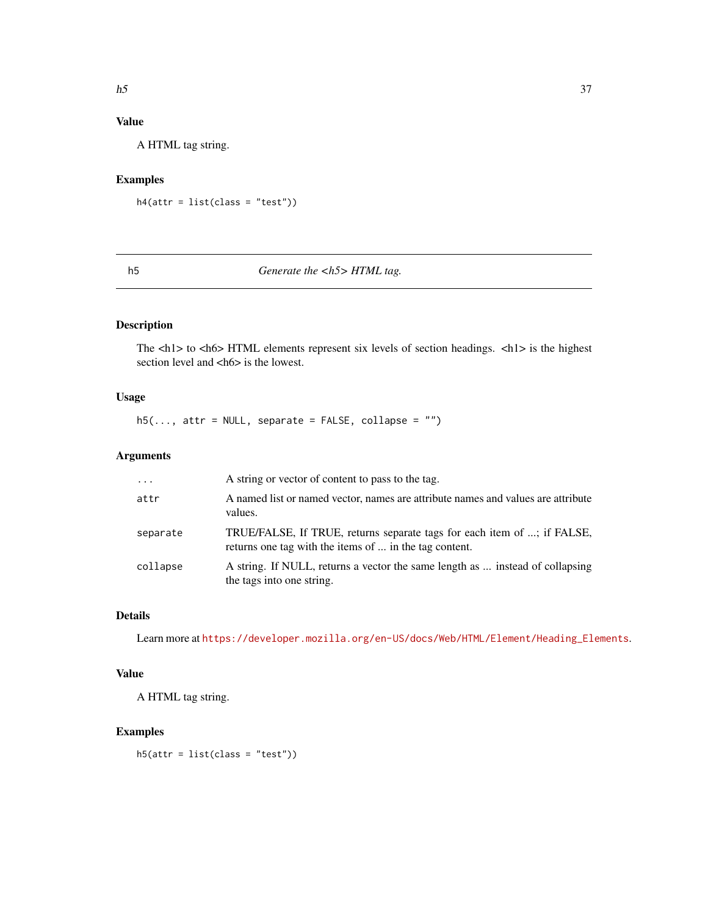# Value

A HTML tag string.

## Examples

```
h4(attr = list(class = "test"))
```
## h5 *Generate the <h5> HTML tag.*

# Description

The  $\langle h1 \rangle$  to  $\langle h6 \rangle$  HTML elements represent six levels of section headings.  $\langle h1 \rangle$  is the highest section level and <h6> is the lowest.

## Usage

 $h5(\ldots, \text{attr} = \text{NULL}, \text{ separate} = \text{FALSE}, \text{ collapse} = \text{""})$ 

## Arguments

| $\cdot \cdot \cdot$ | A string or vector of content to pass to the tag.                                                                                 |
|---------------------|-----------------------------------------------------------------------------------------------------------------------------------|
| attr                | A named list or named vector, names are attribute names and values are attribute<br>values.                                       |
| separate            | TRUE/FALSE, If TRUE, returns separate tags for each item of ; if FALSE,<br>returns one tag with the items of  in the tag content. |
| collapse            | A string. If NULL, returns a vector the same length as  instead of collapsing<br>the tags into one string.                        |

# Details

Learn more at [https://developer.mozilla.org/en-US/docs/Web/HTML/Element/Heading\\_Elements](https://developer.mozilla.org/en-US/docs/Web/HTML/Element/Heading_Elements).

## Value

A HTML tag string.

# Examples

h5(attr = list(class = "test"))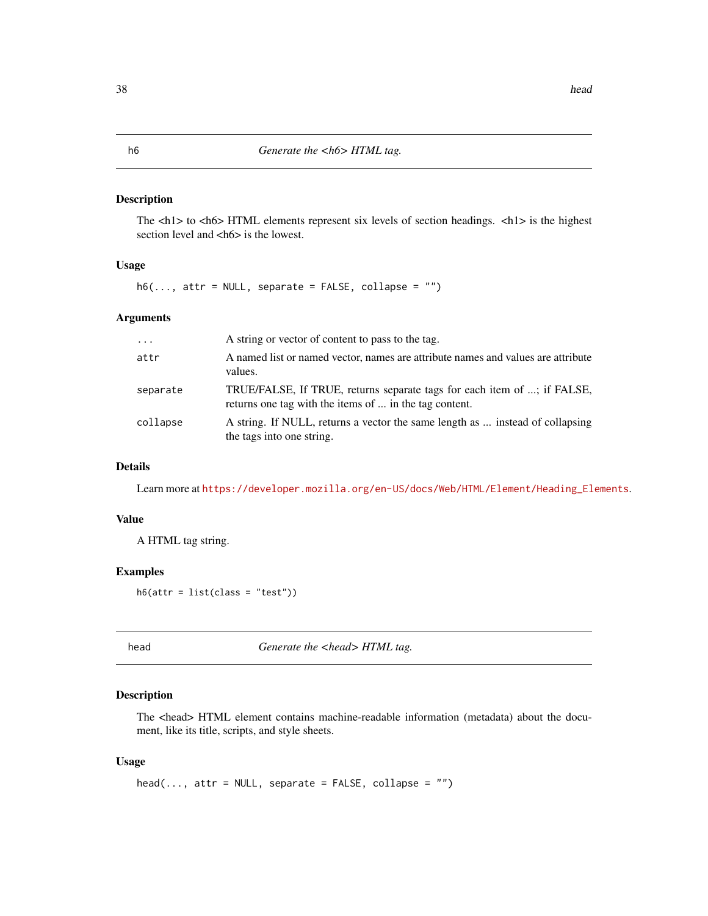The <h1> to <h6> HTML elements represent six levels of section headings. <h1> is the highest section level and <h6> is the lowest.

#### Usage

 $h6(..., attr = NULL, separate = FALSE, collapse = "")$ 

## Arguments

| $\cdot$  | A string or vector of content to pass to the tag.                                                                                 |
|----------|-----------------------------------------------------------------------------------------------------------------------------------|
| attr     | A named list or named vector, names are attribute names and values are attribute<br>values.                                       |
| separate | TRUE/FALSE, If TRUE, returns separate tags for each item of ; if FALSE,<br>returns one tag with the items of  in the tag content. |
| collapse | A string. If NULL, returns a vector the same length as  instead of collapsing<br>the tags into one string.                        |

## Details

Learn more at [https://developer.mozilla.org/en-US/docs/Web/HTML/Element/Heading\\_Elements](https://developer.mozilla.org/en-US/docs/Web/HTML/Element/Heading_Elements).

#### Value

A HTML tag string.

#### Examples

 $h6(attr = list(class = "test"))$ 

head *Generate the <head> HTML tag.* 

## Description

The <head> HTML element contains machine-readable information (metadata) about the document, like its title, scripts, and style sheets.

#### Usage

 $head(..., attr = NULL, separate = FALSE, collapse = "")$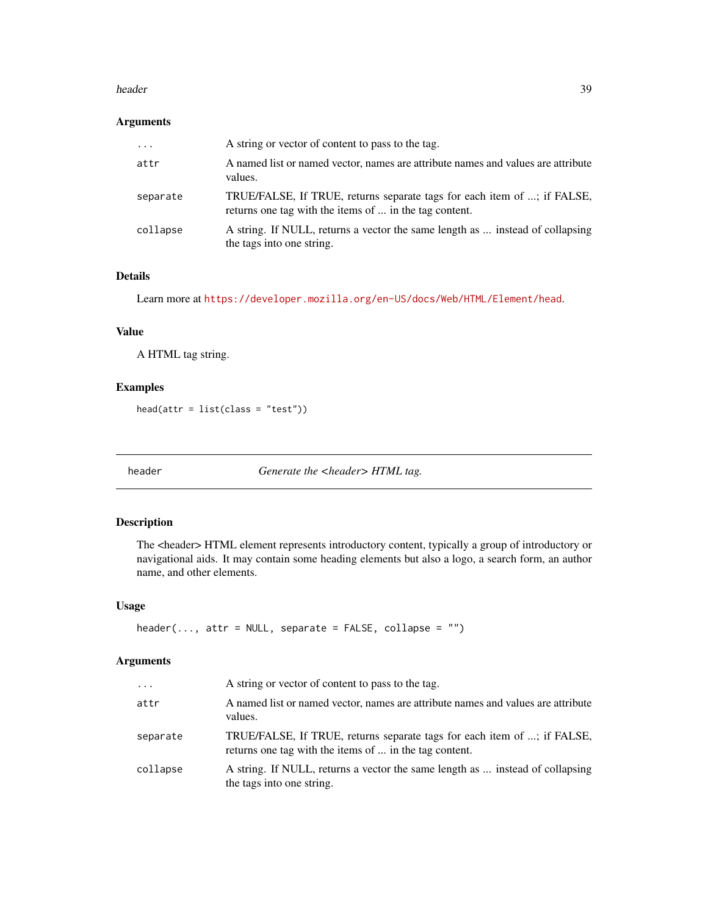#### header 39

## Arguments

| $\cdot$  | A string or vector of content to pass to the tag.                                                                                 |
|----------|-----------------------------------------------------------------------------------------------------------------------------------|
| attr     | A named list or named vector, names are attribute names and values are attribute<br>values.                                       |
| separate | TRUE/FALSE, If TRUE, returns separate tags for each item of ; if FALSE,<br>returns one tag with the items of  in the tag content. |
| collapse | A string. If NULL, returns a vector the same length as  instead of collapsing<br>the tags into one string.                        |

# Details

Learn more at <https://developer.mozilla.org/en-US/docs/Web/HTML/Element/head>.

## Value

A HTML tag string.

## Examples

head(attr = list(class = "test"))

header *Generate the <header> HTML tag.*

#### Description

The <header> HTML element represents introductory content, typically a group of introductory or navigational aids. It may contain some heading elements but also a logo, a search form, an author name, and other elements.

## Usage

```
header(..., attr = NULL, separate = FALSE, collapse = "")
```

| $\cdots$ | A string or vector of content to pass to the tag.                                                                                 |
|----------|-----------------------------------------------------------------------------------------------------------------------------------|
| attr     | A named list or named vector, names are attribute names and values are attribute<br>values.                                       |
| separate | TRUE/FALSE, If TRUE, returns separate tags for each item of ; if FALSE,<br>returns one tag with the items of  in the tag content. |
| collapse | A string. If NULL, returns a vector the same length as  instead of collapsing<br>the tags into one string.                        |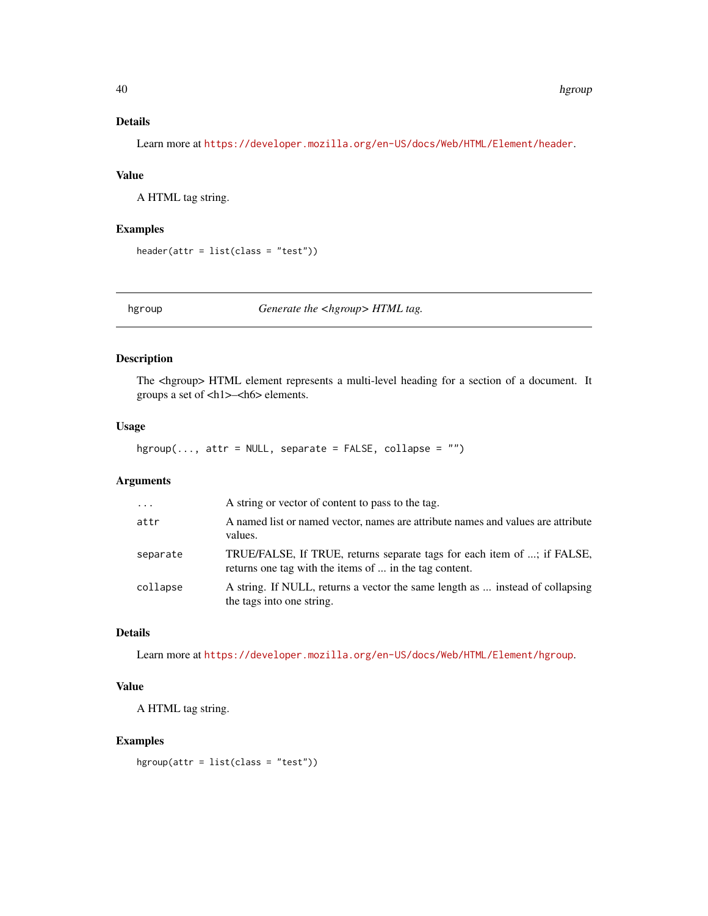# Details

Learn more at <https://developer.mozilla.org/en-US/docs/Web/HTML/Element/header>.

## Value

A HTML tag string.

## Examples

```
header(attr = list(class = "test"))
```
hgroup *Generate the <hgroup> HTML tag.*

## Description

The <hgroup> HTML element represents a multi-level heading for a section of a document. It groups a set of <h1>–<h6> elements.

# Usage

 $hgroup(..., attr = NULL, separate = FALSE, collapse = "")$ 

## Arguments

| $\ddotsc$ | A string or vector of content to pass to the tag.                                                                                 |
|-----------|-----------------------------------------------------------------------------------------------------------------------------------|
| attr      | A named list or named vector, names are attribute names and values are attribute<br>values.                                       |
| separate  | TRUE/FALSE, If TRUE, returns separate tags for each item of ; if FALSE,<br>returns one tag with the items of  in the tag content. |
| collapse  | A string. If NULL, returns a vector the same length as  instead of collapsing<br>the tags into one string.                        |

# Details

Learn more at <https://developer.mozilla.org/en-US/docs/Web/HTML/Element/hgroup>.

## Value

A HTML tag string.

#### Examples

hgroup(attr = list(class = "test"))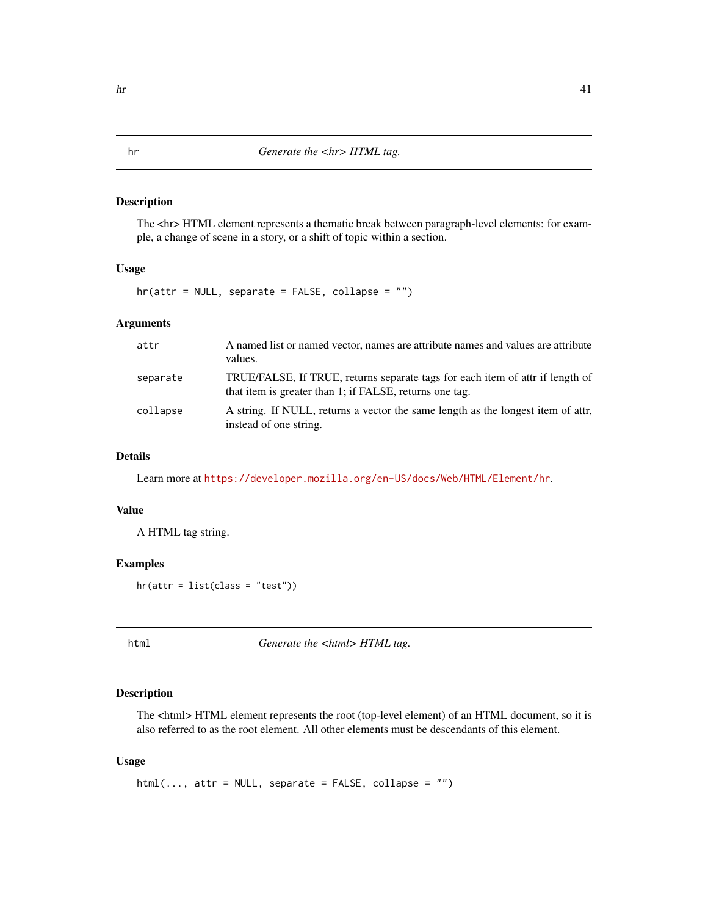The <hr> HTML element represents a thematic break between paragraph-level elements: for example, a change of scene in a story, or a shift of topic within a section.

## Usage

hr(attr = NULL, separate = FALSE, collapse = "")

## Arguments

| attr     | A named list or named vector, names are attribute names and values are attribute<br>values.                                              |
|----------|------------------------------------------------------------------------------------------------------------------------------------------|
| separate | TRUE/FALSE, If TRUE, returns separate tags for each item of attr if length of<br>that item is greater than 1; if FALSE, returns one tag. |
| collapse | A string. If NULL, returns a vector the same length as the longest item of attr.<br>instead of one string.                               |

## Details

Learn more at <https://developer.mozilla.org/en-US/docs/Web/HTML/Element/hr>.

## Value

A HTML tag string.

#### Examples

hr(attr = list(class = "test"))

html *Generate the <html> HTML tag.*

## Description

The <html> HTML element represents the root (top-level element) of an HTML document, so it is also referred to as the root element. All other elements must be descendants of this element.

#### Usage

 $html(..., attr = NULL, separate = FALSE, collapse = "")$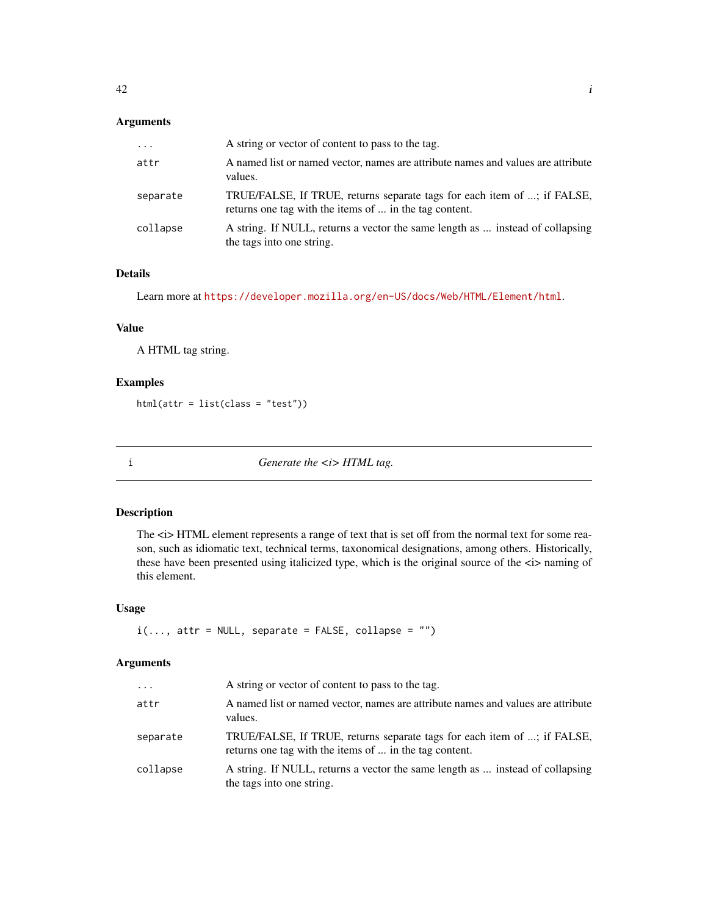# Arguments

| $\cdots$ | A string or vector of content to pass to the tag.                                                                                 |
|----------|-----------------------------------------------------------------------------------------------------------------------------------|
| attr     | A named list or named vector, names are attribute names and values are attribute<br>values.                                       |
| separate | TRUE/FALSE, If TRUE, returns separate tags for each item of ; if FALSE,<br>returns one tag with the items of  in the tag content. |
| collapse | A string. If NULL, returns a vector the same length as  instead of collapsing<br>the tags into one string.                        |

# Details

Learn more at <https://developer.mozilla.org/en-US/docs/Web/HTML/Element/html>.

## Value

A HTML tag string.

## Examples

html(attr = list(class = "test"))

i *Generate the <i>HTML tag.* 

#### Description

The  $\langle i \rangle$  HTML element represents a range of text that is set off from the normal text for some reason, such as idiomatic text, technical terms, taxonomical designations, among others. Historically, these have been presented using italicized type, which is the original source of the  $\langle i \rangle$  naming of this element.

## Usage

```
i(..., attr = NULL, separate = FALSE, collapse = "")
```

| $\cdots$ | A string or vector of content to pass to the tag.                                                                                 |
|----------|-----------------------------------------------------------------------------------------------------------------------------------|
| attr     | A named list or named vector, names are attribute names and values are attribute<br>values.                                       |
| separate | TRUE/FALSE, If TRUE, returns separate tags for each item of ; if FALSE,<br>returns one tag with the items of  in the tag content. |
| collapse | A string. If NULL, returns a vector the same length as  instead of collapsing<br>the tags into one string.                        |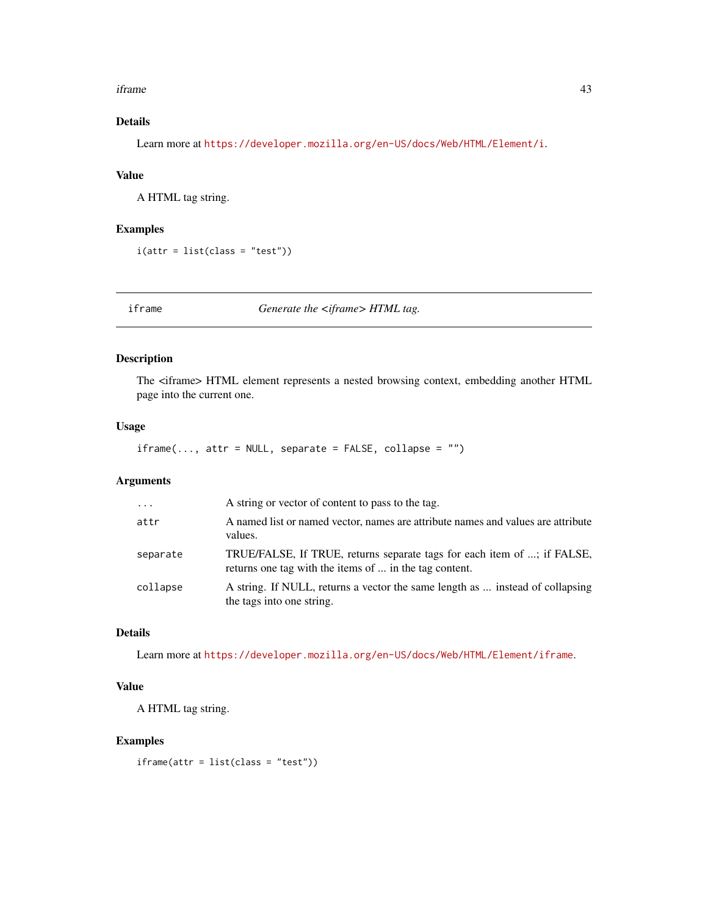#### iframe 43

# Details

Learn more at <https://developer.mozilla.org/en-US/docs/Web/HTML/Element/i>.

## Value

A HTML tag string.

## Examples

 $i$ (attr = list(class = "test"))

iframe *Generate the <iframe> HTML tag.*

## Description

The <iframe> HTML element represents a nested browsing context, embedding another HTML page into the current one.

# Usage

 $if$  rame(..., attr = NULL, separate = FALSE, collapse =  $"$ ")

## Arguments

| $\cdot$  | A string or vector of content to pass to the tag.                                                                                 |
|----------|-----------------------------------------------------------------------------------------------------------------------------------|
| attr     | A named list or named vector, names are attribute names and values are attribute<br>values.                                       |
| separate | TRUE/FALSE, If TRUE, returns separate tags for each item of ; if FALSE,<br>returns one tag with the items of  in the tag content. |
| collapse | A string. If NULL, returns a vector the same length as  instead of collapsing<br>the tags into one string.                        |

# Details

Learn more at <https://developer.mozilla.org/en-US/docs/Web/HTML/Element/iframe>.

## Value

A HTML tag string.

#### Examples

iframe(attr = list(class = "test"))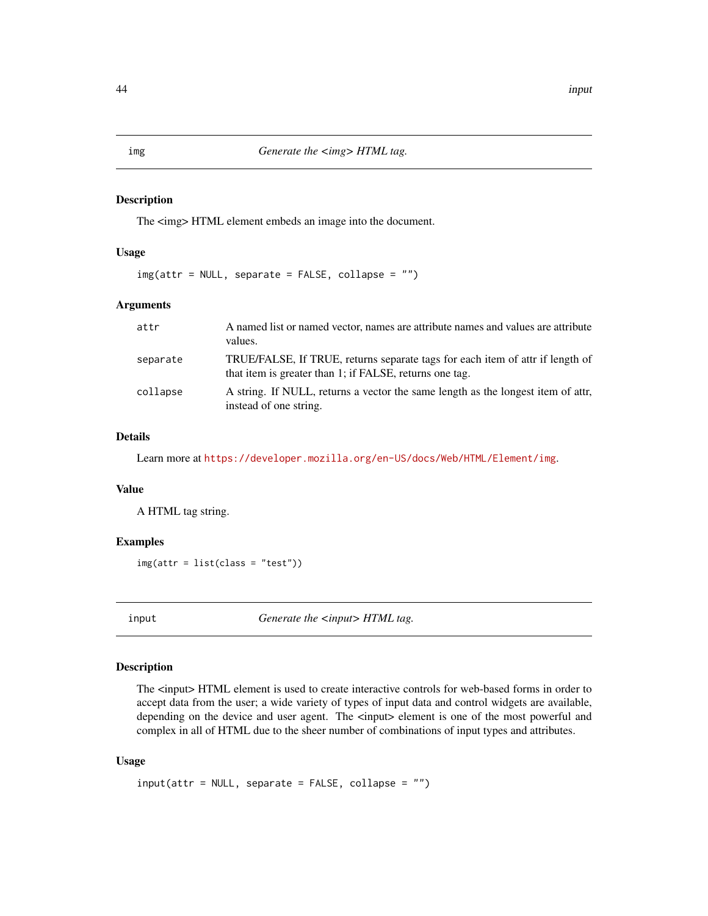The  $\langle$ img> HTML element embeds an image into the document.

## Usage

img(attr = NULL, separate = FALSE, collapse = "")

## Arguments

| attr     | A named list or named vector, names are attribute names and values are attribute<br>values.                                              |
|----------|------------------------------------------------------------------------------------------------------------------------------------------|
| separate | TRUE/FALSE, If TRUE, returns separate tags for each item of attr if length of<br>that item is greater than 1; if FALSE, returns one tag. |
| collapse | A string. If NULL, returns a vector the same length as the longest item of attr.<br>instead of one string.                               |

#### Details

Learn more at <https://developer.mozilla.org/en-US/docs/Web/HTML/Element/img>.

## Value

A HTML tag string.

## Examples

img(attr = list(class = "test"))

input *Generate the <input> HTML tag.* 

# Description

The <input> HTML element is used to create interactive controls for web-based forms in order to accept data from the user; a wide variety of types of input data and control widgets are available, depending on the device and user agent. The  $\langle \text{input} \rangle$  element is one of the most powerful and complex in all of HTML due to the sheer number of combinations of input types and attributes.

#### Usage

```
input(attr = NULL, separate = FALSE, collapse = "")
```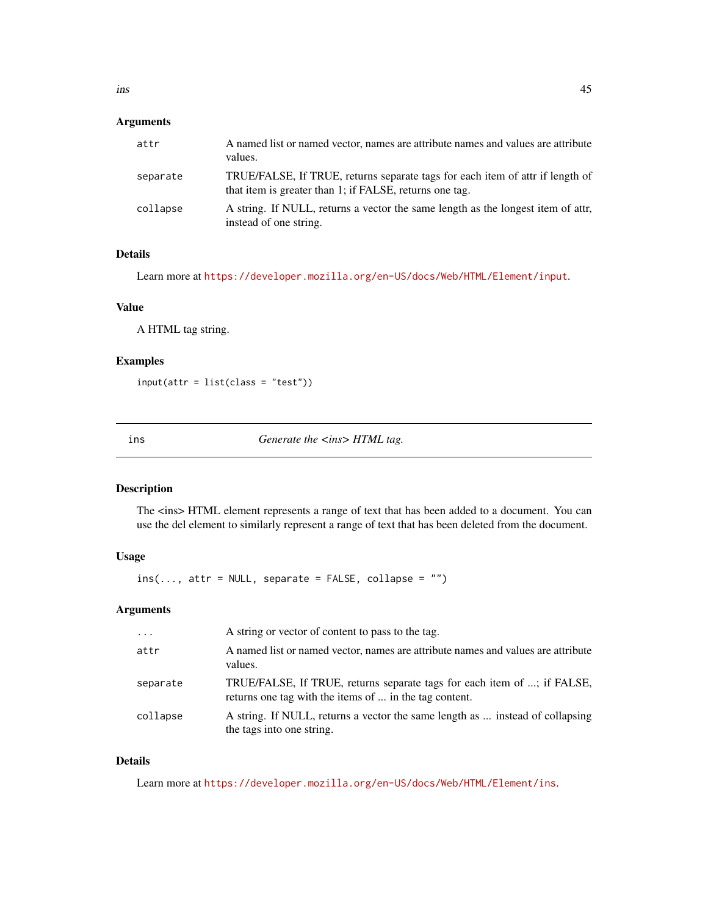# Arguments

| attr     | A named list or named vector, names are attribute names and values are attribute<br>values.                                              |
|----------|------------------------------------------------------------------------------------------------------------------------------------------|
| separate | TRUE/FALSE, If TRUE, returns separate tags for each item of attr if length of<br>that item is greater than 1; if FALSE, returns one tag. |
| collapse | A string. If NULL, returns a vector the same length as the longest item of attr.<br>instead of one string.                               |

## Details

Learn more at <https://developer.mozilla.org/en-US/docs/Web/HTML/Element/input>.

#### Value

A HTML tag string.

## Examples

input(attr = list(class = "test"))

ins *Generate the <ins> HTML tag.* 

## Description

The <ins> HTML element represents a range of text that has been added to a document. You can use the del element to similarly represent a range of text that has been deleted from the document.

## Usage

 $ins(..., attr = NULL, separate = FALSE, collapse = "")$ 

## Arguments

| $\cdot$  | A string or vector of content to pass to the tag.                                                                                 |
|----------|-----------------------------------------------------------------------------------------------------------------------------------|
| attr     | A named list or named vector, names are attribute names and values are attribute<br>values.                                       |
| separate | TRUE/FALSE, If TRUE, returns separate tags for each item of ; if FALSE,<br>returns one tag with the items of  in the tag content. |
| collapse | A string. If NULL, returns a vector the same length as  instead of collapsing<br>the tags into one string.                        |

# Details

Learn more at <https://developer.mozilla.org/en-US/docs/Web/HTML/Element/ins>.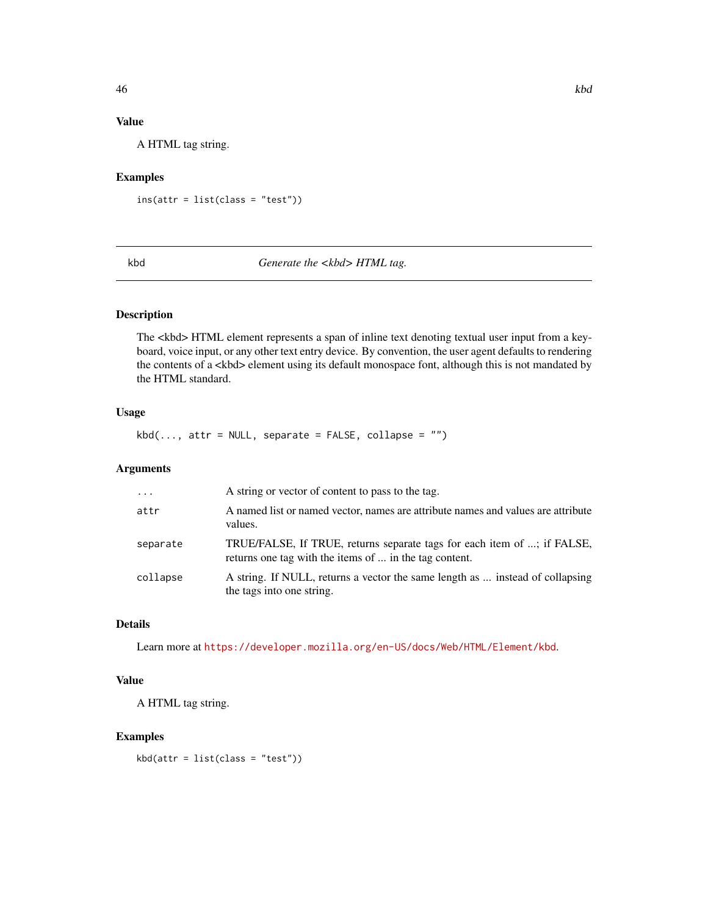# Value

A HTML tag string.

## Examples

ins(attr = list(class = "test"))

kbd *Generate the <kbd> HTML tag.*

## Description

The <kbd> HTML element represents a span of inline text denoting textual user input from a keyboard, voice input, or any other text entry device. By convention, the user agent defaults to rendering the contents of a <kbd> element using its default monospace font, although this is not mandated by the HTML standard.

## Usage

 $kbd(\ldots, attr = NULL, separate = FALSE, collapse = "")$ 

#### Arguments

| $\cdots$ | A string or vector of content to pass to the tag.                                                                                 |
|----------|-----------------------------------------------------------------------------------------------------------------------------------|
| attr     | A named list or named vector, names are attribute names and values are attribute<br>values.                                       |
| separate | TRUE/FALSE, If TRUE, returns separate tags for each item of ; if FALSE,<br>returns one tag with the items of  in the tag content. |
| collapse | A string. If NULL, returns a vector the same length as  instead of collapsing<br>the tags into one string.                        |

# Details

Learn more at <https://developer.mozilla.org/en-US/docs/Web/HTML/Element/kbd>.

## Value

A HTML tag string.

#### Examples

 $kbd(attr = list(class = "test"))$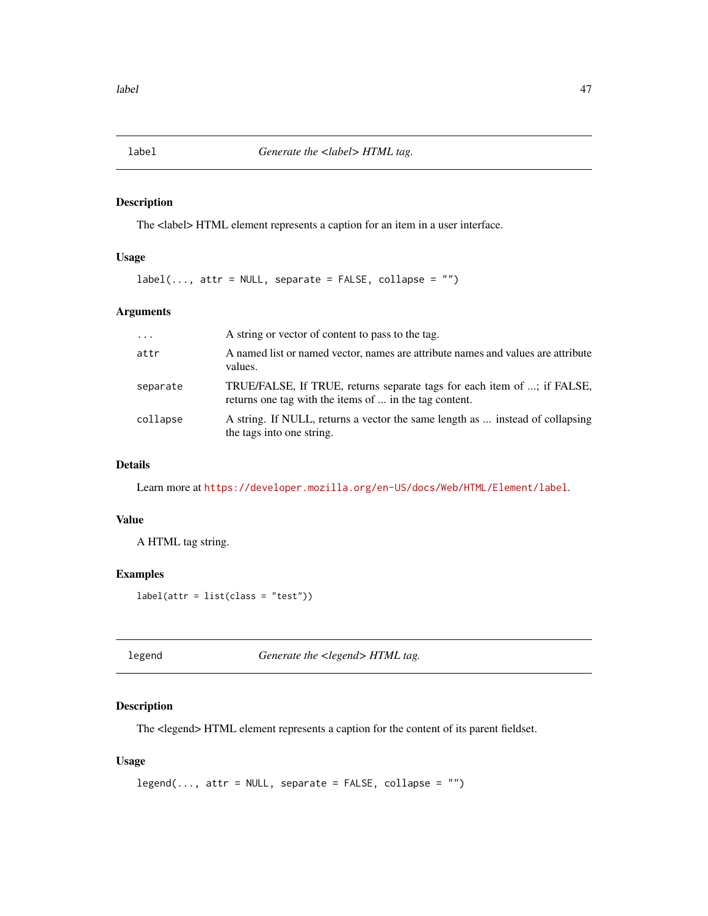The <label> HTML element represents a caption for an item in a user interface.

## Usage

 $label(..., attr = NULL, separate = FALSE, collapse = "")$ 

## Arguments

| $\ddots$ | A string or vector of content to pass to the tag.                                                                                 |
|----------|-----------------------------------------------------------------------------------------------------------------------------------|
| attr     | A named list or named vector, names are attribute names and values are attribute<br>values.                                       |
| separate | TRUE/FALSE, If TRUE, returns separate tags for each item of ; if FALSE,<br>returns one tag with the items of  in the tag content. |
| collapse | A string. If NULL, returns a vector the same length as  instead of collapsing<br>the tags into one string.                        |

# Details

Learn more at <https://developer.mozilla.org/en-US/docs/Web/HTML/Element/label>.

## Value

A HTML tag string.

## Examples

label(attr = list(class = "test"))

legend *Generate the <legend> HTML tag.*

## Description

The <legend> HTML element represents a caption for the content of its parent fieldset.

#### Usage

```
legend(..., attr = NULL, separate = FALSE, collapse = "")
```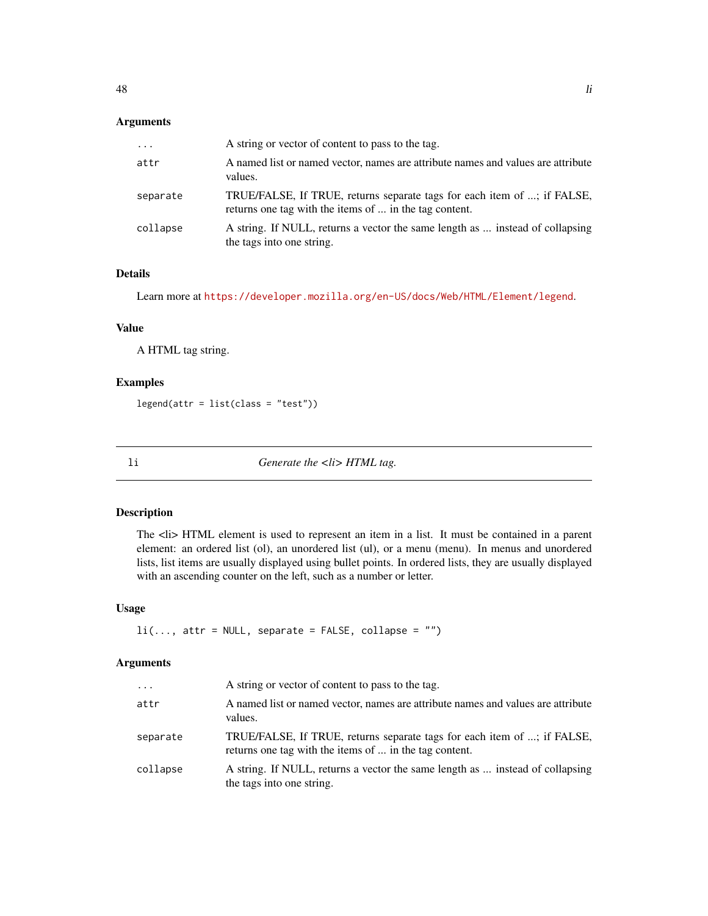## Arguments

| $\cdots$ | A string or vector of content to pass to the tag.                                                                                 |
|----------|-----------------------------------------------------------------------------------------------------------------------------------|
| attr     | A named list or named vector, names are attribute names and values are attribute<br>values.                                       |
| separate | TRUE/FALSE, If TRUE, returns separate tags for each item of ; if FALSE,<br>returns one tag with the items of  in the tag content. |
| collapse | A string. If NULL, returns a vector the same length as  instead of collapsing<br>the tags into one string.                        |

# Details

Learn more at <https://developer.mozilla.org/en-US/docs/Web/HTML/Element/legend>.

## Value

A HTML tag string.

## Examples

 $legend(attr = list(class = "test"))$ 

li *Generate the <li> HTML tag.*

#### Description

The <li> HTML element is used to represent an item in a list. It must be contained in a parent element: an ordered list (ol), an unordered list (ul), or a menu (menu). In menus and unordered lists, list items are usually displayed using bullet points. In ordered lists, they are usually displayed with an ascending counter on the left, such as a number or letter.

## Usage

```
li(..., attr = NULL, separate = FALSE, collapse = "")
```

| $\cdots$ | A string or vector of content to pass to the tag.                                                                                 |
|----------|-----------------------------------------------------------------------------------------------------------------------------------|
| attr     | A named list or named vector, names are attribute names and values are attribute<br>values.                                       |
| separate | TRUE/FALSE, If TRUE, returns separate tags for each item of ; if FALSE,<br>returns one tag with the items of  in the tag content. |
| collapse | A string. If NULL, returns a vector the same length as  instead of collapsing<br>the tags into one string.                        |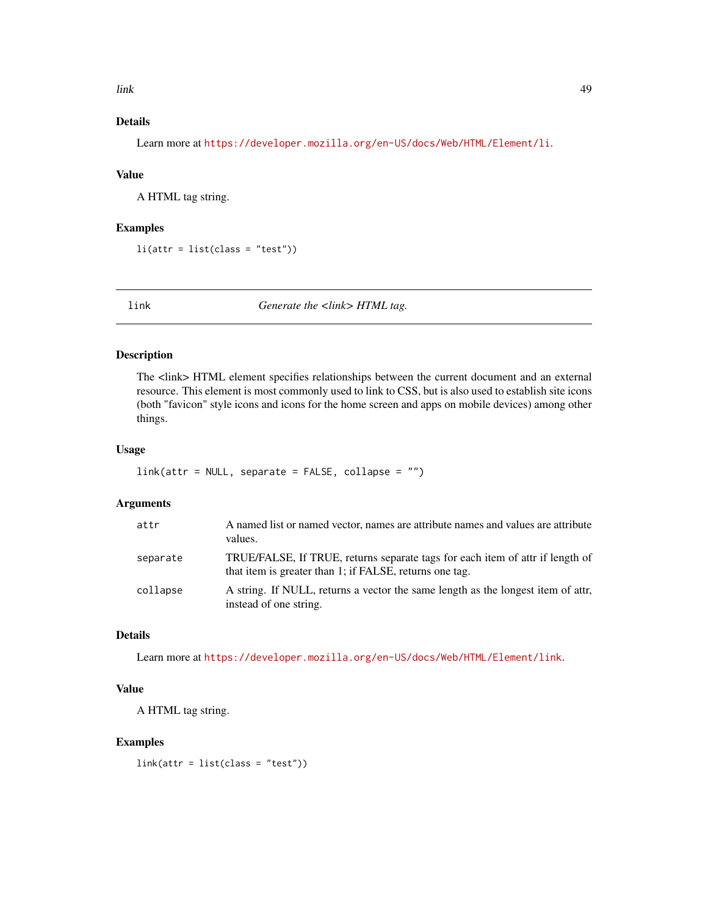link 49

# Details

Learn more at <https://developer.mozilla.org/en-US/docs/Web/HTML/Element/li>.

## Value

A HTML tag string.

## Examples

 $li(attr = list(class = "test"))$ 

link *Generate the <link> HTML tag.*

## Description

The <link> HTML element specifies relationships between the current document and an external resource. This element is most commonly used to link to CSS, but is also used to establish site icons (both "favicon" style icons and icons for the home screen and apps on mobile devices) among other things.

## Usage

```
link(attr = NULL, separate = FALSE, collapse = ''")
```
## Arguments

| attr     | A named list or named vector, names are attribute names and values are attribute<br>values.                                              |
|----------|------------------------------------------------------------------------------------------------------------------------------------------|
| separate | TRUE/FALSE, If TRUE, returns separate tags for each item of attr if length of<br>that item is greater than 1; if FALSE, returns one tag. |
| collapse | A string. If NULL, returns a vector the same length as the longest item of attr.<br>instead of one string.                               |

# Details

Learn more at <https://developer.mozilla.org/en-US/docs/Web/HTML/Element/link>.

## Value

A HTML tag string.

#### Examples

link(attr = list(class = "test"))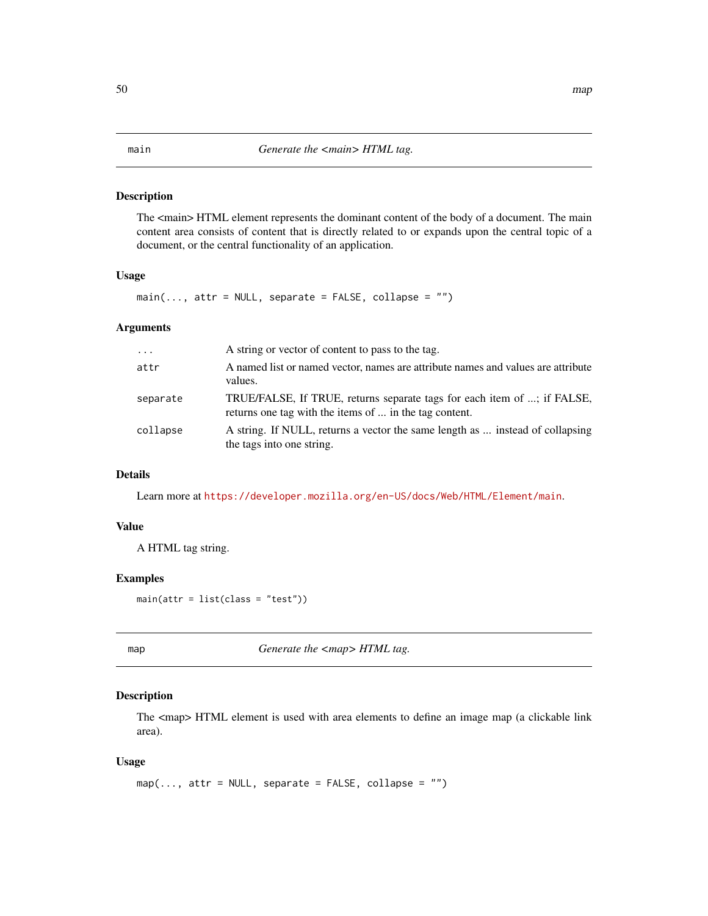The <main> HTML element represents the dominant content of the body of a document. The main content area consists of content that is directly related to or expands upon the central topic of a document, or the central functionality of an application.

## Usage

 $main(..., attr = NULL, separate = FALSE, collapse = "")$ 

## Arguments

| $\cdots$ | A string or vector of content to pass to the tag.                                                                                 |
|----------|-----------------------------------------------------------------------------------------------------------------------------------|
| attr     | A named list or named vector, names are attribute names and values are attribute<br>values.                                       |
| separate | TRUE/FALSE, If TRUE, returns separate tags for each item of ; if FALSE,<br>returns one tag with the items of  in the tag content. |
| collapse | A string. If NULL, returns a vector the same length as  instead of collapsing<br>the tags into one string.                        |

## Details

Learn more at <https://developer.mozilla.org/en-US/docs/Web/HTML/Element/main>.

## Value

A HTML tag string.

## Examples

 $main(attr = list(class = "test"))$ 

map **Generate the <map> HTML tag.** 

#### Description

The <map> HTML element is used with area elements to define an image map (a clickable link area).

#### Usage

```
map(..., attr = NULL, separate = FALSE, collapse = "")
```
#### 50 map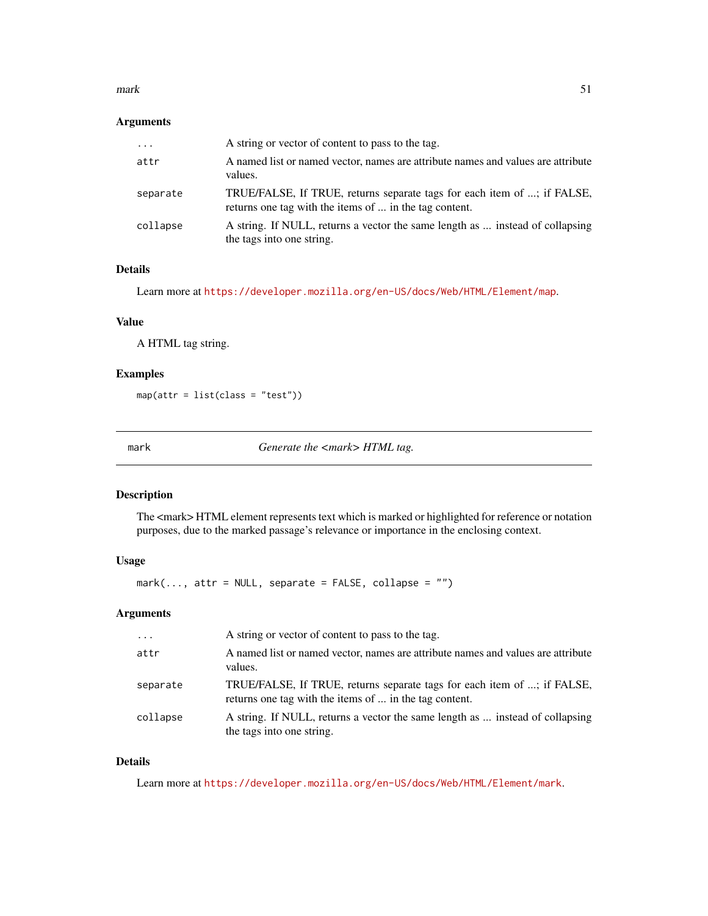#### $mark$  51

## Arguments

| $\ddots$ | A string or vector of content to pass to the tag.                                                                                 |
|----------|-----------------------------------------------------------------------------------------------------------------------------------|
| attr     | A named list or named vector, names are attribute names and values are attribute<br>values.                                       |
| separate | TRUE/FALSE, If TRUE, returns separate tags for each item of ; if FALSE,<br>returns one tag with the items of  in the tag content. |
| collapse | A string. If NULL, returns a vector the same length as  instead of collapsing<br>the tags into one string.                        |

## Details

Learn more at <https://developer.mozilla.org/en-US/docs/Web/HTML/Element/map>.

## Value

A HTML tag string.

## Examples

map(attr = list(class = "test"))

mark **Generate the <mark>HTML** tag.

## Description

The <mark>HTML element represents text which is marked or highlighted for reference or notation purposes, due to the marked passage's relevance or importance in the enclosing context.

## Usage

 $mark(..., attr = NULL, separate = FALSE, collapse = "")$ 

#### Arguments

| $\cdot$  | A string or vector of content to pass to the tag.                                                                                 |
|----------|-----------------------------------------------------------------------------------------------------------------------------------|
| attr     | A named list or named vector, names are attribute names and values are attribute<br>values.                                       |
| separate | TRUE/FALSE, If TRUE, returns separate tags for each item of ; if FALSE,<br>returns one tag with the items of  in the tag content. |
| collapse | A string. If NULL, returns a vector the same length as  instead of collapsing<br>the tags into one string.                        |

## Details

Learn more at <https://developer.mozilla.org/en-US/docs/Web/HTML/Element/mark>.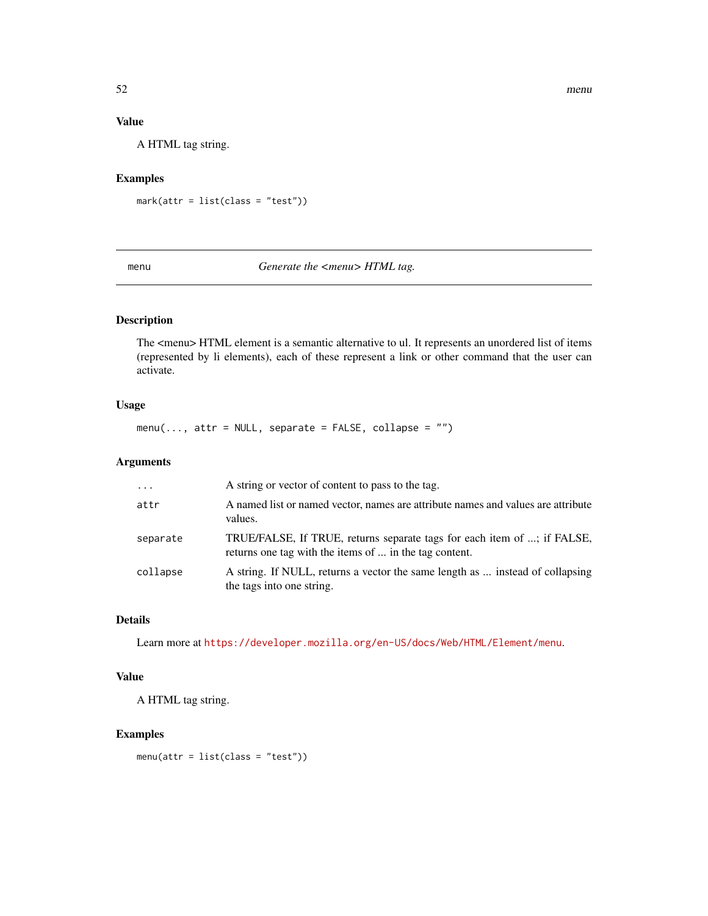## Value

A HTML tag string.

## Examples

 $mark(attr = list(class = "test"))$ 

## menu *Generate the <menu> HTML tag.*

## Description

The <menu> HTML element is a semantic alternative to ul. It represents an unordered list of items (represented by li elements), each of these represent a link or other command that the user can activate.

## Usage

 $menu(..., attr = NULL, separate = FALSE, collapse = "")$ 

## Arguments

| $\cdot$ $\cdot$ $\cdot$ | A string or vector of content to pass to the tag.                                                                                 |
|-------------------------|-----------------------------------------------------------------------------------------------------------------------------------|
| attr                    | A named list or named vector, names are attribute names and values are attribute<br>values.                                       |
| separate                | TRUE/FALSE, If TRUE, returns separate tags for each item of ; if FALSE,<br>returns one tag with the items of  in the tag content. |
| collapse                | A string. If NULL, returns a vector the same length as  instead of collapsing<br>the tags into one string.                        |

## Details

Learn more at <https://developer.mozilla.org/en-US/docs/Web/HTML/Element/menu>.

## Value

A HTML tag string.

## Examples

menu(attr = list(class = "test"))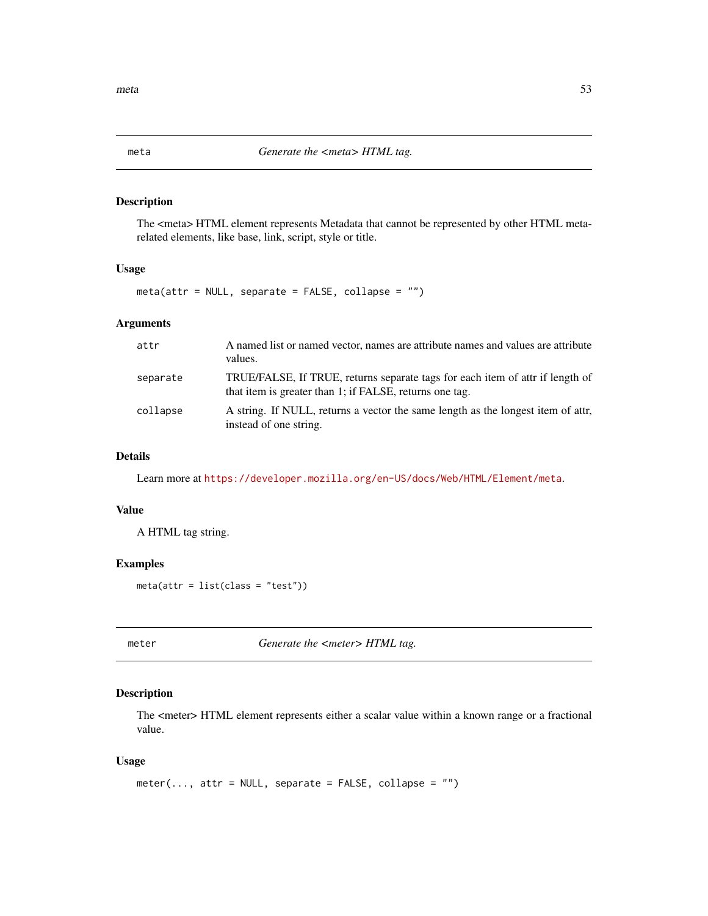The <meta> HTML element represents Metadata that cannot be represented by other HTML metarelated elements, like base, link, script, style or title.

## Usage

meta(attr = NULL, separate = FALSE, collapse = "")

## Arguments

| attr     | A named list or named vector, names are attribute names and values are attribute<br>values.                                              |
|----------|------------------------------------------------------------------------------------------------------------------------------------------|
| separate | TRUE/FALSE, If TRUE, returns separate tags for each item of attr if length of<br>that item is greater than 1; if FALSE, returns one tag. |
| collapse | A string. If NULL, returns a vector the same length as the longest item of attr.<br>instead of one string.                               |

## Details

Learn more at <https://developer.mozilla.org/en-US/docs/Web/HTML/Element/meta>.

#### Value

A HTML tag string.

#### Examples

meta(attr = list(class = "test"))

meter *Generate the <meter> HTML tag.* 

## Description

The <meter> HTML element represents either a scalar value within a known range or a fractional value.

#### Usage

```
meter(..., attr = NULL, separate = FALSE, collapse = "")
```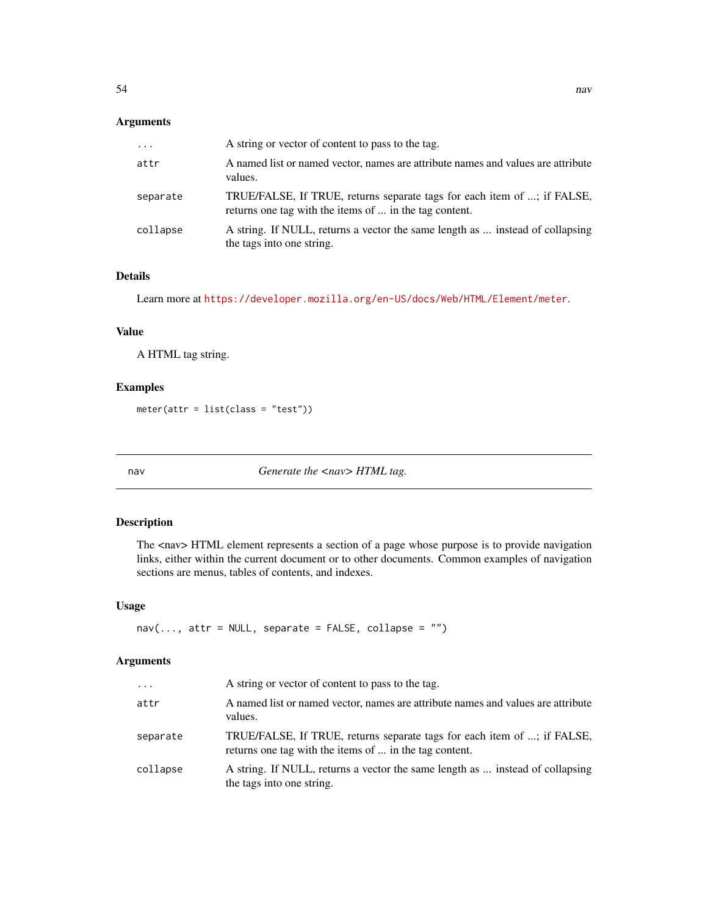## Arguments

| $\cdots$ | A string or vector of content to pass to the tag.                                                                                 |
|----------|-----------------------------------------------------------------------------------------------------------------------------------|
| attr     | A named list or named vector, names are attribute names and values are attribute<br>values.                                       |
| separate | TRUE/FALSE, If TRUE, returns separate tags for each item of ; if FALSE,<br>returns one tag with the items of  in the tag content. |
| collapse | A string. If NULL, returns a vector the same length as  instead of collapsing<br>the tags into one string.                        |

# Details

Learn more at <https://developer.mozilla.org/en-US/docs/Web/HTML/Element/meter>.

# Value

A HTML tag string.

## Examples

meter(attr = list(class = "test"))

nav *Generate the <nav> HTML tag.*

#### Description

The <nav> HTML element represents a section of a page whose purpose is to provide navigation links, either within the current document or to other documents. Common examples of navigation sections are menus, tables of contents, and indexes.

## Usage

```
nav(..., attr = NULL, separate = FALSE, collapse = "")
```

| $\cdots$ | A string or vector of content to pass to the tag.                                                                                 |
|----------|-----------------------------------------------------------------------------------------------------------------------------------|
| attr     | A named list or named vector, names are attribute names and values are attribute<br>values.                                       |
| separate | TRUE/FALSE, If TRUE, returns separate tags for each item of ; if FALSE,<br>returns one tag with the items of  in the tag content. |
| collapse | A string. If NULL, returns a vector the same length as  instead of collapsing<br>the tags into one string.                        |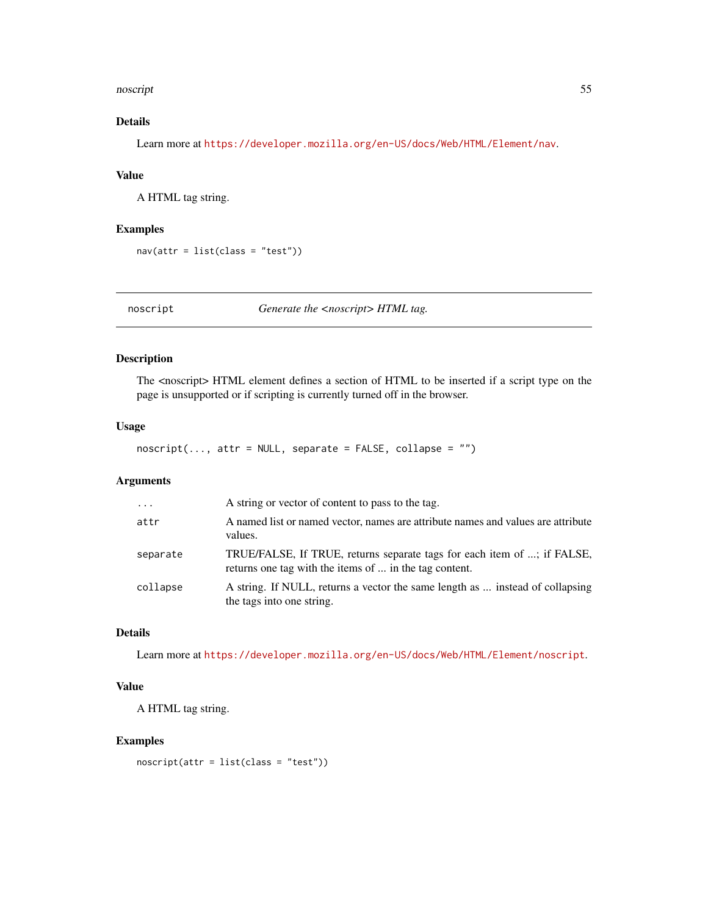#### noscript 55

# Details

Learn more at <https://developer.mozilla.org/en-US/docs/Web/HTML/Element/nav>.

## Value

A HTML tag string.

## Examples

nav(attr = list(class = "test"))

noscript *Generate the <noscript> HTML tag.*

## Description

The <noscript> HTML element defines a section of HTML to be inserted if a script type on the page is unsupported or if scripting is currently turned off in the browser.

# Usage

noscript(..., attr = NULL, separate = FALSE, collapse = "")

## Arguments

| $\cdots$ | A string or vector of content to pass to the tag.                                                                                 |
|----------|-----------------------------------------------------------------------------------------------------------------------------------|
| attr     | A named list or named vector, names are attribute names and values are attribute<br>values.                                       |
| separate | TRUE/FALSE, If TRUE, returns separate tags for each item of ; if FALSE,<br>returns one tag with the items of  in the tag content. |
| collapse | A string. If NULL, returns a vector the same length as  instead of collapsing<br>the tags into one string.                        |

## Details

Learn more at <https://developer.mozilla.org/en-US/docs/Web/HTML/Element/noscript>.

## Value

A HTML tag string.

#### Examples

noscript(attr = list(class = "test"))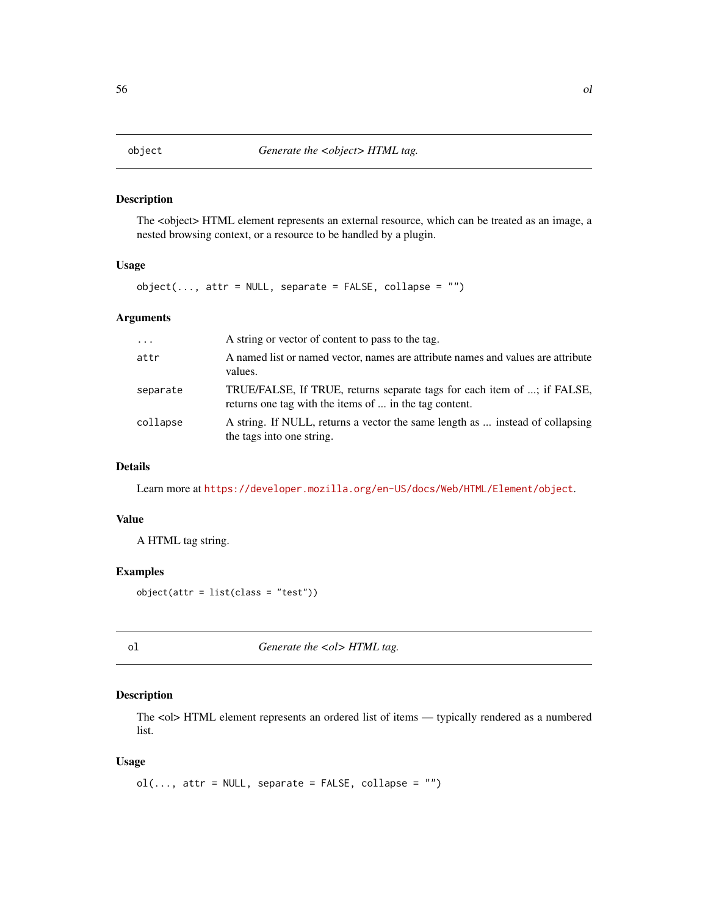The <object> HTML element represents an external resource, which can be treated as an image, a nested browsing context, or a resource to be handled by a plugin.

#### Usage

 $object(..., attr = NULL, separate = FALSE, collapse = "")$ 

## Arguments

| $\cdots$ | A string or vector of content to pass to the tag.                                                                                 |
|----------|-----------------------------------------------------------------------------------------------------------------------------------|
| attr     | A named list or named vector, names are attribute names and values are attribute<br>values.                                       |
| separate | TRUE/FALSE, If TRUE, returns separate tags for each item of ; if FALSE,<br>returns one tag with the items of  in the tag content. |
| collapse | A string. If NULL, returns a vector the same length as  instead of collapsing<br>the tags into one string.                        |

# Details

Learn more at <https://developer.mozilla.org/en-US/docs/Web/HTML/Element/object>.

#### Value

A HTML tag string.

#### Examples

object(attr = list(class = "test"))

ol *Generate the <ol>HTML tag.* 

## Description

The <ol> HTML element represents an ordered list of items — typically rendered as a numbered list.

#### Usage

```
ol(..., attr = NULL, separate = FALSE, collapse = "")
```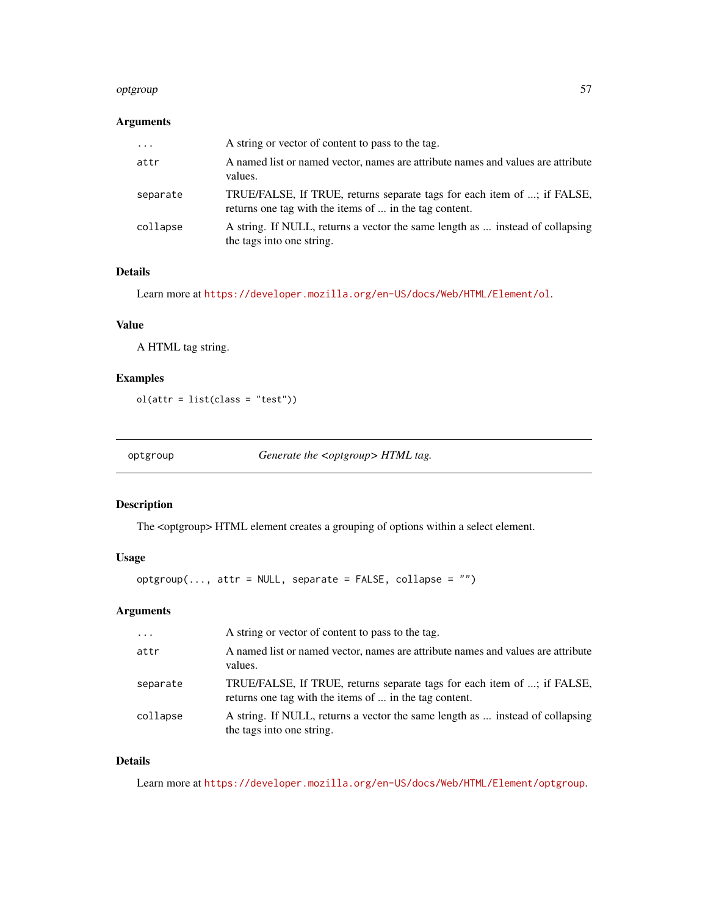#### optgroup 57 to 57 to 56 minutes and 50 minutes of 57 minutes and 50 minutes of 57 minutes and 57  $\,$

# Arguments

| $\cdots$ | A string or vector of content to pass to the tag.                                                                                 |
|----------|-----------------------------------------------------------------------------------------------------------------------------------|
| attr     | A named list or named vector, names are attribute names and values are attribute<br>values.                                       |
| separate | TRUE/FALSE, If TRUE, returns separate tags for each item of ; if FALSE,<br>returns one tag with the items of  in the tag content. |
| collapse | A string. If NULL, returns a vector the same length as  instead of collapsing<br>the tags into one string.                        |

## Details

Learn more at <https://developer.mozilla.org/en-US/docs/Web/HTML/Element/ol>.

## Value

A HTML tag string.

# Examples

ol(attr = list(class = "test"))

optgroup *Generate the <optgroup> HTML tag.*

#### Description

The <optgroup> HTML element creates a grouping of options within a select element.

#### Usage

```
optgroup(..., attr = NULL, separate = FALSE, collapse = "")
```
# Arguments

| $\cdot \cdot \cdot$ | A string or vector of content to pass to the tag.                                                                                 |
|---------------------|-----------------------------------------------------------------------------------------------------------------------------------|
| attr                | A named list or named vector, names are attribute names and values are attribute<br>values.                                       |
| separate            | TRUE/FALSE, If TRUE, returns separate tags for each item of ; if FALSE,<br>returns one tag with the items of  in the tag content. |
| collapse            | A string. If NULL, returns a vector the same length as  instead of collapsing<br>the tags into one string.                        |

## Details

Learn more at <https://developer.mozilla.org/en-US/docs/Web/HTML/Element/optgroup>.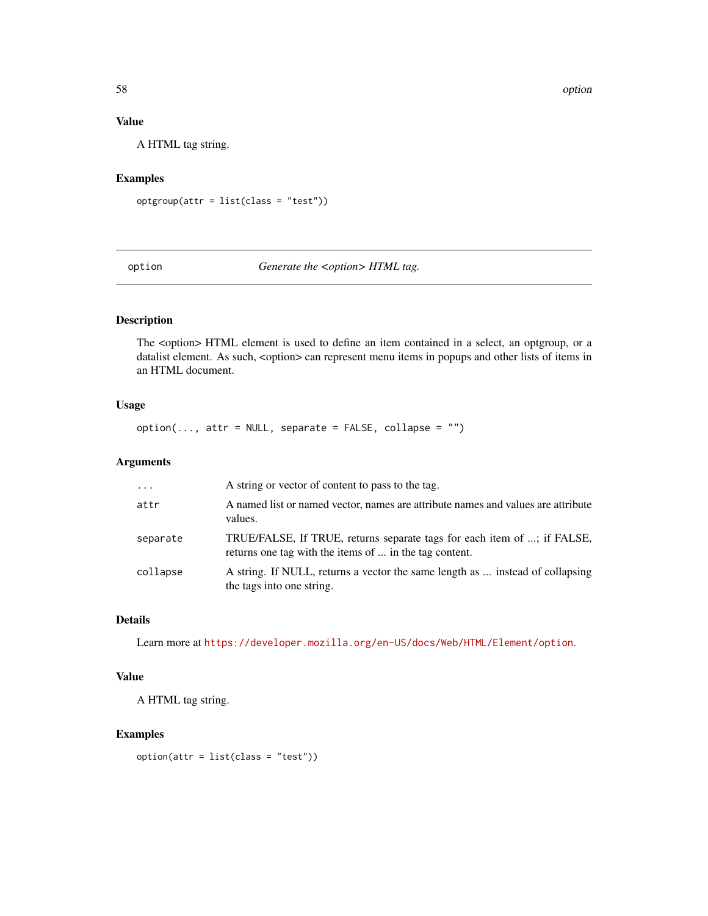58 option

## Value

A HTML tag string.

# Examples

optgroup(attr = list(class = "test"))

option *Generate the <option> HTML tag.*

## Description

The <option> HTML element is used to define an item contained in a select, an optgroup, or a datalist element. As such, <option> can represent menu items in popups and other lists of items in an HTML document.

## Usage

 $option(..., attr = NULL, separate = FALSE, collapse = "")$ 

## Arguments

| $\cdots$ | A string or vector of content to pass to the tag.                                                                                 |
|----------|-----------------------------------------------------------------------------------------------------------------------------------|
| attr     | A named list or named vector, names are attribute names and values are attribute<br>values.                                       |
| separate | TRUE/FALSE, If TRUE, returns separate tags for each item of ; if FALSE,<br>returns one tag with the items of  in the tag content. |
| collapse | A string. If NULL, returns a vector the same length as  instead of collapsing<br>the tags into one string.                        |

# Details

Learn more at <https://developer.mozilla.org/en-US/docs/Web/HTML/Element/option>.

## Value

A HTML tag string.

## Examples

option(attr = list(class = "test"))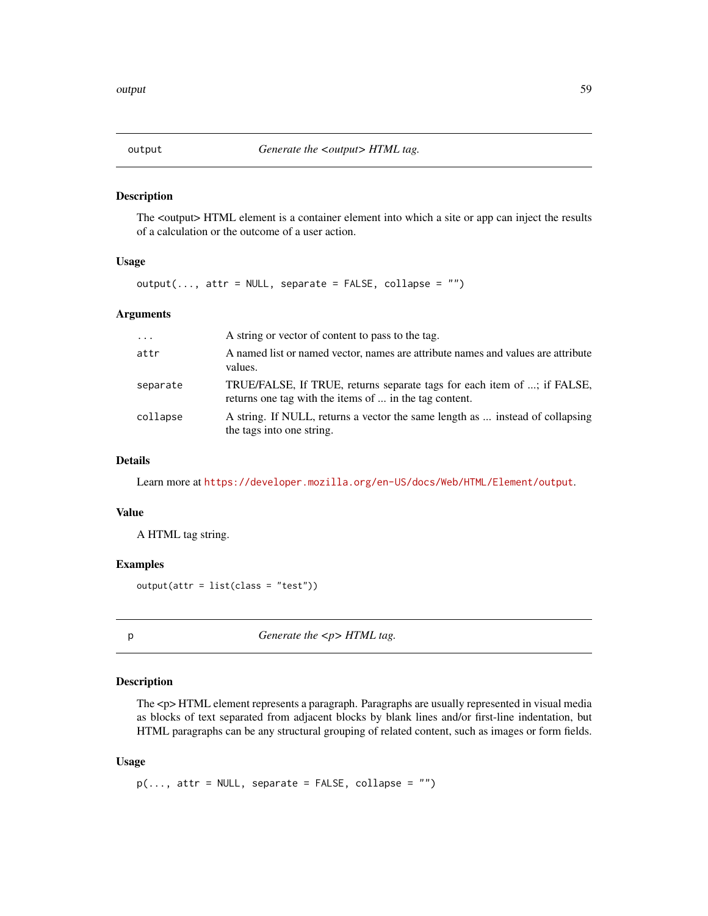The <output> HTML element is a container element into which a site or app can inject the results of a calculation or the outcome of a user action.

#### Usage

 $output(..., attr = NULL, separate = FALSE, collapse = "")$ 

#### Arguments

| $\cdots$ | A string or vector of content to pass to the tag.                                                                                 |
|----------|-----------------------------------------------------------------------------------------------------------------------------------|
| attr     | A named list or named vector, names are attribute names and values are attribute<br>values.                                       |
| separate | TRUE/FALSE, If TRUE, returns separate tags for each item of ; if FALSE,<br>returns one tag with the items of  in the tag content. |
| collapse | A string. If NULL, returns a vector the same length as  instead of collapsing<br>the tags into one string.                        |

## Details

Learn more at <https://developer.mozilla.org/en-US/docs/Web/HTML/Element/output>.

#### Value

A HTML tag string.

#### Examples

output(attr = list(class = "test"))

p *Generate the <p> HTML tag.*

## Description

The <p> HTML element represents a paragraph. Paragraphs are usually represented in visual media as blocks of text separated from adjacent blocks by blank lines and/or first-line indentation, but HTML paragraphs can be any structural grouping of related content, such as images or form fields.

#### Usage

 $p(\ldots, \text{attr} = \text{NULL}, \text{ separate} = \text{FALSE}, \text{ collapse} = \text{""\,})$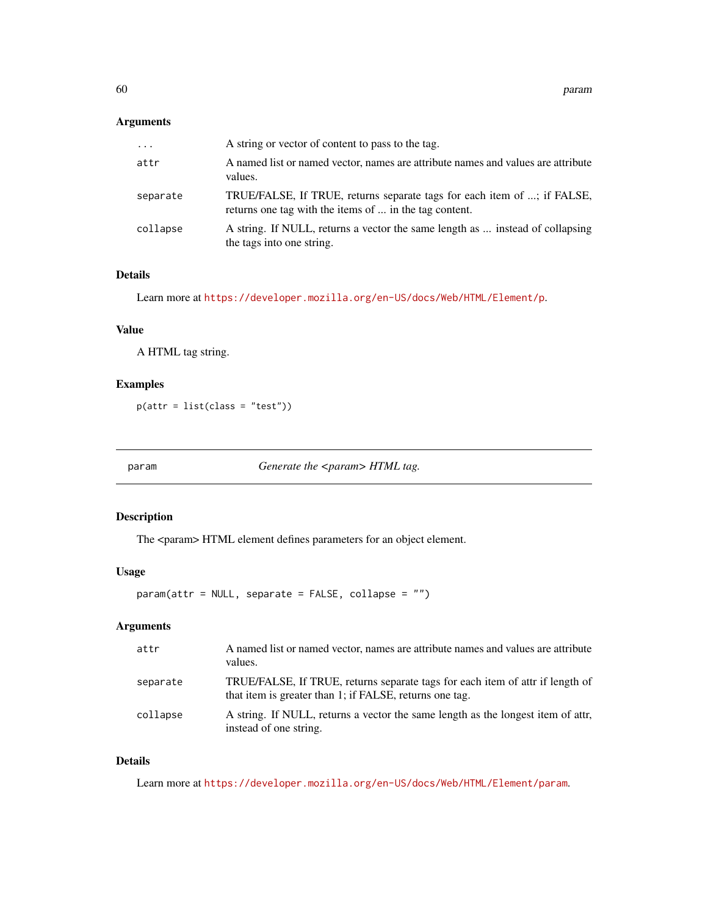## Arguments

| $\cdots$ | A string or vector of content to pass to the tag.                                                                                 |
|----------|-----------------------------------------------------------------------------------------------------------------------------------|
| attr     | A named list or named vector, names are attribute names and values are attribute<br>values.                                       |
| separate | TRUE/FALSE, If TRUE, returns separate tags for each item of ; if FALSE,<br>returns one tag with the items of  in the tag content. |
| collapse | A string. If NULL, returns a vector the same length as  instead of collapsing<br>the tags into one string.                        |

# Details

Learn more at <https://developer.mozilla.org/en-US/docs/Web/HTML/Element/p>.

## Value

A HTML tag string.

## Examples

p(attr = list(class = "test"))

param *Generate the <param> HTML tag.* 

## Description

The <param> HTML element defines parameters for an object element.

## Usage

param(attr = NULL, separate = FALSE, collapse = "")

## Arguments

| attr     | A named list or named vector, names are attribute names and values are attribute<br>values.                                              |
|----------|------------------------------------------------------------------------------------------------------------------------------------------|
| separate | TRUE/FALSE, If TRUE, returns separate tags for each item of attr if length of<br>that item is greater than 1; if FALSE, returns one tag. |
| collapse | A string. If NULL, returns a vector the same length as the longest item of attr.<br>instead of one string.                               |

## Details

Learn more at <https://developer.mozilla.org/en-US/docs/Web/HTML/Element/param>.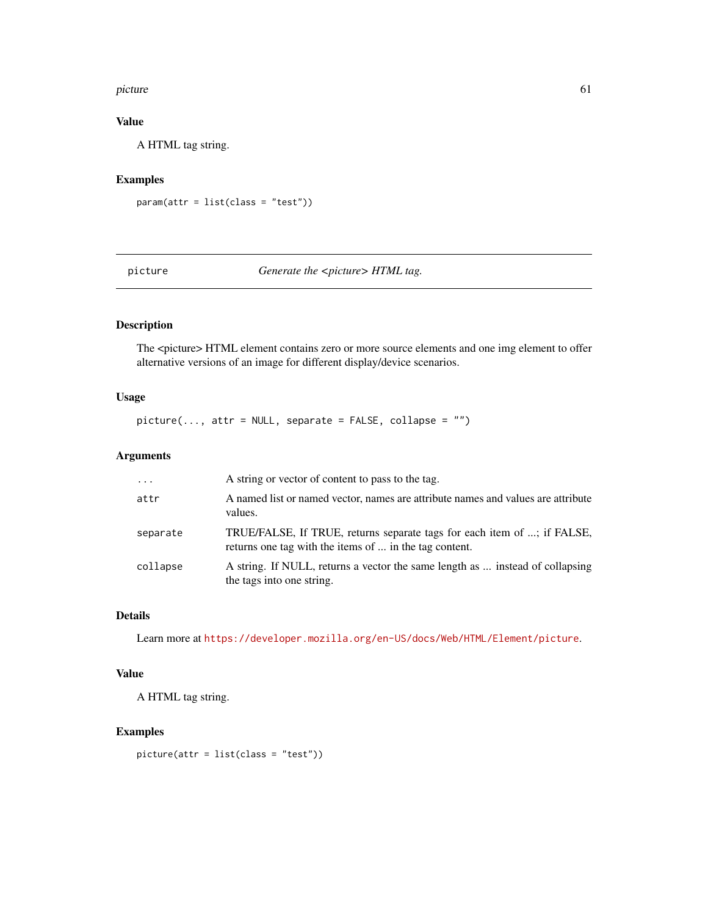#### picture 61

# Value

A HTML tag string.

## Examples

```
param(attr = list(class = "test"))
```
picture *Generate the <picture> HTML tag.* 

# Description

The <picture> HTML element contains zero or more source elements and one img element to offer alternative versions of an image for different display/device scenarios.

## Usage

 $picture(..., attr = NULL, separate = FALSE, collapse = "")$ 

## Arguments

| $\cdots$ | A string or vector of content to pass to the tag.                                                                                 |
|----------|-----------------------------------------------------------------------------------------------------------------------------------|
| attr     | A named list or named vector, names are attribute names and values are attribute<br>values.                                       |
| separate | TRUE/FALSE, If TRUE, returns separate tags for each item of ; if FALSE,<br>returns one tag with the items of  in the tag content. |
| collapse | A string. If NULL, returns a vector the same length as  instead of collapsing<br>the tags into one string.                        |

## Details

Learn more at <https://developer.mozilla.org/en-US/docs/Web/HTML/Element/picture>.

## Value

A HTML tag string.

## Examples

picture(attr = list(class = "test"))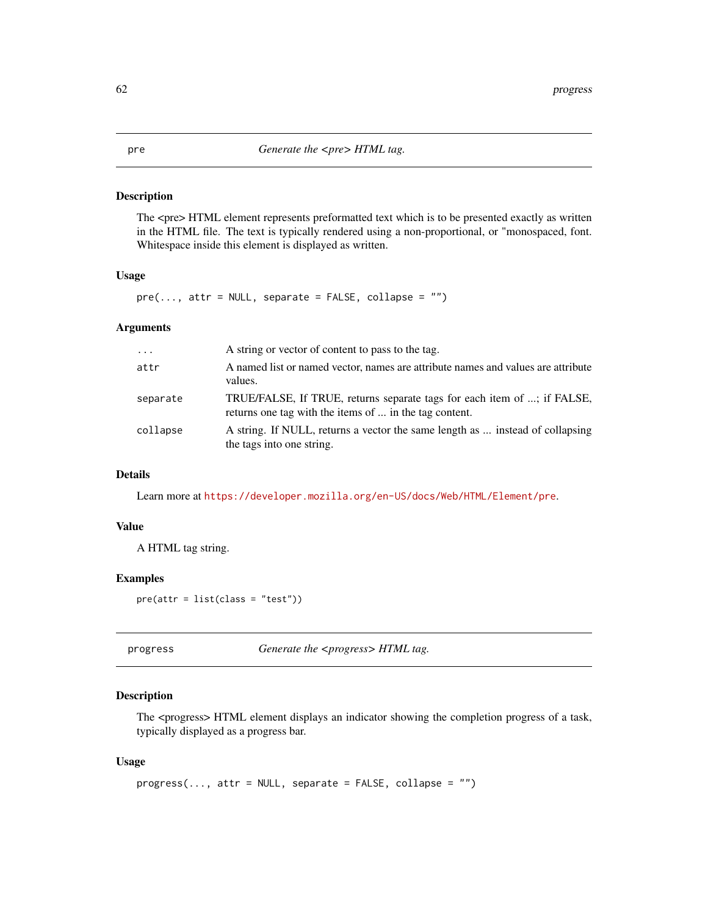#### pre *Generate the <pre> HTML tag.*

#### Description

The <pre> HTML element represents preformatted text which is to be presented exactly as written in the HTML file. The text is typically rendered using a non-proportional, or "monospaced, font. Whitespace inside this element is displayed as written.

## Usage

 $pre(..., attr = NULL, separate = FALSE, collapse = "")$ 

## Arguments

| $\ddots$ . | A string or vector of content to pass to the tag.                                                                                 |
|------------|-----------------------------------------------------------------------------------------------------------------------------------|
| attr       | A named list or named vector, names are attribute names and values are attribute<br>values.                                       |
| separate   | TRUE/FALSE, If TRUE, returns separate tags for each item of ; if FALSE,<br>returns one tag with the items of  in the tag content. |
| collapse   | A string. If NULL, returns a vector the same length as  instead of collapsing<br>the tags into one string.                        |

## Details

Learn more at <https://developer.mozilla.org/en-US/docs/Web/HTML/Element/pre>.

## Value

A HTML tag string.

## Examples

pre(attr = list(class = "test"))

progress *Generate the <progress> HTML tag.*

## Description

The <progress> HTML element displays an indicator showing the completion progress of a task, typically displayed as a progress bar.

#### Usage

```
progress(..., attr = NULL, separate = FALSE, collapse = "")
```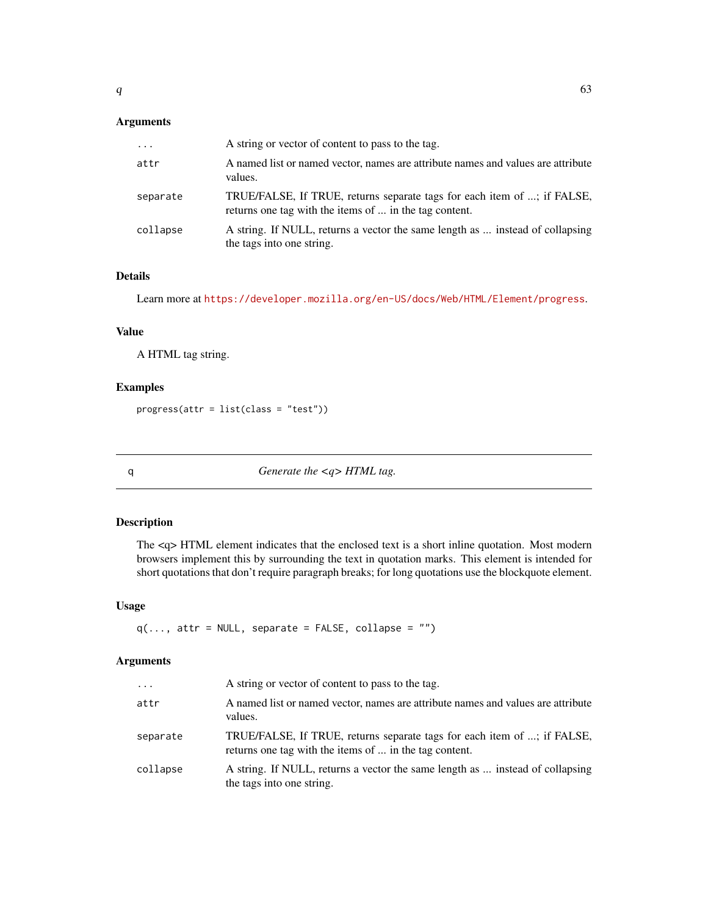# Arguments

| $\cdots$ | A string or vector of content to pass to the tag.                                                                                 |
|----------|-----------------------------------------------------------------------------------------------------------------------------------|
| attr     | A named list or named vector, names are attribute names and values are attribute<br>values.                                       |
| separate | TRUE/FALSE, If TRUE, returns separate tags for each item of ; if FALSE,<br>returns one tag with the items of  in the tag content. |
| collapse | A string. If NULL, returns a vector the same length as  instead of collapsing<br>the tags into one string.                        |

# Details

Learn more at <https://developer.mozilla.org/en-US/docs/Web/HTML/Element/progress>.

## Value

A HTML tag string.

## Examples

progress(attr = list(class = "test"))

q *Generate the <q> HTML tag.*

## Description

The <q> HTML element indicates that the enclosed text is a short inline quotation. Most modern browsers implement this by surrounding the text in quotation marks. This element is intended for short quotations that don't require paragraph breaks; for long quotations use the blockquote element.

## Usage

```
q(..., attr = NULL, separate = FALSE, collapse = "")
```

| $\cdots$ | A string or vector of content to pass to the tag.                                                                                 |
|----------|-----------------------------------------------------------------------------------------------------------------------------------|
| attr     | A named list or named vector, names are attribute names and values are attribute<br>values.                                       |
| separate | TRUE/FALSE, If TRUE, returns separate tags for each item of ; if FALSE,<br>returns one tag with the items of  in the tag content. |
| collapse | A string. If NULL, returns a vector the same length as  instead of collapsing<br>the tags into one string.                        |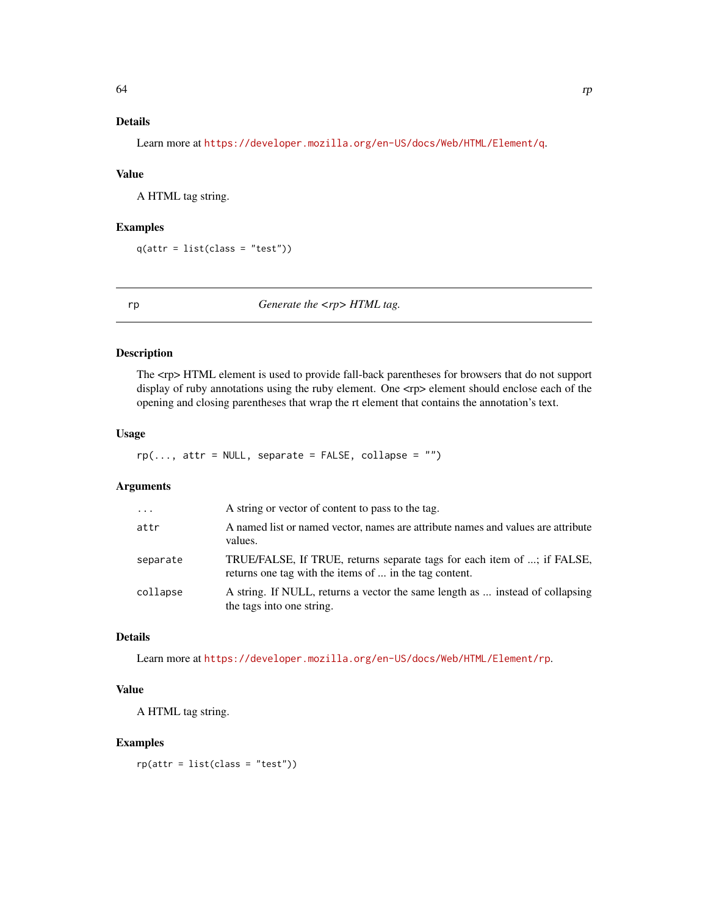# Details

Learn more at <https://developer.mozilla.org/en-US/docs/Web/HTML/Element/q>.

#### Value

A HTML tag string.

## Examples

 $q(attr = list(class = "test"))$ 

rp *Generate the <rp> HTML tag.*

## Description

The <rp> HTML element is used to provide fall-back parentheses for browsers that do not support display of ruby annotations using the ruby element. One  $\langle$ rp> element should enclose each of the opening and closing parentheses that wrap the rt element that contains the annotation's text.

#### Usage

 $rp(..., attr = NULL, separate = FALSE, collapse = "")$ 

## Arguments

| $\cdots$ | A string or vector of content to pass to the tag.                                                                                 |
|----------|-----------------------------------------------------------------------------------------------------------------------------------|
| attr     | A named list or named vector, names are attribute names and values are attribute<br>values.                                       |
| separate | TRUE/FALSE, If TRUE, returns separate tags for each item of ; if FALSE,<br>returns one tag with the items of  in the tag content. |
| collapse | A string. If NULL, returns a vector the same length as  instead of collapsing<br>the tags into one string.                        |

# Details

Learn more at <https://developer.mozilla.org/en-US/docs/Web/HTML/Element/rp>.

## Value

A HTML tag string.

## Examples

 $rp(attr = list(class = "test"))$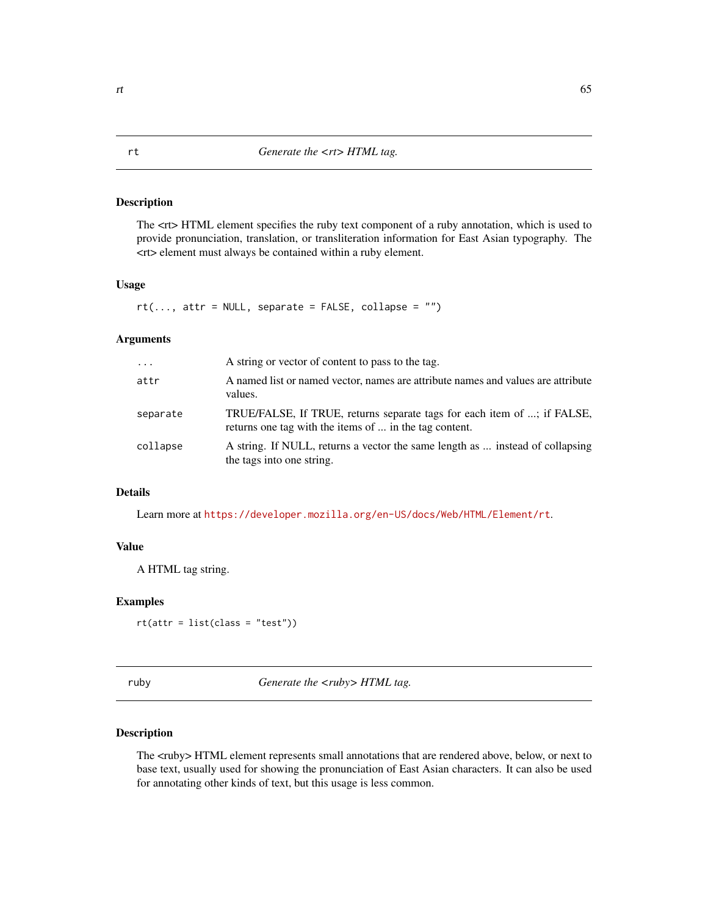The <rt> HTML element specifies the ruby text component of a ruby annotation, which is used to provide pronunciation, translation, or transliteration information for East Asian typography. The <rt> element must always be contained within a ruby element.

#### Usage

```
rt(..., attr = NULL, separate = FALSE, collapse = "")
```
## Arguments

| $\ddots$ | A string or vector of content to pass to the tag.                                                                                 |
|----------|-----------------------------------------------------------------------------------------------------------------------------------|
| attr     | A named list or named vector, names are attribute names and values are attribute<br>values.                                       |
| separate | TRUE/FALSE, If TRUE, returns separate tags for each item of ; if FALSE,<br>returns one tag with the items of  in the tag content. |
| collapse | A string. If NULL, returns a vector the same length as  instead of collapsing<br>the tags into one string.                        |

## Details

Learn more at <https://developer.mozilla.org/en-US/docs/Web/HTML/Element/rt>.

## Value

A HTML tag string.

#### Examples

rt(attr = list(class = "test"))

ruby *Generate the <ruby> HTML tag.*

## Description

The <ruby> HTML element represents small annotations that are rendered above, below, or next to base text, usually used for showing the pronunciation of East Asian characters. It can also be used for annotating other kinds of text, but this usage is less common.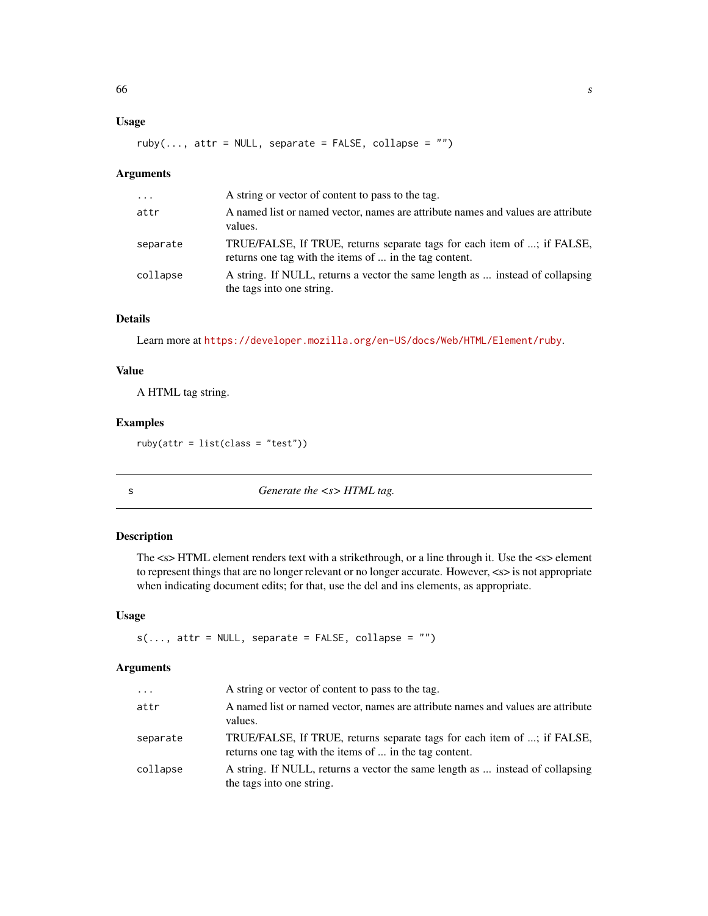## Usage

```
ruby(..., attr = NULL, separate = FALSE, collapse = "")
```
#### Arguments

| $\cdots$ | A string or vector of content to pass to the tag.                                                                                 |
|----------|-----------------------------------------------------------------------------------------------------------------------------------|
| attr     | A named list or named vector, names are attribute names and values are attribute<br>values.                                       |
| separate | TRUE/FALSE, If TRUE, returns separate tags for each item of ; if FALSE,<br>returns one tag with the items of  in the tag content. |
| collapse | A string. If NULL, returns a vector the same length as  instead of collapsing<br>the tags into one string.                        |

# Details

Learn more at <https://developer.mozilla.org/en-US/docs/Web/HTML/Element/ruby>.

## Value

A HTML tag string.

## Examples

ruby(attr = list(class = "test"))

s *Generate the <s> HTML tag.*

#### Description

The <s> HTML element renders text with a strikethrough, or a line through it. Use the <s> element to represent things that are no longer relevant or no longer accurate. However, <s> is not appropriate when indicating document edits; for that, use the del and ins elements, as appropriate.

#### Usage

 $s(..., attr = NULL, separate = FALSE, collapse = "")$ 

| $\ddots$ | A string or vector of content to pass to the tag.                                                                                 |
|----------|-----------------------------------------------------------------------------------------------------------------------------------|
| attr     | A named list or named vector, names are attribute names and values are attribute<br>values.                                       |
| separate | TRUE/FALSE, If TRUE, returns separate tags for each item of ; if FALSE,<br>returns one tag with the items of  in the tag content. |
| collapse | A string. If NULL, returns a vector the same length as  instead of collapsing<br>the tags into one string.                        |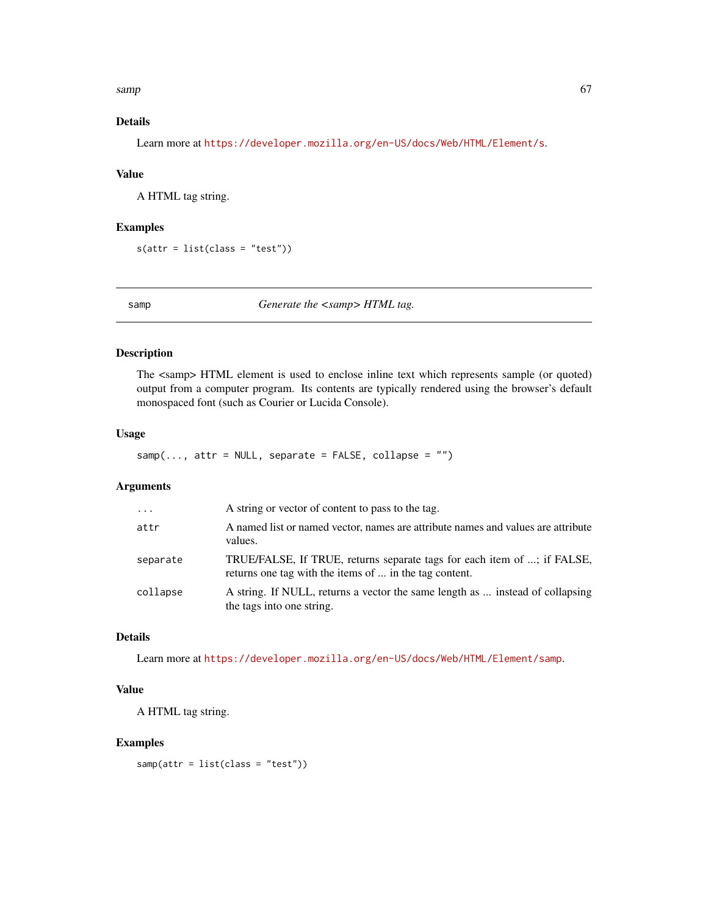$s$ amp 67

# Details

Learn more at <https://developer.mozilla.org/en-US/docs/Web/HTML/Element/s>.

#### Value

A HTML tag string.

## Examples

s(attr = list(class = "test"))

samp **Generate the <samp> HTML tag.** 

## Description

The <samp> HTML element is used to enclose inline text which represents sample (or quoted) output from a computer program. Its contents are typically rendered using the browser's default monospaced font (such as Courier or Lucida Console).

#### Usage

 $\text{sample}$ ..., attr = NULL, separate = FALSE, collapse = "")

## Arguments

| $\cdots$ | A string or vector of content to pass to the tag.                                                                                 |
|----------|-----------------------------------------------------------------------------------------------------------------------------------|
| attr     | A named list or named vector, names are attribute names and values are attribute<br>values.                                       |
| separate | TRUE/FALSE, If TRUE, returns separate tags for each item of ; if FALSE,<br>returns one tag with the items of  in the tag content. |
| collapse | A string. If NULL, returns a vector the same length as  instead of collapsing<br>the tags into one string.                        |

# Details

Learn more at <https://developer.mozilla.org/en-US/docs/Web/HTML/Element/samp>.

#### Value

A HTML tag string.

## Examples

samp(attr = list(class = "test"))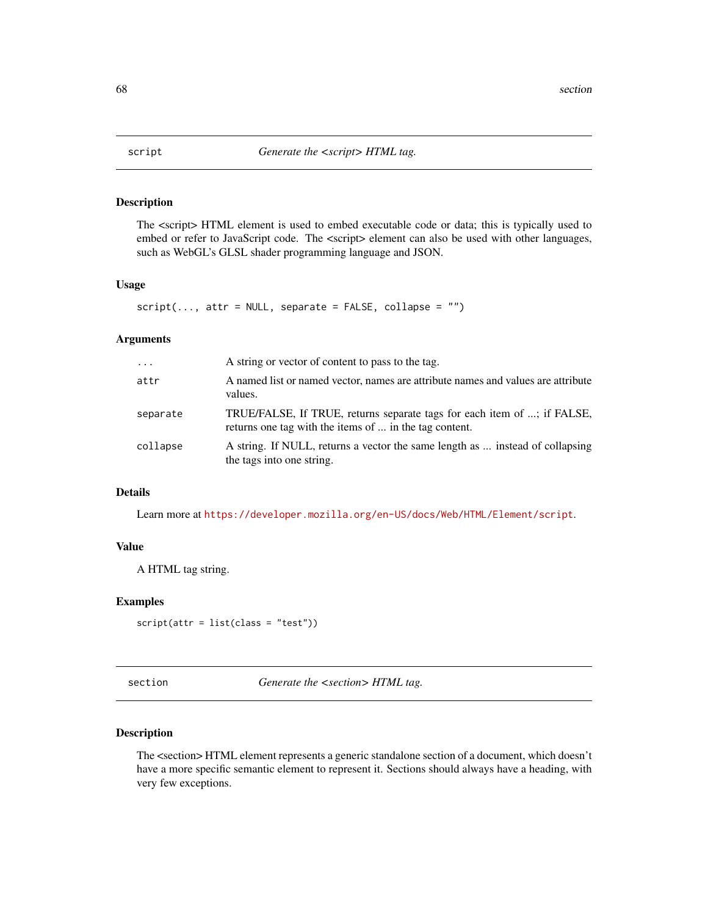The <script> HTML element is used to embed executable code or data; this is typically used to embed or refer to JavaScript code. The <script> element can also be used with other languages, such as WebGL's GLSL shader programming language and JSON.

#### Usage

```
script(..., attr = NULL, separate = FALSE, collapse = "")
```
#### Arguments

| $\ddots$ . | A string or vector of content to pass to the tag.                                                                                 |
|------------|-----------------------------------------------------------------------------------------------------------------------------------|
| attr       | A named list or named vector, names are attribute names and values are attribute<br>values.                                       |
| separate   | TRUE/FALSE, If TRUE, returns separate tags for each item of ; if FALSE,<br>returns one tag with the items of  in the tag content. |
| collapse   | A string. If NULL, returns a vector the same length as  instead of collapsing<br>the tags into one string.                        |

## Details

Learn more at <https://developer.mozilla.org/en-US/docs/Web/HTML/Element/script>.

## Value

A HTML tag string.

## Examples

```
script(attr = list(class = "test"))
```
section *Generate the <section> HTML tag.*

## Description

The <section> HTML element represents a generic standalone section of a document, which doesn't have a more specific semantic element to represent it. Sections should always have a heading, with very few exceptions.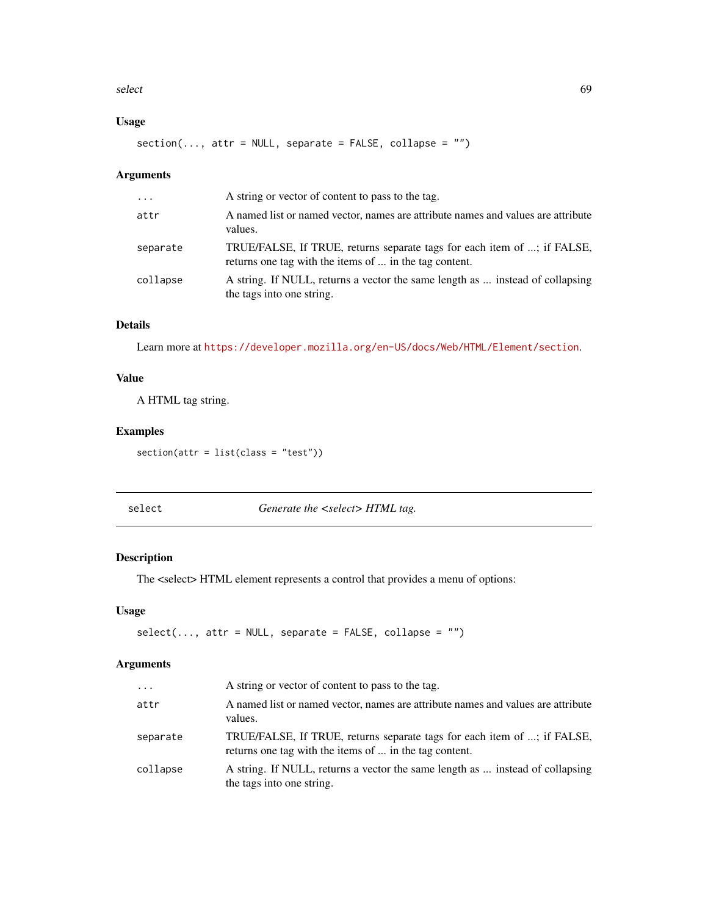#### select 69

# Usage

section(..., attr = NULL, separate = FALSE, collapse = "")

## Arguments

| $\cdot$  | A string or vector of content to pass to the tag.                                                                                 |
|----------|-----------------------------------------------------------------------------------------------------------------------------------|
| attr     | A named list or named vector, names are attribute names and values are attribute<br>values.                                       |
| separate | TRUE/FALSE, If TRUE, returns separate tags for each item of ; if FALSE,<br>returns one tag with the items of  in the tag content. |
| collapse | A string. If NULL, returns a vector the same length as  instead of collapsing<br>the tags into one string.                        |

# Details

Learn more at <https://developer.mozilla.org/en-US/docs/Web/HTML/Element/section>.

# Value

A HTML tag string.

## Examples

section(attr = list(class = "test"))

| - | ≏ |
|---|---|
|   |   |

Generate the <select> HTML tag.

## Description

The <select> HTML element represents a control that provides a menu of options:

## Usage

```
select(..., attr = NULL, separate = FALSE, collapse = "")
```

| $\cdots$ | A string or vector of content to pass to the tag.                                                                                 |
|----------|-----------------------------------------------------------------------------------------------------------------------------------|
| attr     | A named list or named vector, names are attribute names and values are attribute<br>values.                                       |
| separate | TRUE/FALSE, If TRUE, returns separate tags for each item of ; if FALSE,<br>returns one tag with the items of  in the tag content. |
| collapse | A string. If NULL, returns a vector the same length as  instead of collapsing<br>the tags into one string.                        |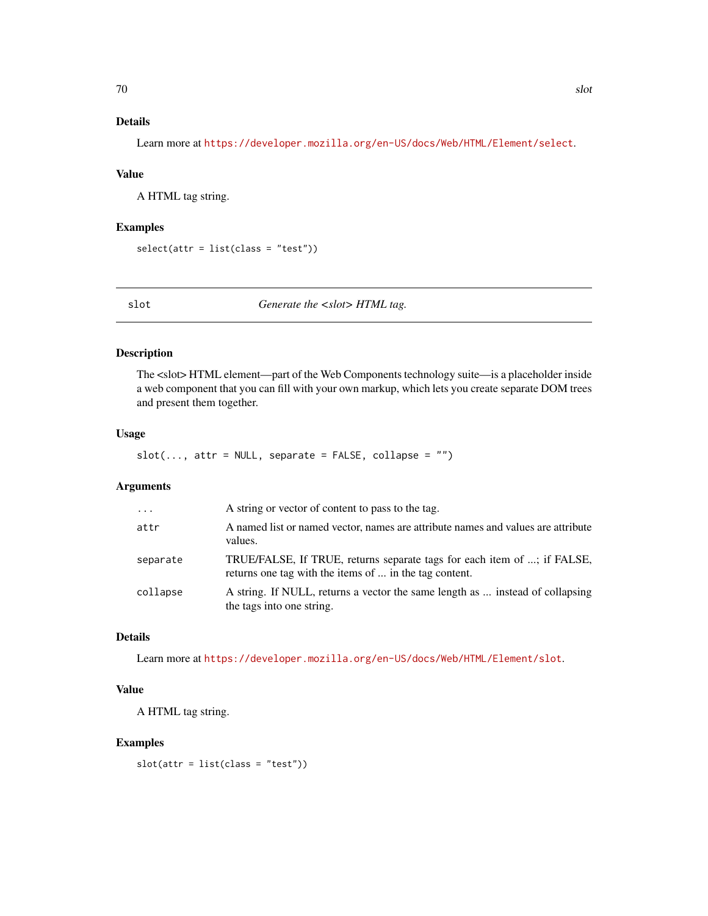# Details

Learn more at <https://developer.mozilla.org/en-US/docs/Web/HTML/Element/select>.

#### Value

A HTML tag string.

## Examples

```
select(attr = list(class = "test"))
```
slot *Generate the <slot>HTML tag.* 

## Description

The <slot> HTML element—part of the Web Components technology suite—is a placeholder inside a web component that you can fill with your own markup, which lets you create separate DOM trees and present them together.

#### Usage

```
slot(..., attr = NULL, separate = FALSE, collapse = "")
```
## Arguments

| $\cdot$  | A string or vector of content to pass to the tag.                                                                                 |
|----------|-----------------------------------------------------------------------------------------------------------------------------------|
| attr     | A named list or named vector, names are attribute names and values are attribute<br>values.                                       |
| separate | TRUE/FALSE, If TRUE, returns separate tags for each item of ; if FALSE,<br>returns one tag with the items of  in the tag content. |
| collapse | A string. If NULL, returns a vector the same length as  instead of collapsing<br>the tags into one string.                        |

# Details

Learn more at <https://developer.mozilla.org/en-US/docs/Web/HTML/Element/slot>.

## Value

A HTML tag string.

## Examples

slot(attr = list(class = "test"))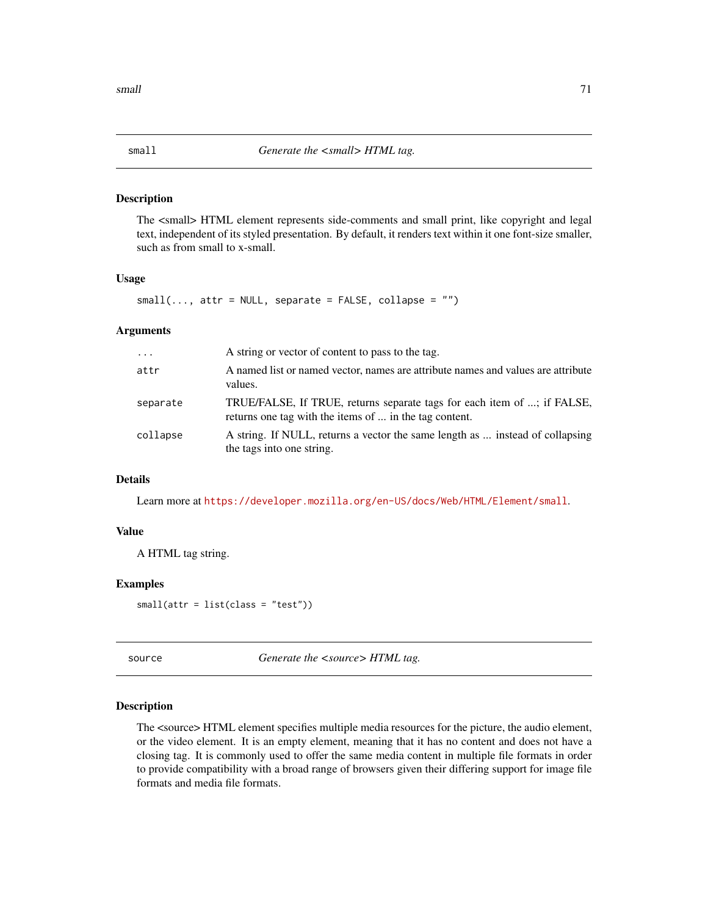The <small> HTML element represents side-comments and small print, like copyright and legal text, independent of its styled presentation. By default, it renders text within it one font-size smaller, such as from small to x-small.

#### Usage

 $small(..., attr = NULL, separate = FALSE, collapse = "")$ 

## Arguments

| $\cdot \cdot \cdot$ | A string or vector of content to pass to the tag.                                                                                 |
|---------------------|-----------------------------------------------------------------------------------------------------------------------------------|
| attr                | A named list or named vector, names are attribute names and values are attribute<br>values.                                       |
| separate            | TRUE/FALSE, If TRUE, returns separate tags for each item of ; if FALSE,<br>returns one tag with the items of  in the tag content. |
| collapse            | A string. If NULL, returns a vector the same length as  instead of collapsing<br>the tags into one string.                        |

#### Details

Learn more at <https://developer.mozilla.org/en-US/docs/Web/HTML/Element/small>.

#### Value

A HTML tag string.

#### Examples

small(attr = list(class = "test"))

source *Generate the <source> HTML tag.* 

## Description

The <source> HTML element specifies multiple media resources for the picture, the audio element, or the video element. It is an empty element, meaning that it has no content and does not have a closing tag. It is commonly used to offer the same media content in multiple file formats in order to provide compatibility with a broad range of browsers given their differing support for image file formats and media file formats.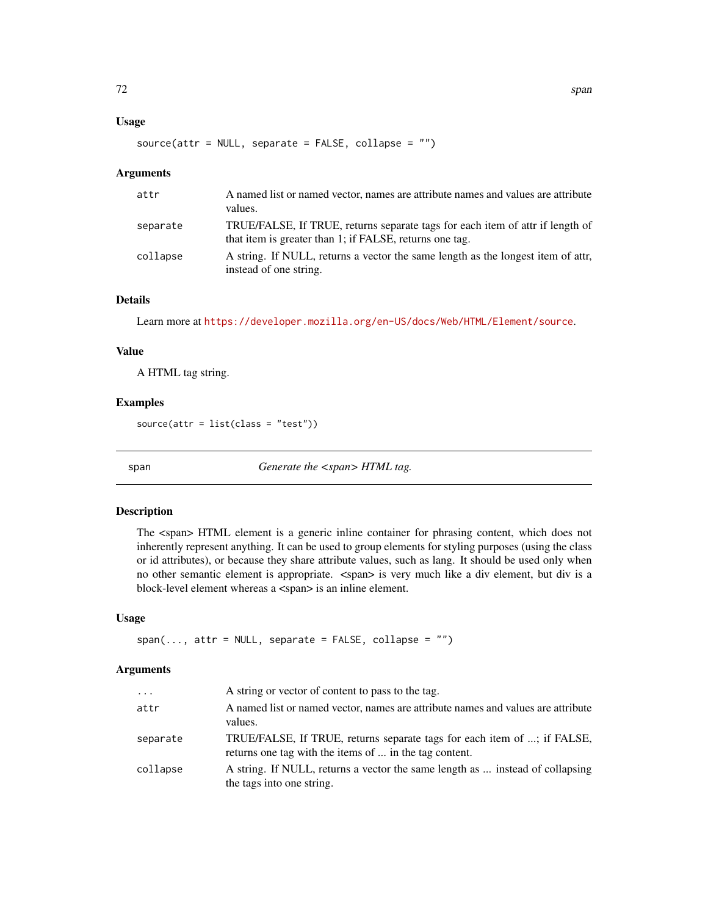#### Usage

```
source(attr = NULL, separate = FALSE, collapse = "")
```
#### Arguments

| attr     | A named list or named vector, names are attribute names and values are attribute<br>values.                                              |
|----------|------------------------------------------------------------------------------------------------------------------------------------------|
| separate | TRUE/FALSE, If TRUE, returns separate tags for each item of attr if length of<br>that item is greater than 1; if FALSE, returns one tag. |
| collapse | A string. If NULL, returns a vector the same length as the longest item of attr.<br>instead of one string.                               |

## Details

Learn more at <https://developer.mozilla.org/en-US/docs/Web/HTML/Element/source>.

## Value

A HTML tag string.

#### Examples

source(attr =  $list(class = "test")$ )

span *Generate the <span> HTML tag.* 

#### Description

The <span> HTML element is a generic inline container for phrasing content, which does not inherently represent anything. It can be used to group elements for styling purposes (using the class or id attributes), or because they share attribute values, such as lang. It should be used only when no other semantic element is appropriate. <span> is very much like a div element, but div is a block-level element whereas a <span> is an inline element.

## Usage

```
span(..., attr = NULL, separate = FALSE, collapse = "")
```

| $\cdots$ | A string or vector of content to pass to the tag.                                                                                 |
|----------|-----------------------------------------------------------------------------------------------------------------------------------|
| attr     | A named list or named vector, names are attribute names and values are attribute<br>values.                                       |
| separate | TRUE/FALSE, If TRUE, returns separate tags for each item of ; if FALSE,<br>returns one tag with the items of  in the tag content. |
| collapse | A string. If NULL, returns a vector the same length as  instead of collapsing<br>the tags into one string.                        |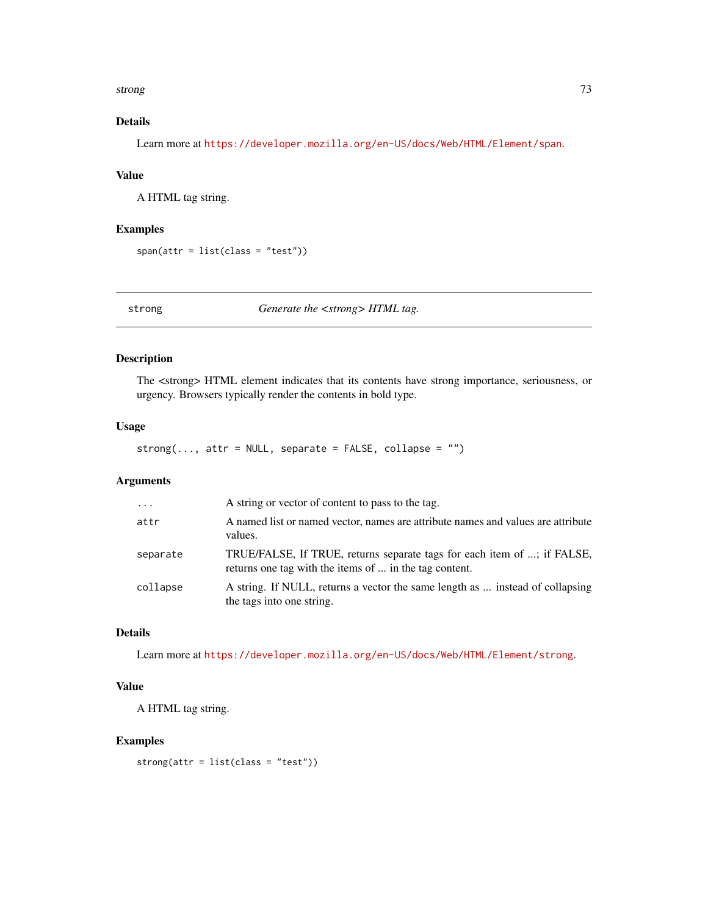#### <span id="page-72-0"></span>strong the contract of the contract of the contract of the contract of the contract of the contract of the contract of the contract of the contract of the contract of the contract of the contract of the contract of the con

# Details

Learn more at <https://developer.mozilla.org/en-US/docs/Web/HTML/Element/span>.

#### Value

A HTML tag string.

#### Examples

 $span(attr = list(class = "test"))$ 

strong *Generate the <strong> HTML tag.*

#### Description

The <strong> HTML element indicates that its contents have strong importance, seriousness, or urgency. Browsers typically render the contents in bold type.

# Usage

 $strong(\ldots, attr = NULL, separate = FALSE, collapse = "")$ 

# Arguments

| $\ddotsc$ | A string or vector of content to pass to the tag.                                                                                 |
|-----------|-----------------------------------------------------------------------------------------------------------------------------------|
| attr      | A named list or named vector, names are attribute names and values are attribute<br>values.                                       |
| separate  | TRUE/FALSE, If TRUE, returns separate tags for each item of ; if FALSE,<br>returns one tag with the items of  in the tag content. |
| collapse  | A string. If NULL, returns a vector the same length as  instead of collapsing<br>the tags into one string.                        |

# Details

Learn more at <https://developer.mozilla.org/en-US/docs/Web/HTML/Element/strong>.

# Value

A HTML tag string.

#### Examples

strong(attr = list(class = "test"))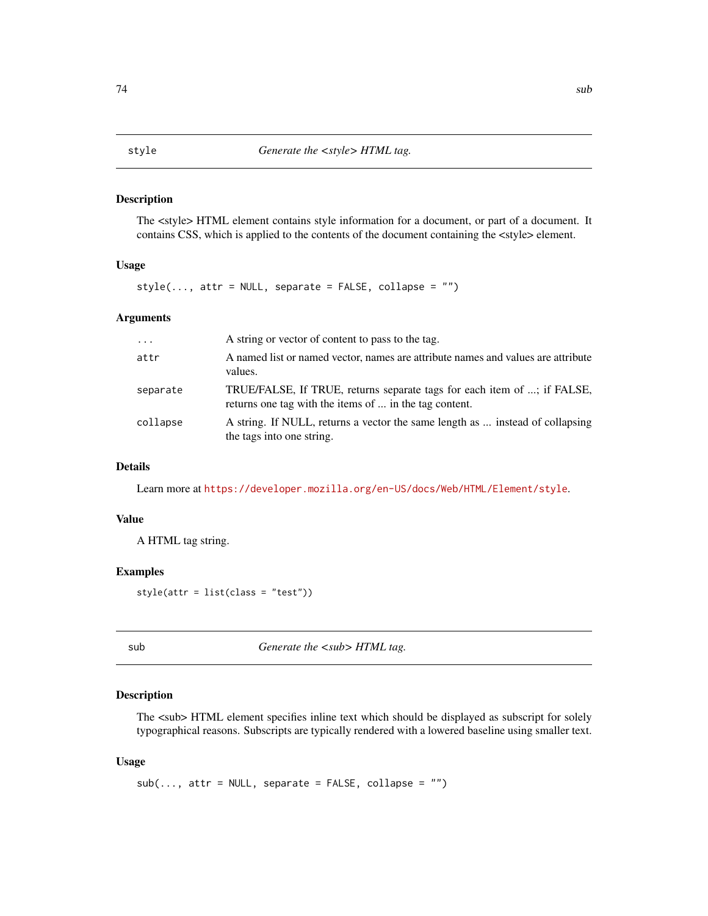The <style> HTML element contains style information for a document, or part of a document. It contains CSS, which is applied to the contents of the document containing the <style> element.

#### Usage

 $style(\ldots,$  attr = NULL, separate = FALSE, collapse = "")

# Arguments

| $\cdot$  | A string or vector of content to pass to the tag.                                                                                 |
|----------|-----------------------------------------------------------------------------------------------------------------------------------|
| attr     | A named list or named vector, names are attribute names and values are attribute<br>values.                                       |
| separate | TRUE/FALSE, If TRUE, returns separate tags for each item of ; if FALSE,<br>returns one tag with the items of  in the tag content. |
| collapse | A string. If NULL, returns a vector the same length as  instead of collapsing<br>the tags into one string.                        |

#### Details

Learn more at <https://developer.mozilla.org/en-US/docs/Web/HTML/Element/style>.

#### Value

A HTML tag string.

#### Examples

style(attr = list(class = "test"))

sub *Generate the <sub> HTML tag.* 

#### Description

The  $\langle$ sub> HTML element specifies inline text which should be displayed as subscript for solely typographical reasons. Subscripts are typically rendered with a lowered baseline using smaller text.

#### Usage

 $sub(..., attr = NULL, separate = FALSE, collapse = "")$ 

#### <span id="page-73-0"></span> $74$  sub-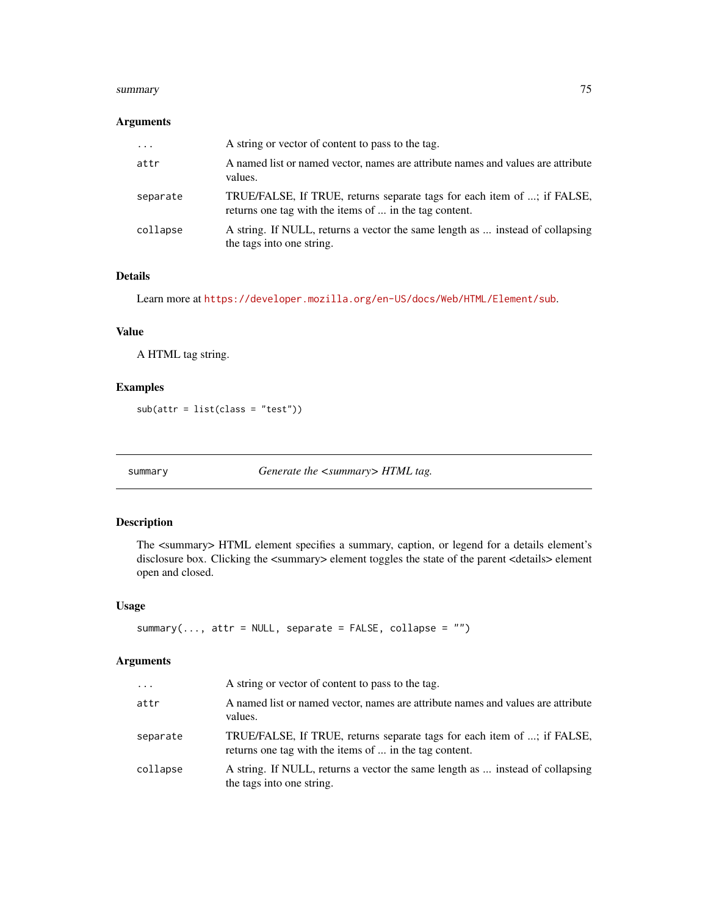#### <span id="page-74-0"></span>summary 75

#### Arguments

| $\cdot \cdot \cdot$ | A string or vector of content to pass to the tag.                                                                                 |
|---------------------|-----------------------------------------------------------------------------------------------------------------------------------|
| attr                | A named list or named vector, names are attribute names and values are attribute<br>values.                                       |
| separate            | TRUE/FALSE, If TRUE, returns separate tags for each item of ; if FALSE,<br>returns one tag with the items of  in the tag content. |
| collapse            | A string. If NULL, returns a vector the same length as  instead of collapsing<br>the tags into one string.                        |

# Details

Learn more at <https://developer.mozilla.org/en-US/docs/Web/HTML/Element/sub>.

# Value

A HTML tag string.

# Examples

sub(attr = list(class = "test"))

summary *Generate the <summary> HTML tag.*

#### Description

The <summary> HTML element specifies a summary, caption, or legend for a details element's disclosure box. Clicking the <summary> element toggles the state of the parent <details> element open and closed.

#### Usage

```
summary(..., attr = NULL, separate = FALSE, collapse = "")
```
# Arguments

| $\cdots$ | A string or vector of content to pass to the tag.                                                                                 |
|----------|-----------------------------------------------------------------------------------------------------------------------------------|
| attr     | A named list or named vector, names are attribute names and values are attribute<br>values.                                       |
| separate | TRUE/FALSE, If TRUE, returns separate tags for each item of ; if FALSE,<br>returns one tag with the items of  in the tag content. |
| collapse | A string. If NULL, returns a vector the same length as  instead of collapsing<br>the tags into one string.                        |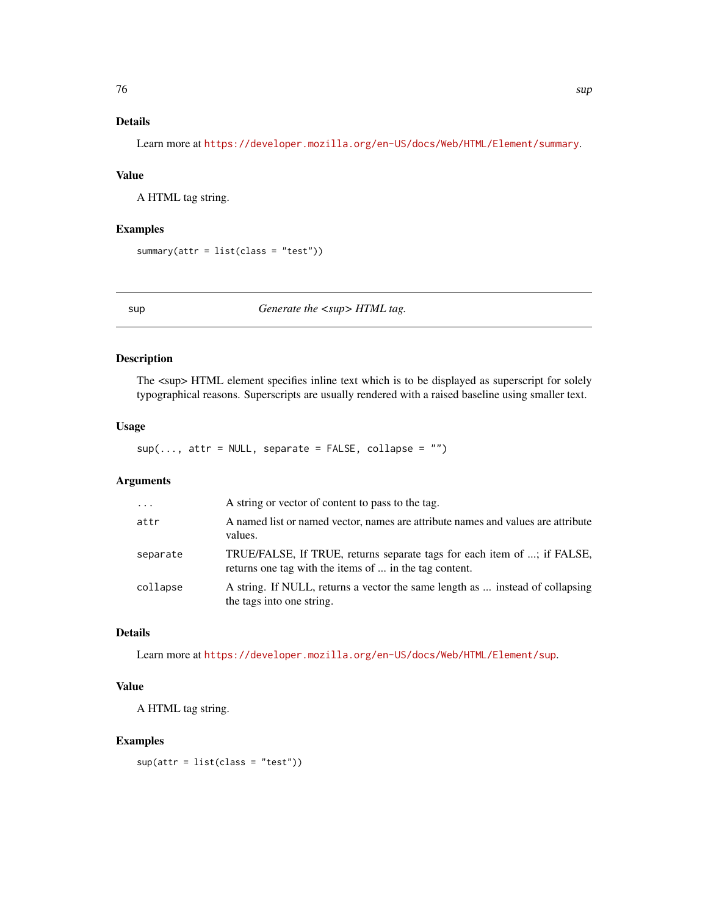# <span id="page-75-0"></span>Details

Learn more at <https://developer.mozilla.org/en-US/docs/Web/HTML/Element/summary>.

# Value

A HTML tag string.

#### Examples

```
summary(attr = list(class = "test"))
```
sup *Generate the*  $\langle \textit{sup} \rangle$  *HTML tag.* 

#### Description

The  $\langle$ sup> HTML element specifies inline text which is to be displayed as superscript for solely typographical reasons. Superscripts are usually rendered with a raised baseline using smaller text.

#### Usage

 $sup(..., attr = NULL, separate = FALSE, collapse = "")$ 

#### Arguments

| $\ddotsc$ | A string or vector of content to pass to the tag.                                                                                 |
|-----------|-----------------------------------------------------------------------------------------------------------------------------------|
| attr      | A named list or named vector, names are attribute names and values are attribute<br>values.                                       |
| separate  | TRUE/FALSE, If TRUE, returns separate tags for each item of ; if FALSE,<br>returns one tag with the items of  in the tag content. |
| collapse  | A string. If NULL, returns a vector the same length as  instead of collapsing<br>the tags into one string.                        |

# Details

Learn more at <https://developer.mozilla.org/en-US/docs/Web/HTML/Element/sup>.

# Value

A HTML tag string.

#### Examples

sup(attr = list(class = "test"))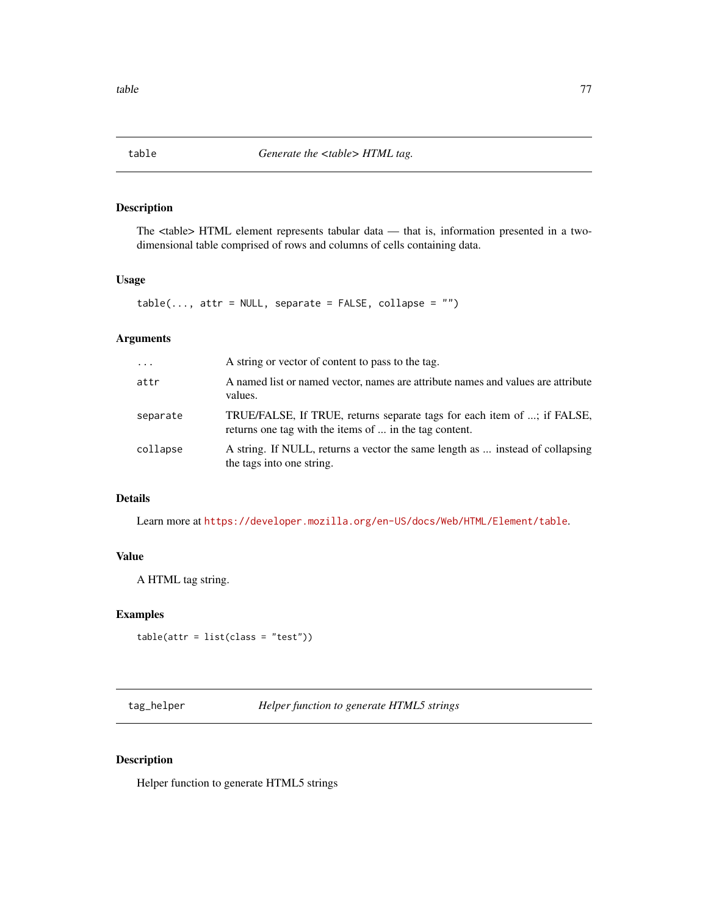<span id="page-76-0"></span>

The <table> HTML element represents tabular data — that is, information presented in a twodimensional table comprised of rows and columns of cells containing data.

# Usage

```
table(..., attr = NULL, separate = FALSE, collapse = "")
```
#### Arguments

| $\ddots$ . | A string or vector of content to pass to the tag.                                                                                 |
|------------|-----------------------------------------------------------------------------------------------------------------------------------|
| attr       | A named list or named vector, names are attribute names and values are attribute<br>values.                                       |
| separate   | TRUE/FALSE, If TRUE, returns separate tags for each item of ; if FALSE,<br>returns one tag with the items of  in the tag content. |
| collapse   | A string. If NULL, returns a vector the same length as  instead of collapsing<br>the tags into one string.                        |

# Details

Learn more at <https://developer.mozilla.org/en-US/docs/Web/HTML/Element/table>.

#### Value

A HTML tag string.

#### Examples

```
table(attr = list(class = "test"))
```
tag\_helper *Helper function to generate HTML5 strings*

#### Description

Helper function to generate HTML5 strings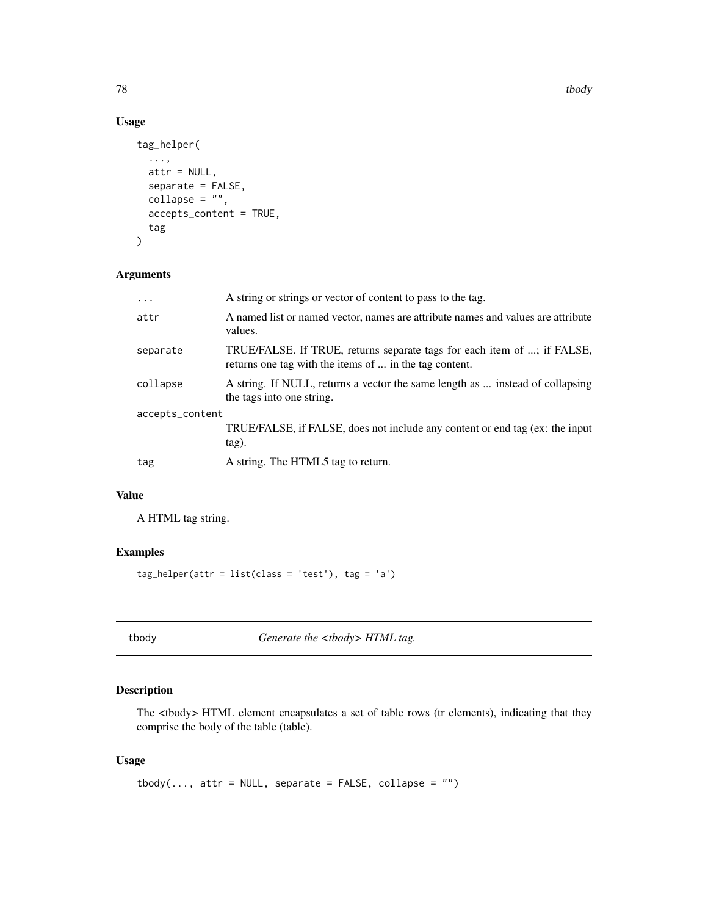78 tbody to the contract of the contract of the contract of the contract of the contract of the contract of the contract of the contract of the contract of the contract of the contract of the contract of the contract of th

# Usage

```
tag_helper(
  ...,
 attr = NULL,
  separate = FALSE,
 collapse = ",
  accepts_content = TRUE,
  tag
)
```
# Arguments

| $\ddots$ .      | A string or strings or vector of content to pass to the tag.                                                                      |  |
|-----------------|-----------------------------------------------------------------------------------------------------------------------------------|--|
| attr            | A named list or named vector, names are attribute names and values are attribute<br>values.                                       |  |
| separate        | TRUE/FALSE. If TRUE, returns separate tags for each item of ; if FALSE,<br>returns one tag with the items of  in the tag content. |  |
| collapse        | A string. If NULL, returns a vector the same length as  instead of collapsing<br>the tags into one string.                        |  |
| accepts_content |                                                                                                                                   |  |
|                 | TRUE/FALSE, if FALSE, does not include any content or end tag (ex: the input<br>tag).                                             |  |
| tag             | A string. The HTML5 tag to return.                                                                                                |  |

# Value

A HTML tag string.

# Examples

tag\_helper(attr = list(class = 'test'), tag = 'a')

tbody **Generate the <tbody> HTML tag.** 

# Description

The <tbody> HTML element encapsulates a set of table rows (tr elements), indicating that they comprise the body of the table (table).

#### Usage

tbody(..., attr = NULL, separate =  $FALSE$ , collapse = "")

<span id="page-77-0"></span>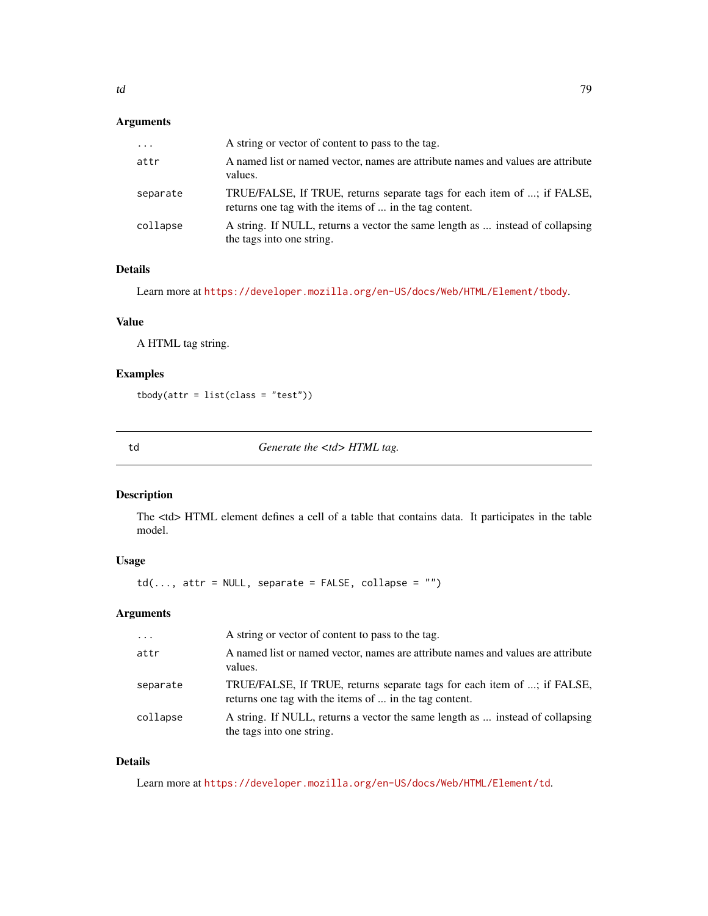<span id="page-78-0"></span>

| $\cdots$ | A string or vector of content to pass to the tag.                                                                                 |
|----------|-----------------------------------------------------------------------------------------------------------------------------------|
| attr     | A named list or named vector, names are attribute names and values are attribute<br>values.                                       |
| separate | TRUE/FALSE, If TRUE, returns separate tags for each item of ; if FALSE,<br>returns one tag with the items of  in the tag content. |
| collapse | A string. If NULL, returns a vector the same length as  instead of collapsing<br>the tags into one string.                        |

#### Details

Learn more at <https://developer.mozilla.org/en-US/docs/Web/HTML/Element/tbody>.

#### Value

A HTML tag string.

# Examples

```
tbody(attr = list(class = "test"))
```
td *Generate the <td> HTML tag.*

# Description

The <td> HTML element defines a cell of a table that contains data. It participates in the table model.

### Usage

 $td(..., attr = NULL, separate = FALSE, collapse = "")$ 

#### Arguments

| $\cdot$  | A string or vector of content to pass to the tag.                                                                                 |
|----------|-----------------------------------------------------------------------------------------------------------------------------------|
| attr     | A named list or named vector, names are attribute names and values are attribute<br>values.                                       |
| separate | TRUE/FALSE, If TRUE, returns separate tags for each item of ; if FALSE,<br>returns one tag with the items of  in the tag content. |
| collapse | A string. If NULL, returns a vector the same length as  instead of collapsing<br>the tags into one string.                        |

### Details

Learn more at <https://developer.mozilla.org/en-US/docs/Web/HTML/Element/td>.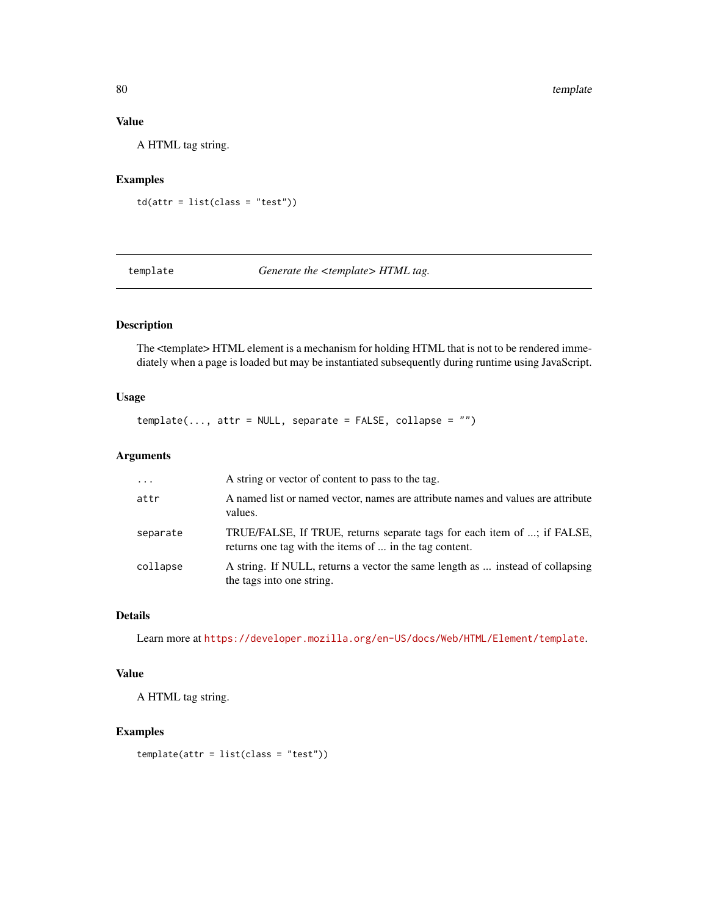# Value

A HTML tag string.

#### Examples

td(attr = list(class = "test"))

template *Generate the <template> HTML tag.*

# Description

The <template> HTML element is a mechanism for holding HTML that is not to be rendered immediately when a page is loaded but may be instantiated subsequently during runtime using JavaScript.

### Usage

 $template(..., attr = NULL, separate = FALSE, collapse = "")$ 

# Arguments

| $\cdot$  | A string or vector of content to pass to the tag.                                                                                 |
|----------|-----------------------------------------------------------------------------------------------------------------------------------|
| attr     | A named list or named vector, names are attribute names and values are attribute<br>values.                                       |
| separate | TRUE/FALSE, If TRUE, returns separate tags for each item of ; if FALSE,<br>returns one tag with the items of  in the tag content. |
| collapse | A string. If NULL, returns a vector the same length as  instead of collapsing<br>the tags into one string.                        |

# Details

Learn more at <https://developer.mozilla.org/en-US/docs/Web/HTML/Element/template>.

#### Value

A HTML tag string.

#### Examples

template(attr = list(class = "test"))

<span id="page-79-0"></span>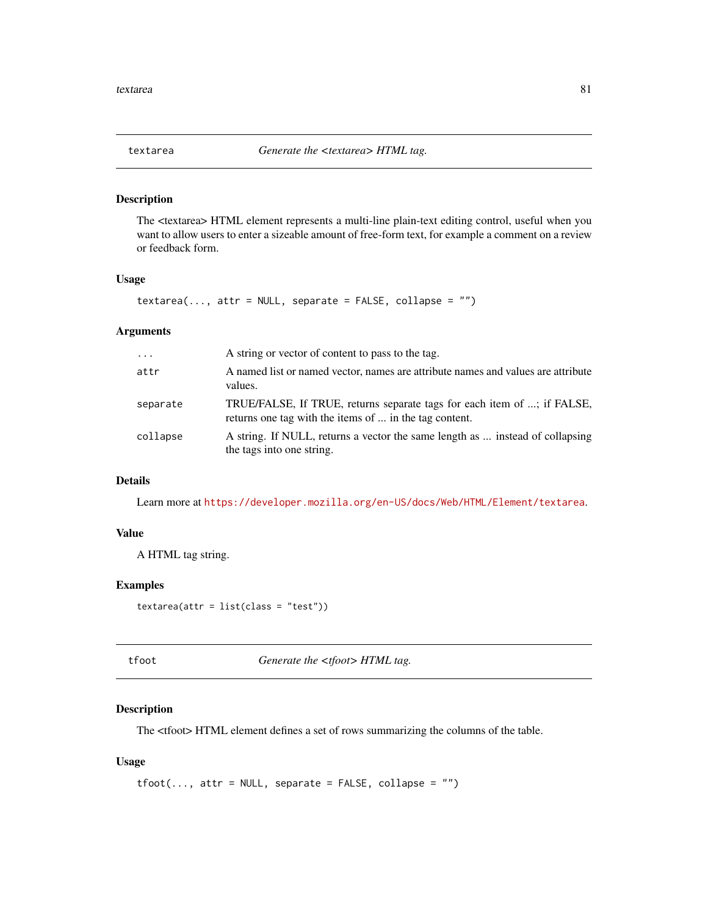<span id="page-80-0"></span>

The <textarea> HTML element represents a multi-line plain-text editing control, useful when you want to allow users to enter a sizeable amount of free-form text, for example a comment on a review or feedback form.

#### Usage

```
textarea(..., attr = NULL, separate = FALSE, collapse = "")
```
#### Arguments

| $\cdots$ | A string or vector of content to pass to the tag.                                                                                 |
|----------|-----------------------------------------------------------------------------------------------------------------------------------|
| attr     | A named list or named vector, names are attribute names and values are attribute<br>values.                                       |
| separate | TRUE/FALSE, If TRUE, returns separate tags for each item of ; if FALSE,<br>returns one tag with the items of  in the tag content. |
| collapse | A string. If NULL, returns a vector the same length as  instead of collapsing<br>the tags into one string.                        |

# Details

Learn more at <https://developer.mozilla.org/en-US/docs/Web/HTML/Element/textarea>.

#### Value

A HTML tag string.

#### Examples

 $text{text}(\text{attr} = \text{list}(\text{class} = "test"))$ 

tfoot *Generate the <tfoot>HTML tag.* 

# Description

The <tfoot> HTML element defines a set of rows summarizing the columns of the table.

#### Usage

```
tfoot(..., attr = NULL, separate = FALSE, collapse = "")
```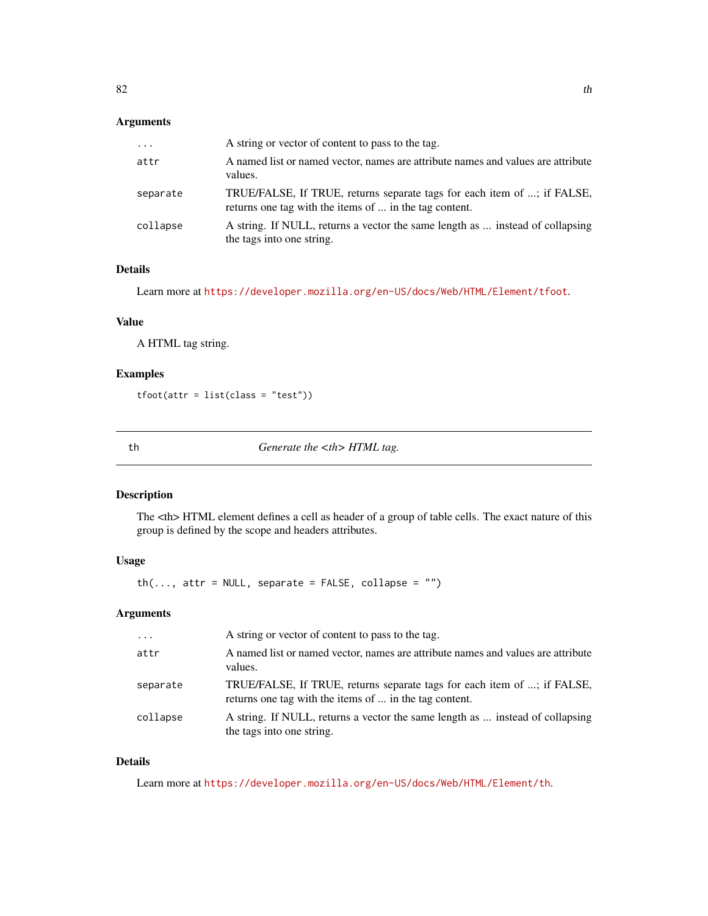<span id="page-81-0"></span>

| $\cdots$ | A string or vector of content to pass to the tag.                                                                                 |
|----------|-----------------------------------------------------------------------------------------------------------------------------------|
| attr     | A named list or named vector, names are attribute names and values are attribute<br>values.                                       |
| separate | TRUE/FALSE, If TRUE, returns separate tags for each item of ; if FALSE,<br>returns one tag with the items of  in the tag content. |
| collapse | A string. If NULL, returns a vector the same length as  instead of collapsing<br>the tags into one string.                        |

#### Details

Learn more at <https://developer.mozilla.org/en-US/docs/Web/HTML/Element/tfoot>.

# Value

A HTML tag string.

# Examples

tfoot(attr = list(class = "test"))

th *Generate the <th> HTML tag.* 

# Description

The <th> HTML element defines a cell as header of a group of table cells. The exact nature of this group is defined by the scope and headers attributes.

# Usage

 $th(..., attr = NULL, separate = FALSE, collapse = "")$ 

#### Arguments

| $\cdot$  | A string or vector of content to pass to the tag.                                                                                 |
|----------|-----------------------------------------------------------------------------------------------------------------------------------|
| attr     | A named list or named vector, names are attribute names and values are attribute<br>values.                                       |
| separate | TRUE/FALSE, If TRUE, returns separate tags for each item of ; if FALSE,<br>returns one tag with the items of  in the tag content. |
| collapse | A string. If NULL, returns a vector the same length as  instead of collapsing<br>the tags into one string.                        |

# Details

Learn more at <https://developer.mozilla.org/en-US/docs/Web/HTML/Element/th>.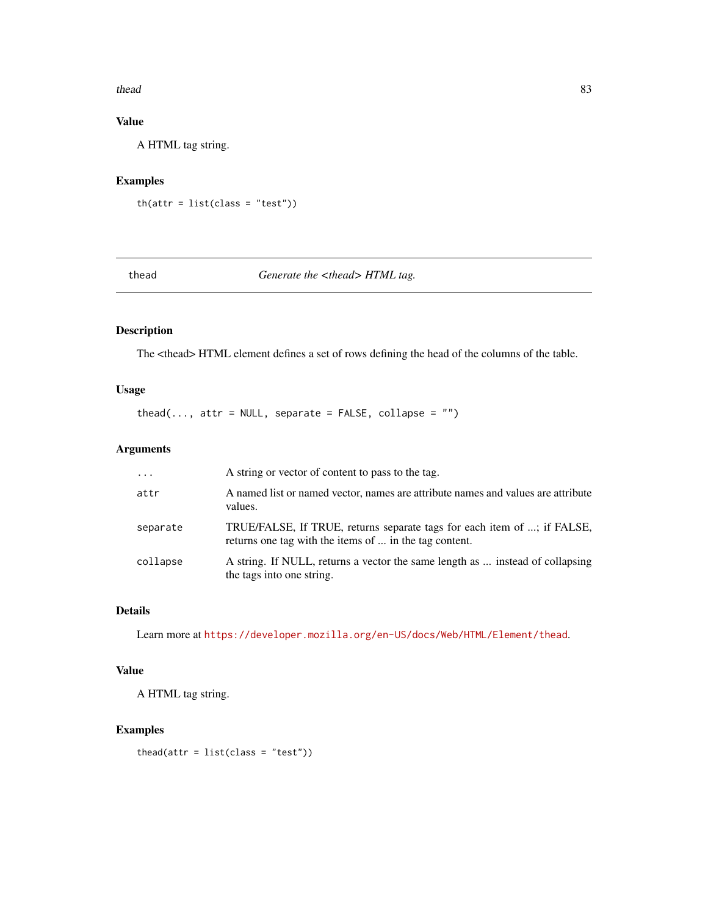#### <span id="page-82-0"></span>thead 83

# Value

A HTML tag string.

# Examples

 $th(attr = list(class = "test"))$ 

### thead *Generate the <thead> HTML tag.*

# Description

The <thead> HTML element defines a set of rows defining the head of the columns of the table.

# Usage

thead(..., attr = NULL, separate =  $FALSE$ , collapse = "")

# Arguments

| $\ddotsc$ | A string or vector of content to pass to the tag.                                                                                 |
|-----------|-----------------------------------------------------------------------------------------------------------------------------------|
| attr      | A named list or named vector, names are attribute names and values are attribute<br>values.                                       |
| separate  | TRUE/FALSE, If TRUE, returns separate tags for each item of ; if FALSE,<br>returns one tag with the items of  in the tag content. |
| collapse  | A string. If NULL, returns a vector the same length as  instead of collapsing<br>the tags into one string.                        |

# Details

Learn more at <https://developer.mozilla.org/en-US/docs/Web/HTML/Element/thead>.

# Value

A HTML tag string.

# Examples

thead(attr =  $list(class = "test")$ )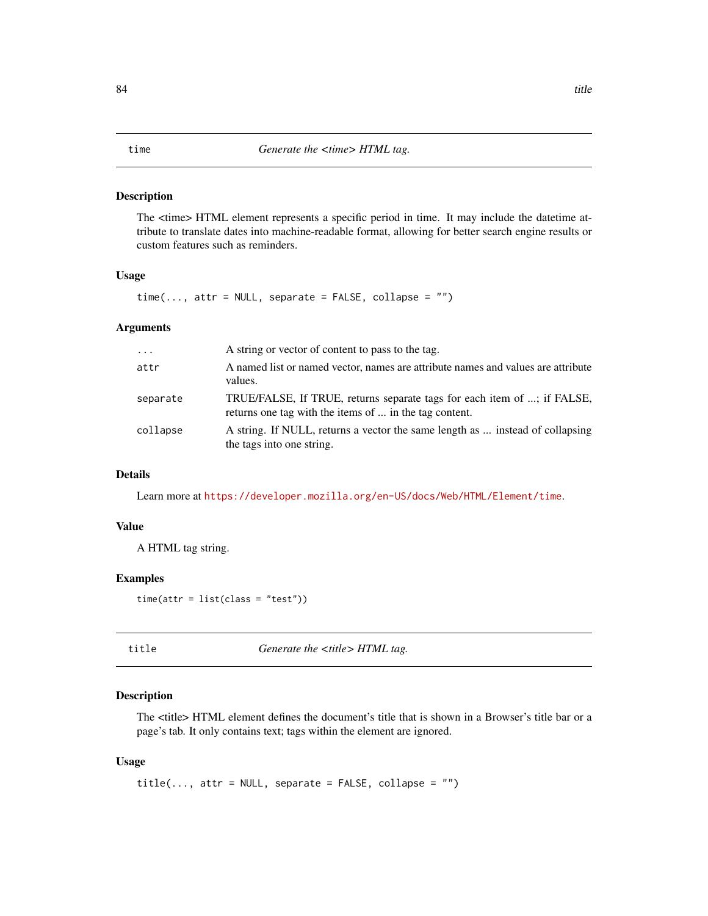<span id="page-83-0"></span>The <time> HTML element represents a specific period in time. It may include the datetime attribute to translate dates into machine-readable format, allowing for better search engine results or custom features such as reminders.

#### Usage

 $time(..., attr = NULL, separate = FALSE, collapse = "")$ 

#### Arguments

| $\cdots$ | A string or vector of content to pass to the tag.                                                                                 |
|----------|-----------------------------------------------------------------------------------------------------------------------------------|
| attr     | A named list or named vector, names are attribute names and values are attribute<br>values.                                       |
| separate | TRUE/FALSE, If TRUE, returns separate tags for each item of ; if FALSE,<br>returns one tag with the items of  in the tag content. |
| collapse | A string. If NULL, returns a vector the same length as  instead of collapsing<br>the tags into one string.                        |

# Details

Learn more at <https://developer.mozilla.org/en-US/docs/Web/HTML/Element/time>.

#### Value

A HTML tag string.

# Examples

 $time(attr = list(class = "test"))$ 

title *Generate the <title> HTML tag.*

#### Description

The <title> HTML element defines the document's title that is shown in a Browser's title bar or a page's tab. It only contains text; tags within the element are ignored.

#### Usage

 $title(..., attr = NULL, separate = FALSE, collapse = "")$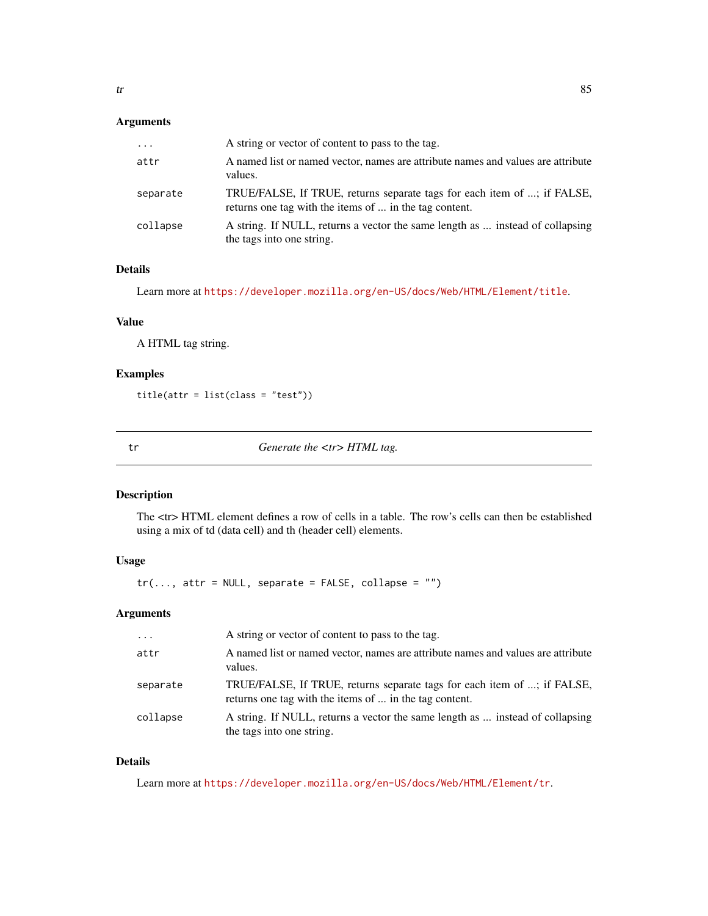<span id="page-84-0"></span>

| $\cdots$ | A string or vector of content to pass to the tag.                                                                                 |
|----------|-----------------------------------------------------------------------------------------------------------------------------------|
| attr     | A named list or named vector, names are attribute names and values are attribute<br>values.                                       |
| separate | TRUE/FALSE, If TRUE, returns separate tags for each item of ; if FALSE,<br>returns one tag with the items of  in the tag content. |
| collapse | A string. If NULL, returns a vector the same length as  instead of collapsing<br>the tags into one string.                        |

#### Details

Learn more at <https://developer.mozilla.org/en-US/docs/Web/HTML/Element/title>.

#### Value

A HTML tag string.

# Examples

title(attr = list(class = "test"))

tr *Generate the <tr> HTML tag.*

# Description

The <tr> HTML element defines a row of cells in a table. The row's cells can then be established using a mix of td (data cell) and th (header cell) elements.

# Usage

 $tr(..., attr = NULL, separate = FALSE, collapse = "")$ 

#### Arguments

| $\cdot$  | A string or vector of content to pass to the tag.                                                                                 |
|----------|-----------------------------------------------------------------------------------------------------------------------------------|
| attr     | A named list or named vector, names are attribute names and values are attribute<br>values.                                       |
| separate | TRUE/FALSE, If TRUE, returns separate tags for each item of ; if FALSE,<br>returns one tag with the items of  in the tag content. |
| collapse | A string. If NULL, returns a vector the same length as  instead of collapsing<br>the tags into one string.                        |

### Details

Learn more at <https://developer.mozilla.org/en-US/docs/Web/HTML/Element/tr>.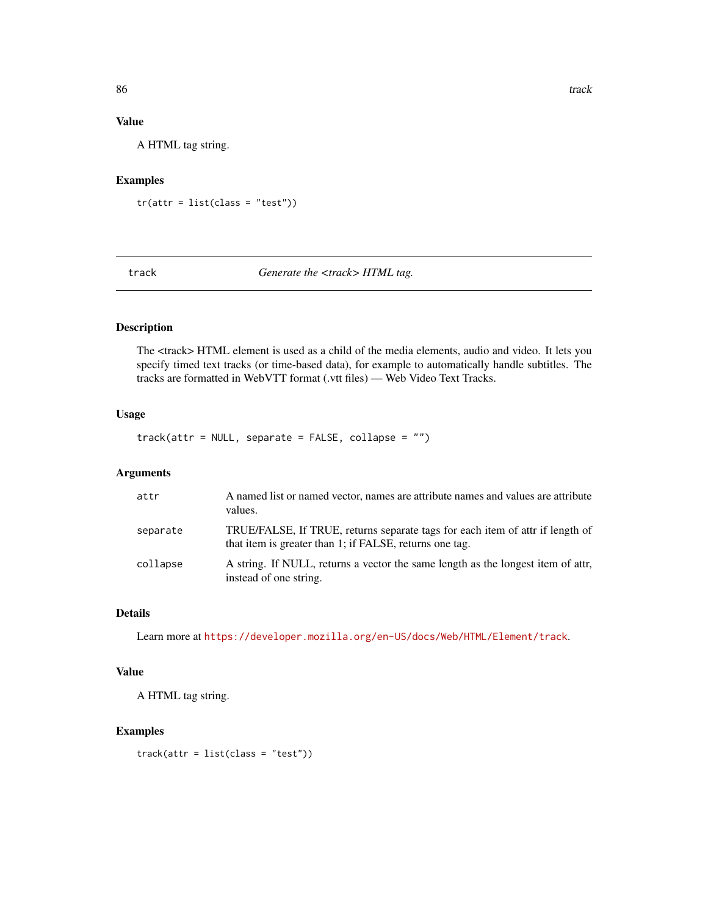# Value

A HTML tag string.

#### Examples

tr(attr = list(class = "test"))

# track *Generate the <track> HTML tag.*

#### Description

The <track> HTML element is used as a child of the media elements, audio and video. It lets you specify timed text tracks (or time-based data), for example to automatically handle subtitles. The tracks are formatted in WebVTT format (.vtt files) — Web Video Text Tracks.

# Usage

track(attr = NULL, separate = FALSE, collapse = "")

#### Arguments

| attr     | A named list or named vector, names are attribute names and values are attribute<br>values.                                              |
|----------|------------------------------------------------------------------------------------------------------------------------------------------|
| separate | TRUE/FALSE, If TRUE, returns separate tags for each item of attr if length of<br>that item is greater than 1; if FALSE, returns one tag. |
| collapse | A string. If NULL, returns a vector the same length as the longest item of attr.<br>instead of one string.                               |

#### Details

Learn more at <https://developer.mozilla.org/en-US/docs/Web/HTML/Element/track>.

#### Value

A HTML tag string.

# Examples

track(attr = list(class = "test"))

<span id="page-85-0"></span>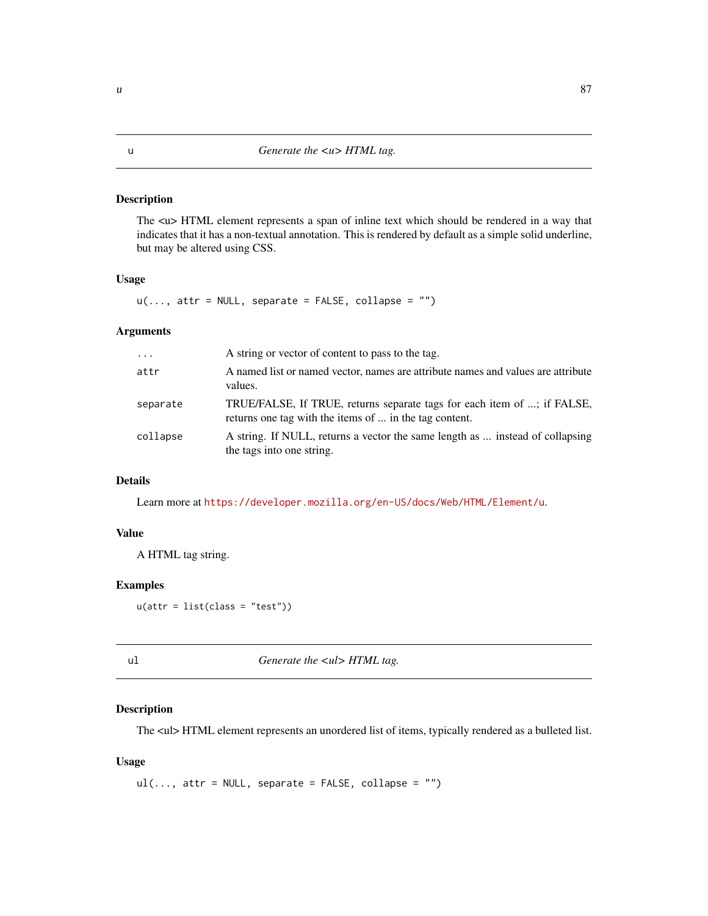<span id="page-86-0"></span>The  $\langle u \rangle$  HTML element represents a span of inline text which should be rendered in a way that indicates that it has a non-textual annotation. This is rendered by default as a simple solid underline, but may be altered using CSS.

#### Usage

 $u(\ldots, \text{attr} = \text{NULL}, \text{ separate} = \text{FALSE}, \text{ collapse} = \text{""})$ 

#### Arguments

| $\cdots$ | A string or vector of content to pass to the tag.                                                                                 |
|----------|-----------------------------------------------------------------------------------------------------------------------------------|
| attr     | A named list or named vector, names are attribute names and values are attribute<br>values.                                       |
| separate | TRUE/FALSE, If TRUE, returns separate tags for each item of ; if FALSE,<br>returns one tag with the items of  in the tag content. |
| collapse | A string. If NULL, returns a vector the same length as  instead of collapsing<br>the tags into one string.                        |

# Details

Learn more at <https://developer.mozilla.org/en-US/docs/Web/HTML/Element/u>.

#### Value

A HTML tag string.

#### Examples

 $u(attr = list(class = "test"))$ 

| × | I |  |
|---|---|--|
|   |   |  |

ul *Generate the <ul> HTML tag.*

# Description

The <ul> HTML element represents an unordered list of items, typically rendered as a bulleted list.

#### Usage

```
ul(..., attr = NULL, separate = FALSE, collapse = "")
```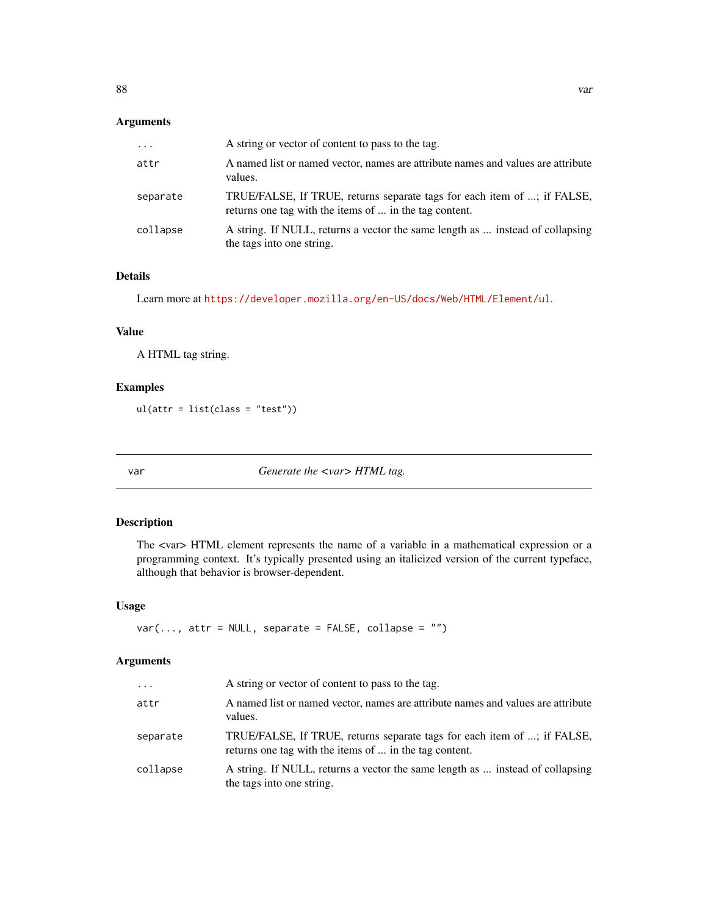<span id="page-87-0"></span>

| $\cdots$ | A string or vector of content to pass to the tag.                                                                                 |
|----------|-----------------------------------------------------------------------------------------------------------------------------------|
| attr     | A named list or named vector, names are attribute names and values are attribute<br>values.                                       |
| separate | TRUE/FALSE, If TRUE, returns separate tags for each item of ; if FALSE,<br>returns one tag with the items of  in the tag content. |
| collapse | A string. If NULL, returns a vector the same length as  instead of collapsing<br>the tags into one string.                        |

# Details

Learn more at <https://developer.mozilla.org/en-US/docs/Web/HTML/Element/ul>.

# Value

A HTML tag string.

# Examples

ul(attr = list(class = "test"))

var *Generate the <var> HTML tag.*

#### Description

The <var> HTML element represents the name of a variable in a mathematical expression or a programming context. It's typically presented using an italicized version of the current typeface, although that behavior is browser-dependent.

#### Usage

```
var(..., attr = NULL, separate = FALSE, collapse = "")
```
# Arguments

| $\cdots$ | A string or vector of content to pass to the tag.                                                                                 |
|----------|-----------------------------------------------------------------------------------------------------------------------------------|
| attr     | A named list or named vector, names are attribute names and values are attribute<br>values.                                       |
| separate | TRUE/FALSE, If TRUE, returns separate tags for each item of ; if FALSE,<br>returns one tag with the items of  in the tag content. |
| collapse | A string. If NULL, returns a vector the same length as  instead of collapsing<br>the tags into one string.                        |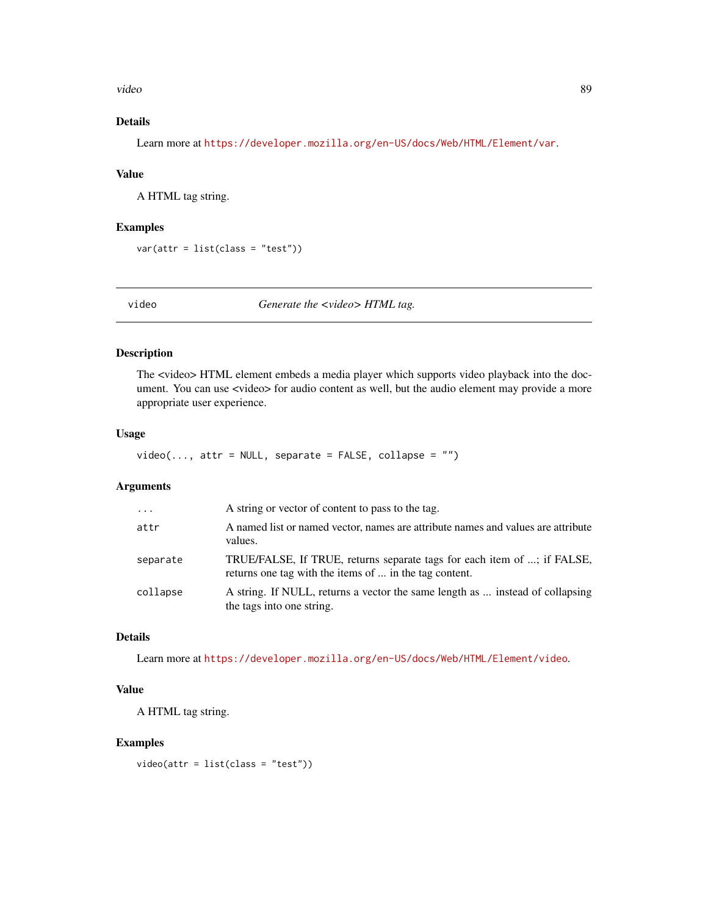<span id="page-88-0"></span>video 89

# Details

Learn more at <https://developer.mozilla.org/en-US/docs/Web/HTML/Element/var>.

#### Value

A HTML tag string.

#### Examples

var(attr = list(class = "test"))

video *Generate the <video> HTML tag.*

#### Description

The <video> HTML element embeds a media player which supports video playback into the document. You can use <video> for audio content as well, but the audio element may provide a more appropriate user experience.

#### Usage

 $video(..., attr = NULL, separate = FALSE, collapse = "")$ 

# Arguments

| $\cdots$ | A string or vector of content to pass to the tag.                                                                                 |
|----------|-----------------------------------------------------------------------------------------------------------------------------------|
| attr     | A named list or named vector, names are attribute names and values are attribute<br>values.                                       |
| separate | TRUE/FALSE, If TRUE, returns separate tags for each item of ; if FALSE,<br>returns one tag with the items of  in the tag content. |
| collapse | A string. If NULL, returns a vector the same length as  instead of collapsing<br>the tags into one string.                        |

# Details

Learn more at <https://developer.mozilla.org/en-US/docs/Web/HTML/Element/video>.

### Value

A HTML tag string.

#### Examples

video(attr = list(class = "test"))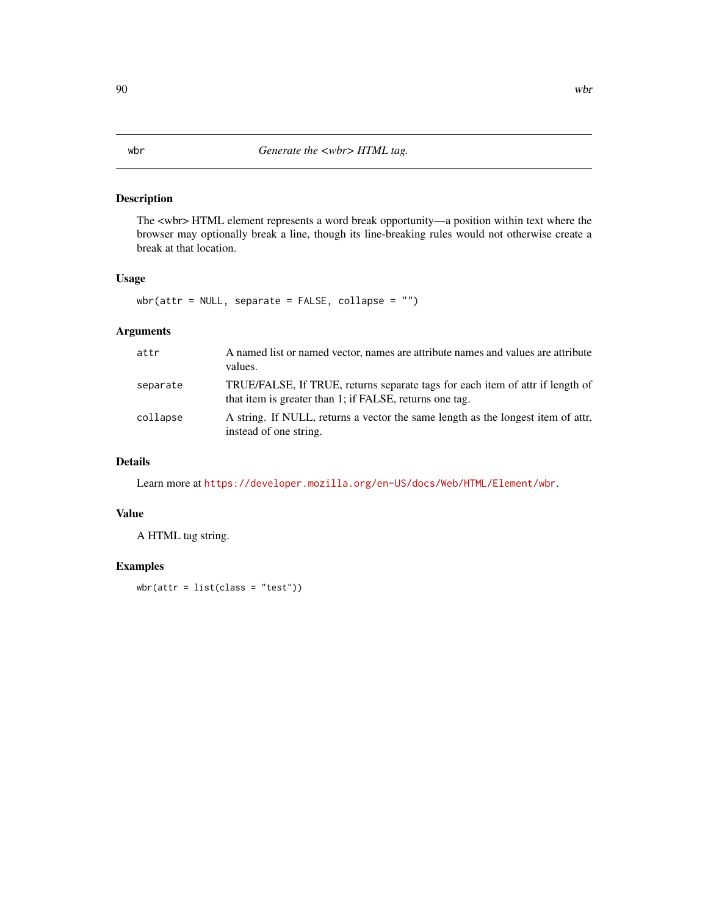The <wbr> HTML element represents a word break opportunity—a position within text where the browser may optionally break a line, though its line-breaking rules would not otherwise create a break at that location.

# Usage

 $wbr(attr = NULL, separate = FALSE, collapse = "")$ 

# Arguments

| attr     | A named list or named vector, names are attribute names and values are attribute<br>values.                                              |
|----------|------------------------------------------------------------------------------------------------------------------------------------------|
| separate | TRUE/FALSE, If TRUE, returns separate tags for each item of attr if length of<br>that item is greater than 1; if FALSE, returns one tag. |
| collapse | A string. If NULL, returns a vector the same length as the longest item of attr.<br>instead of one string.                               |

# Details

Learn more at <https://developer.mozilla.org/en-US/docs/Web/HTML/Element/wbr>.

#### Value

A HTML tag string.

# Examples

 $wbr(attr = list(class = "test"))$ 

#### <span id="page-89-0"></span>90 wbr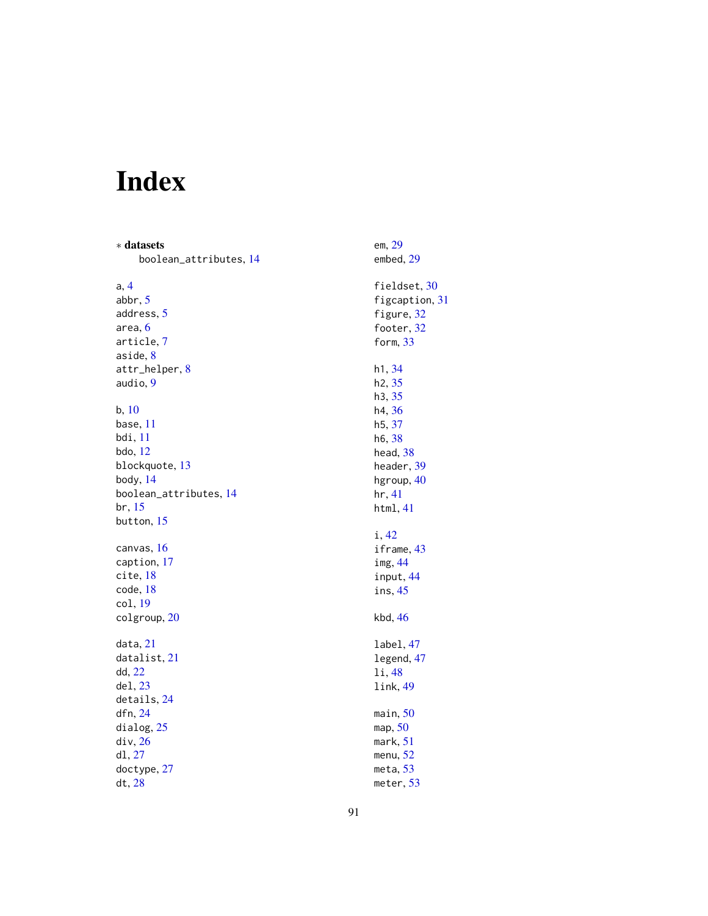# Index

∗ datasets boolean\_attributes, [14](#page-13-0) a, [4](#page-3-0) abbr, [5](#page-4-0) address, [5](#page-4-0) area, [6](#page-5-0) article, [7](#page-6-0) aside, [8](#page-7-0) attr\_helper, [8](#page-7-0) audio, [9](#page-8-0) b, [10](#page-9-0) base, [11](#page-10-0) bdi, [11](#page-10-0) bdo, [12](#page-11-0) blockquote, [13](#page-12-0) body, [14](#page-13-0) boolean\_attributes, [14](#page-13-0) br, [15](#page-14-0) button, [15](#page-14-0) canvas, [16](#page-15-0) caption, [17](#page-16-0) cite, [18](#page-17-0) code, [18](#page-17-0) col, [19](#page-18-0) colgroup, [20](#page-19-0) data, [21](#page-20-0) datalist, [21](#page-20-0) dd, [22](#page-21-0) del, [23](#page-22-0) details, [24](#page-23-0) dfn, [24](#page-23-0) dialog, [25](#page-24-0) div, [26](#page-25-0) dl, [27](#page-26-0) doctype, [27](#page-26-0) dt, [28](#page-27-0)

em, [29](#page-28-0) embed, [29](#page-28-0) fieldset, [30](#page-29-0) figcaption, [31](#page-30-0) figure, [32](#page-31-0) footer, [32](#page-31-0) form, [33](#page-32-0) h1, [34](#page-33-0) h2, [35](#page-34-0) h3, [35](#page-34-0) h4, [36](#page-35-0) h5, [37](#page-36-0) h6, [38](#page-37-0) head, [38](#page-37-0) header, [39](#page-38-0) hgroup, [40](#page-39-0) hr, [41](#page-40-0) html, [41](#page-40-0) i, [42](#page-41-0) iframe, [43](#page-42-0) img, [44](#page-43-0) input, [44](#page-43-0) ins, [45](#page-44-0) kbd, [46](#page-45-0) label, [47](#page-46-0) legend, [47](#page-46-0) li, [48](#page-47-0) link, [49](#page-48-0) main, [50](#page-49-0) map, [50](#page-49-0) mark, [51](#page-50-0) menu, [52](#page-51-0) meta, [53](#page-52-0) meter, [53](#page-52-0)